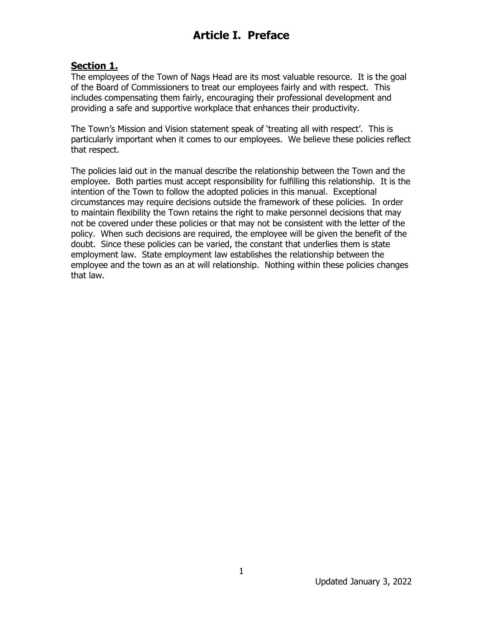# **Article I. Preface**

#### **Section 1.**

The employees of the Town of Nags Head are its most valuable resource. It is the goal of the Board of Commissioners to treat our employees fairly and with respect. This includes compensating them fairly, encouraging their professional development and providing a safe and supportive workplace that enhances their productivity.

The Town's Mission and Vision statement speak of 'treating all with respect'. This is particularly important when it comes to our employees. We believe these policies reflect that respect.

The policies laid out in the manual describe the relationship between the Town and the employee. Both parties must accept responsibility for fulfilling this relationship. It is the intention of the Town to follow the adopted policies in this manual. Exceptional circumstances may require decisions outside the framework of these policies. In order to maintain flexibility the Town retains the right to make personnel decisions that may not be covered under these policies or that may not be consistent with the letter of the policy. When such decisions are required, the employee will be given the benefit of the doubt. Since these policies can be varied, the constant that underlies them is state employment law. State employment law establishes the relationship between the employee and the town as an at will relationship. Nothing within these policies changes that law.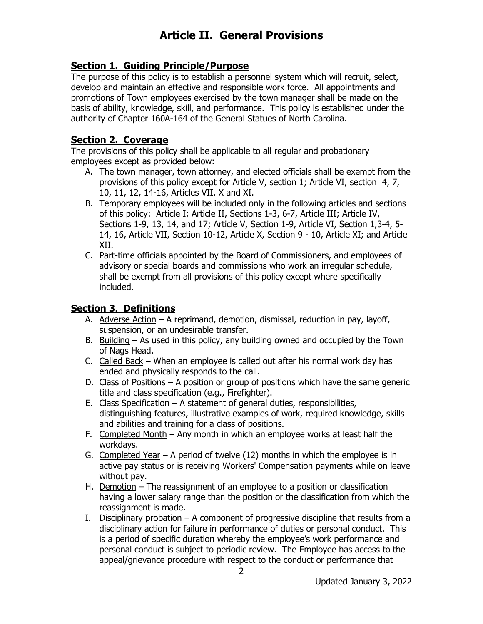### **Section 1. Guiding Principle/Purpose**

The purpose of this policy is to establish a personnel system which will recruit, select, develop and maintain an effective and responsible work force. All appointments and promotions of Town employees exercised by the town manager shall be made on the basis of ability, knowledge, skill, and performance. This policy is established under the authority of Chapter 160A-164 of the General Statues of North Carolina.

### **Section 2. Coverage**

The provisions of this policy shall be applicable to all regular and probationary employees except as provided below:

- A. The town manager, town attorney, and elected officials shall be exempt from the provisions of this policy except for Article V, section 1; Article VI, section 4, 7, 10, 11, 12, 14-16, Articles VII, X and XI.
- B. Temporary employees will be included only in the following articles and sections of this policy: Article I; Article II, Sections 1-3, 6-7, Article III; Article IV, Sections 1-9, 13, 14, and 17; Article V, Section 1-9, Article VI, Section 1,3-4, 5- 14, 16, Article VII, Section 10-12, Article X, Section 9 - 10, Article XI; and Article XII.
- C. Part-time officials appointed by the Board of Commissioners, and employees of advisory or special boards and commissions who work an irregular schedule, shall be exempt from all provisions of this policy except where specifically included.

### **Section 3. Definitions**

- A. Adverse Action A reprimand, demotion, dismissal, reduction in pay, layoff, suspension, or an undesirable transfer.
- B. Building As used in this policy, any building owned and occupied by the Town of Nags Head.
- C. Called Back When an employee is called out after his normal work day has ended and physically responds to the call.
- D. Class of Positions A position or group of positions which have the same generic title and class specification (e.g., Firefighter).
- E. Class Specification A statement of general duties, responsibilities, distinguishing features, illustrative examples of work, required knowledge, skills and abilities and training for a class of positions.
- F. Completed Month Any month in which an employee works at least half the workdays.
- G. Completed Year A period of twelve (12) months in which the employee is in active pay status or is receiving Workers' Compensation payments while on leave without pay.
- H. Demotion The reassignment of an employee to a position or classification having a lower salary range than the position or the classification from which the reassignment is made.
- I. Disciplinary probation  $-$  A component of progressive discipline that results from a disciplinary action for failure in performance of duties or personal conduct. This is a period of specific duration whereby the employee's work performance and personal conduct is subject to periodic review. The Employee has access to the appeal/grievance procedure with respect to the conduct or performance that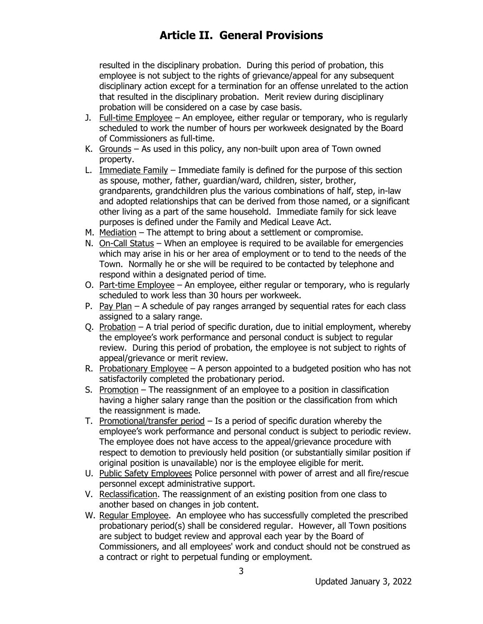resulted in the disciplinary probation. During this period of probation, this employee is not subject to the rights of grievance/appeal for any subsequent disciplinary action except for a termination for an offense unrelated to the action that resulted in the disciplinary probation. Merit review during disciplinary probation will be considered on a case by case basis.

- J. Full-time Employee An employee, either regular or temporary, who is regularly scheduled to work the number of hours per workweek designated by the Board of Commissioners as full-time.
- K. Grounds As used in this policy, any non-built upon area of Town owned property.
- L. Immediate Family Immediate family is defined for the purpose of this section as spouse, mother, father, guardian/ward, children, sister, brother, grandparents, grandchildren plus the various combinations of half, step, in-law and adopted relationships that can be derived from those named, or a significant other living as a part of the same household. Immediate family for sick leave purposes is defined under the Family and Medical Leave Act.
- M. Mediation The attempt to bring about a settlement or compromise.
- N. On-Call Status When an employee is required to be available for emergencies which may arise in his or her area of employment or to tend to the needs of the Town. Normally he or she will be required to be contacted by telephone and respond within a designated period of time.
- O. Part-time Employee An employee, either regular or temporary, who is regularly scheduled to work less than 30 hours per workweek.
- P. Pay Plan A schedule of pay ranges arranged by sequential rates for each class assigned to a salary range.
- Q. Probation A trial period of specific duration, due to initial employment, whereby the employee's work performance and personal conduct is subject to regular review. During this period of probation, the employee is not subject to rights of appeal/grievance or merit review.
- R. Probationary Employee A person appointed to a budgeted position who has not satisfactorily completed the probationary period.
- S. Promotion The reassignment of an employee to a position in classification having a higher salary range than the position or the classification from which the reassignment is made.
- T. Promotional/transfer period  $-$  Is a period of specific duration whereby the employee's work performance and personal conduct is subject to periodic review. The employee does not have access to the appeal/grievance procedure with respect to demotion to previously held position (or substantially similar position if original position is unavailable) nor is the employee eligible for merit.
- U. Public Safety Employees Police personnel with power of arrest and all fire/rescue personnel except administrative support.
- V. Reclassification. The reassignment of an existing position from one class to another based on changes in job content.
- W. Regular Employee. An employee who has successfully completed the prescribed probationary period(s) shall be considered regular. However, all Town positions are subject to budget review and approval each year by the Board of Commissioners, and all employees' work and conduct should not be construed as a contract or right to perpetual funding or employment.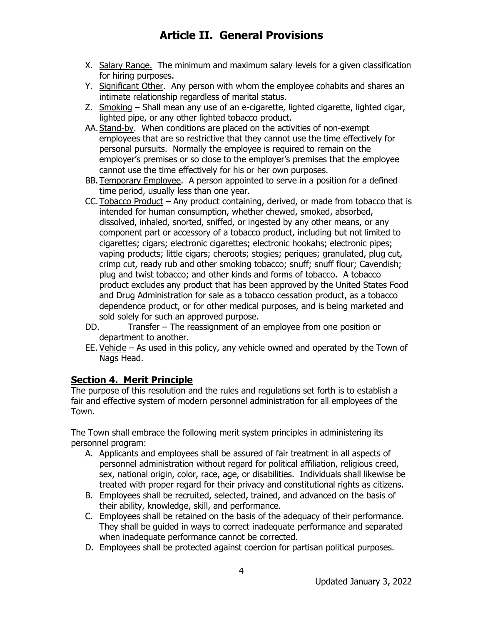- X. Salary Range. The minimum and maximum salary levels for a given classification for hiring purposes.
- Y. Significant Other. Any person with whom the employee cohabits and shares an intimate relationship regardless of marital status.
- Z. Smoking Shall mean any use of an e-cigarette, lighted cigarette, lighted cigar, lighted pipe, or any other lighted tobacco product.
- AA.Stand-by. When conditions are placed on the activities of non-exempt employees that are so restrictive that they cannot use the time effectively for personal pursuits. Normally the employee is required to remain on the employer's premises or so close to the employer's premises that the employee cannot use the time effectively for his or her own purposes.
- BB. Temporary Employee. A person appointed to serve in a position for a defined time period, usually less than one year.
- CC.Tobacco Product Any product containing, derived, or made from tobacco that is intended for human consumption, whether chewed, smoked, absorbed, dissolved, inhaled, snorted, sniffed, or ingested by any other means, or any component part or accessory of a tobacco product, including but not limited to cigarettes; cigars; electronic cigarettes; electronic hookahs; electronic pipes; vaping products; little cigars; cheroots; stogies; periques; granulated, plug cut, crimp cut, ready rub and other smoking tobacco; snuff; snuff flour; Cavendish; plug and twist tobacco; and other kinds and forms of tobacco. A tobacco product excludes any product that has been approved by the United States Food and Drug Administration for sale as a tobacco cessation product, as a tobacco dependence product, or for other medical purposes, and is being marketed and sold solely for such an approved purpose.
- DD. Transfer The reassignment of an employee from one position or department to another.
- EE. Vehicle As used in this policy, any vehicle owned and operated by the Town of Nags Head.

### **Section 4. Merit Principle**

The purpose of this resolution and the rules and regulations set forth is to establish a fair and effective system of modern personnel administration for all employees of the Town.

The Town shall embrace the following merit system principles in administering its personnel program:

- A. Applicants and employees shall be assured of fair treatment in all aspects of personnel administration without regard for political affiliation, religious creed, sex, national origin, color, race, age, or disabilities. Individuals shall likewise be treated with proper regard for their privacy and constitutional rights as citizens.
- B. Employees shall be recruited, selected, trained, and advanced on the basis of their ability, knowledge, skill, and performance.
- C. Employees shall be retained on the basis of the adequacy of their performance. They shall be guided in ways to correct inadequate performance and separated when inadequate performance cannot be corrected.
- D. Employees shall be protected against coercion for partisan political purposes.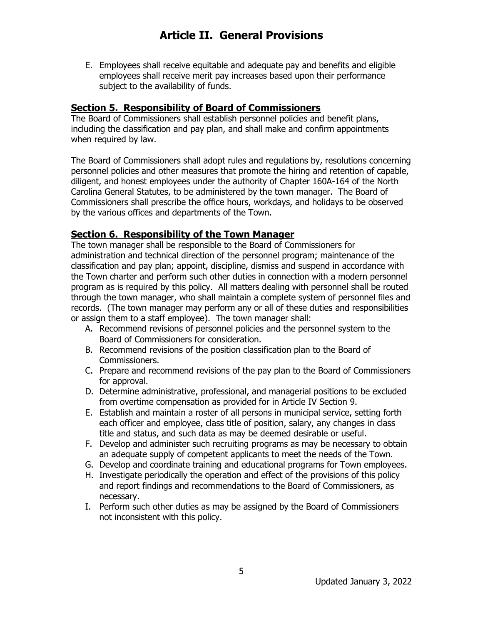E. Employees shall receive equitable and adequate pay and benefits and eligible employees shall receive merit pay increases based upon their performance subject to the availability of funds.

#### **Section 5. Responsibility of Board of Commissioners**

The Board of Commissioners shall establish personnel policies and benefit plans, including the classification and pay plan, and shall make and confirm appointments when required by law.

The Board of Commissioners shall adopt rules and regulations by, resolutions concerning personnel policies and other measures that promote the hiring and retention of capable, diligent, and honest employees under the authority of Chapter 160A-164 of the North Carolina General Statutes, to be administered by the town manager. The Board of Commissioners shall prescribe the office hours, workdays, and holidays to be observed by the various offices and departments of the Town.

#### **Section 6. Responsibility of the Town Manager**

The town manager shall be responsible to the Board of Commissioners for administration and technical direction of the personnel program; maintenance of the classification and pay plan; appoint, discipline, dismiss and suspend in accordance with the Town charter and perform such other duties in connection with a modern personnel program as is required by this policy. All matters dealing with personnel shall be routed through the town manager, who shall maintain a complete system of personnel files and records. (The town manager may perform any or all of these duties and responsibilities or assign them to a staff employee). The town manager shall:

- A. Recommend revisions of personnel policies and the personnel system to the Board of Commissioners for consideration.
- B. Recommend revisions of the position classification plan to the Board of Commissioners.
- C. Prepare and recommend revisions of the pay plan to the Board of Commissioners for approval.
- D. Determine administrative, professional, and managerial positions to be excluded from overtime compensation as provided for in Article IV Section 9.
- E. Establish and maintain a roster of all persons in municipal service, setting forth each officer and employee, class title of position, salary, any changes in class title and status, and such data as may be deemed desirable or useful.
- F. Develop and administer such recruiting programs as may be necessary to obtain an adequate supply of competent applicants to meet the needs of the Town.
- G. Develop and coordinate training and educational programs for Town employees.
- H. Investigate periodically the operation and effect of the provisions of this policy and report findings and recommendations to the Board of Commissioners, as necessary.
- I. Perform such other duties as may be assigned by the Board of Commissioners not inconsistent with this policy.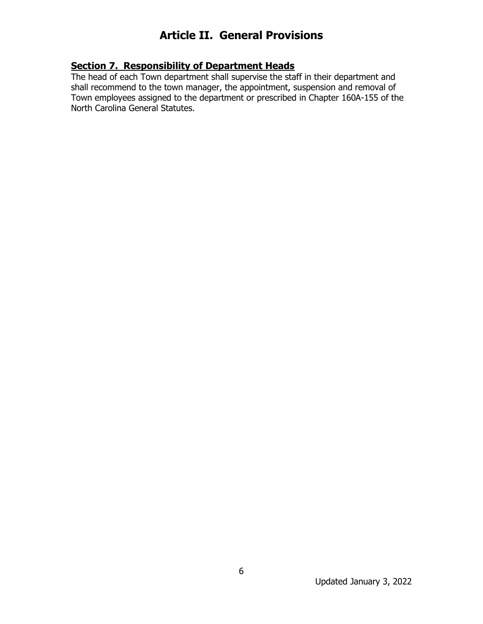### **Section 7. Responsibility of Department Heads**

The head of each Town department shall supervise the staff in their department and shall recommend to the town manager, the appointment, suspension and removal of Town employees assigned to the department or prescribed in Chapter 160A-155 of the North Carolina General Statutes.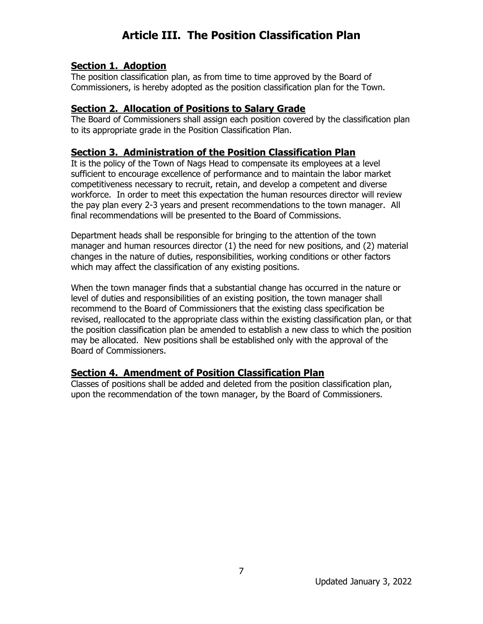# **Article III. The Position Classification Plan**

#### **Section 1. Adoption**

The position classification plan, as from time to time approved by the Board of Commissioners, is hereby adopted as the position classification plan for the Town.

#### **Section 2. Allocation of Positions to Salary Grade**

The Board of Commissioners shall assign each position covered by the classification plan to its appropriate grade in the Position Classification Plan.

#### **Section 3. Administration of the Position Classification Plan**

It is the policy of the Town of Nags Head to compensate its employees at a level sufficient to encourage excellence of performance and to maintain the labor market competitiveness necessary to recruit, retain, and develop a competent and diverse workforce. In order to meet this expectation the human resources director will review the pay plan every 2-3 years and present recommendations to the town manager. All final recommendations will be presented to the Board of Commissions.

Department heads shall be responsible for bringing to the attention of the town manager and human resources director (1) the need for new positions, and (2) material changes in the nature of duties, responsibilities, working conditions or other factors which may affect the classification of any existing positions.

When the town manager finds that a substantial change has occurred in the nature or level of duties and responsibilities of an existing position, the town manager shall recommend to the Board of Commissioners that the existing class specification be revised, reallocated to the appropriate class within the existing classification plan, or that the position classification plan be amended to establish a new class to which the position may be allocated. New positions shall be established only with the approval of the Board of Commissioners.

#### **Section 4. Amendment of Position Classification Plan**

Classes of positions shall be added and deleted from the position classification plan, upon the recommendation of the town manager, by the Board of Commissioners.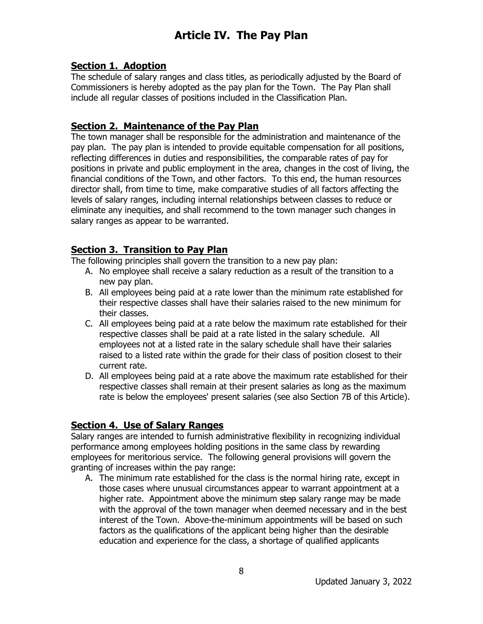#### **Section 1. Adoption**

The schedule of salary ranges and class titles, as periodically adjusted by the Board of Commissioners is hereby adopted as the pay plan for the Town. The Pay Plan shall include all regular classes of positions included in the Classification Plan.

#### **Section 2. Maintenance of the Pay Plan**

The town manager shall be responsible for the administration and maintenance of the pay plan. The pay plan is intended to provide equitable compensation for all positions, reflecting differences in duties and responsibilities, the comparable rates of pay for positions in private and public employment in the area, changes in the cost of living, the financial conditions of the Town, and other factors. To this end, the human resources director shall, from time to time, make comparative studies of all factors affecting the levels of salary ranges, including internal relationships between classes to reduce or eliminate any inequities, and shall recommend to the town manager such changes in salary ranges as appear to be warranted.

### **Section 3. Transition to Pay Plan**

The following principles shall govern the transition to a new pay plan:

- A. No employee shall receive a salary reduction as a result of the transition to a new pay plan.
- B. All employees being paid at a rate lower than the minimum rate established for their respective classes shall have their salaries raised to the new minimum for their classes.
- C. All employees being paid at a rate below the maximum rate established for their respective classes shall be paid at a rate listed in the salary schedule. All employees not at a listed rate in the salary schedule shall have their salaries raised to a listed rate within the grade for their class of position closest to their current rate.
- D. All employees being paid at a rate above the maximum rate established for their respective classes shall remain at their present salaries as long as the maximum rate is below the employees' present salaries (see also Section 7B of this Article).

### **Section 4. Use of Salary Ranges**

Salary ranges are intended to furnish administrative flexibility in recognizing individual performance among employees holding positions in the same class by rewarding employees for meritorious service. The following general provisions will govern the granting of increases within the pay range:

A. The minimum rate established for the class is the normal hiring rate, except in those cases where unusual circumstances appear to warrant appointment at a higher rate. Appointment above the minimum step salary range may be made with the approval of the town manager when deemed necessary and in the best interest of the Town. Above-the-minimum appointments will be based on such factors as the qualifications of the applicant being higher than the desirable education and experience for the class, a shortage of qualified applicants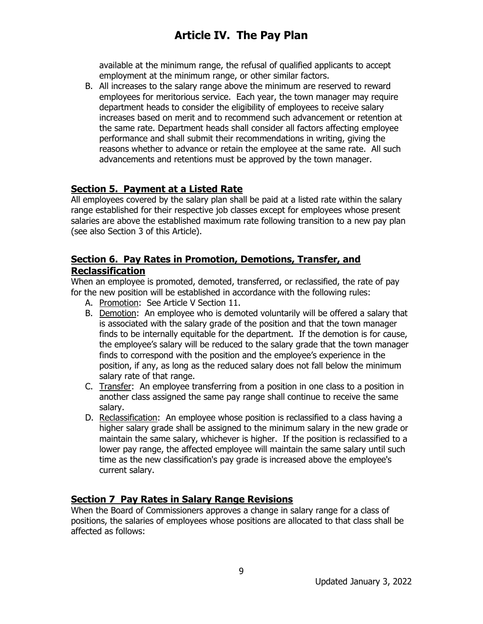available at the minimum range, the refusal of qualified applicants to accept employment at the minimum range, or other similar factors.

B. All increases to the salary range above the minimum are reserved to reward employees for meritorious service. Each year, the town manager may require department heads to consider the eligibility of employees to receive salary increases based on merit and to recommend such advancement or retention at the same rate. Department heads shall consider all factors affecting employee performance and shall submit their recommendations in writing, giving the reasons whether to advance or retain the employee at the same rate. All such advancements and retentions must be approved by the town manager.

### **Section 5. Payment at a Listed Rate**

All employees covered by the salary plan shall be paid at a listed rate within the salary range established for their respective job classes except for employees whose present salaries are above the established maximum rate following transition to a new pay plan (see also Section 3 of this Article).

#### **Section 6. Pay Rates in Promotion, Demotions, Transfer, and Reclassification**

When an employee is promoted, demoted, transferred, or reclassified, the rate of pay for the new position will be established in accordance with the following rules:

- A. Promotion: See Article V Section 11.
- B. Demotion: An employee who is demoted voluntarily will be offered a salary that is associated with the salary grade of the position and that the town manager finds to be internally equitable for the department. If the demotion is for cause, the employee's salary will be reduced to the salary grade that the town manager finds to correspond with the position and the employee's experience in the position, if any, as long as the reduced salary does not fall below the minimum salary rate of that range.
- C. Transfer: An employee transferring from a position in one class to a position in another class assigned the same pay range shall continue to receive the same salary.
- D. Reclassification: An employee whose position is reclassified to a class having a higher salary grade shall be assigned to the minimum salary in the new grade or maintain the same salary, whichever is higher. If the position is reclassified to a lower pay range, the affected employee will maintain the same salary until such time as the new classification's pay grade is increased above the employee's current salary.

### **Section 7 Pay Rates in Salary Range Revisions**

When the Board of Commissioners approves a change in salary range for a class of positions, the salaries of employees whose positions are allocated to that class shall be affected as follows: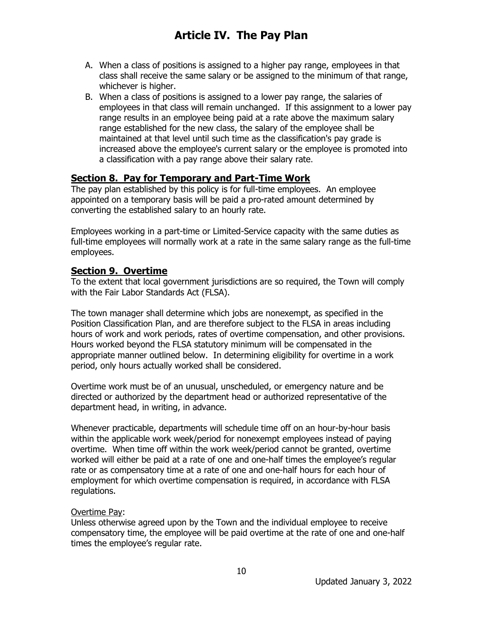- A. When a class of positions is assigned to a higher pay range, employees in that class shall receive the same salary or be assigned to the minimum of that range, whichever is higher.
- B. When a class of positions is assigned to a lower pay range, the salaries of employees in that class will remain unchanged. If this assignment to a lower pay range results in an employee being paid at a rate above the maximum salary range established for the new class, the salary of the employee shall be maintained at that level until such time as the classification's pay grade is increased above the employee's current salary or the employee is promoted into a classification with a pay range above their salary rate.

#### **Section 8. Pay for Temporary and Part-Time Work**

The pay plan established by this policy is for full-time employees. An employee appointed on a temporary basis will be paid a pro-rated amount determined by converting the established salary to an hourly rate.

Employees working in a part-time or Limited-Service capacity with the same duties as full-time employees will normally work at a rate in the same salary range as the full-time employees.

#### **Section 9. Overtime**

To the extent that local government jurisdictions are so required, the Town will comply with the Fair Labor Standards Act (FLSA).

The town manager shall determine which jobs are nonexempt, as specified in the Position Classification Plan, and are therefore subject to the FLSA in areas including hours of work and work periods, rates of overtime compensation, and other provisions. Hours worked beyond the FLSA statutory minimum will be compensated in the appropriate manner outlined below. In determining eligibility for overtime in a work period, only hours actually worked shall be considered.

Overtime work must be of an unusual, unscheduled, or emergency nature and be directed or authorized by the department head or authorized representative of the department head, in writing, in advance.

Whenever practicable, departments will schedule time off on an hour-by-hour basis within the applicable work week/period for nonexempt employees instead of paying overtime. When time off within the work week/period cannot be granted, overtime worked will either be paid at a rate of one and one-half times the employee's regular rate or as compensatory time at a rate of one and one-half hours for each hour of employment for which overtime compensation is required, in accordance with FLSA regulations.

#### Overtime Pay:

Unless otherwise agreed upon by the Town and the individual employee to receive compensatory time, the employee will be paid overtime at the rate of one and one-half times the employee's regular rate.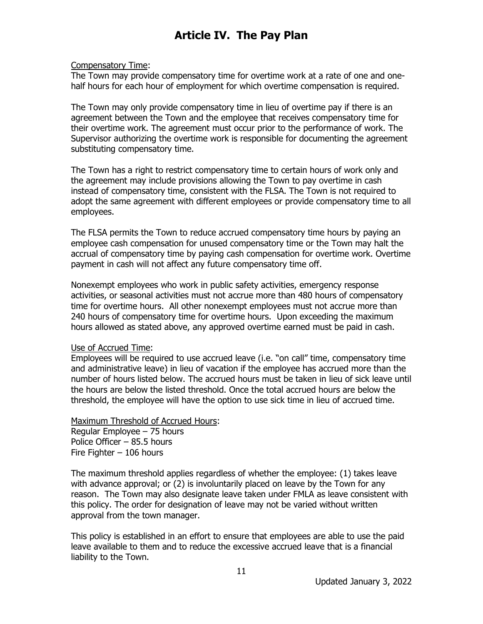#### Compensatory Time:

The Town may provide compensatory time for overtime work at a rate of one and onehalf hours for each hour of employment for which overtime compensation is required.

The Town may only provide compensatory time in lieu of overtime pay if there is an agreement between the Town and the employee that receives compensatory time for their overtime work. The agreement must occur prior to the performance of work. The Supervisor authorizing the overtime work is responsible for documenting the agreement substituting compensatory time.

The Town has a right to restrict compensatory time to certain hours of work only and the agreement may include provisions allowing the Town to pay overtime in cash instead of compensatory time, consistent with the FLSA. The Town is not required to adopt the same agreement with different employees or provide compensatory time to all employees.

The FLSA permits the Town to reduce accrued compensatory time hours by paying an employee cash compensation for unused compensatory time or the Town may halt the accrual of compensatory time by paying cash compensation for overtime work. Overtime payment in cash will not affect any future compensatory time off.

Nonexempt employees who work in public safety activities, emergency response activities, or seasonal activities must not accrue more than 480 hours of compensatory time for overtime hours. All other nonexempt employees must not accrue more than 240 hours of compensatory time for overtime hours. Upon exceeding the maximum hours allowed as stated above, any approved overtime earned must be paid in cash.

#### Use of Accrued Time:

Employees will be required to use accrued leave (i.e. "on call" time, compensatory time and administrative leave) in lieu of vacation if the employee has accrued more than the number of hours listed below. The accrued hours must be taken in lieu of sick leave until the hours are below the listed threshold. Once the total accrued hours are below the threshold, the employee will have the option to use sick time in lieu of accrued time.

Maximum Threshold of Accrued Hours: Regular Employee – 75 hours Police Officer – 85.5 hours Fire Fighter – 106 hours

The maximum threshold applies regardless of whether the employee: (1) takes leave with advance approval; or (2) is involuntarily placed on leave by the Town for any reason. The Town may also designate leave taken under FMLA as leave consistent with this policy. The order for designation of leave may not be varied without written approval from the town manager.

This policy is established in an effort to ensure that employees are able to use the paid leave available to them and to reduce the excessive accrued leave that is a financial liability to the Town.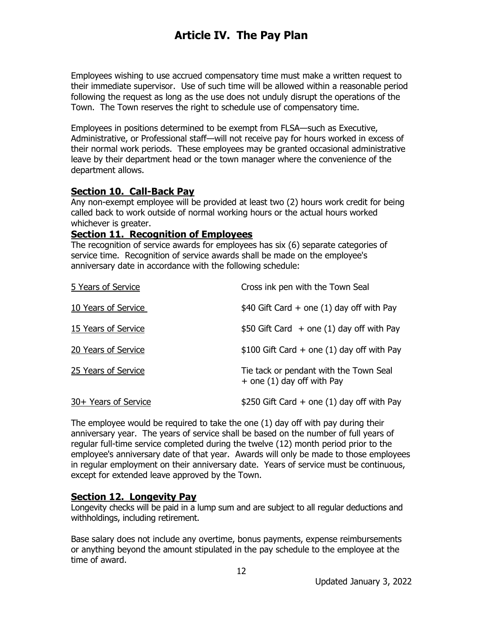Employees wishing to use accrued compensatory time must make a written request to their immediate supervisor. Use of such time will be allowed within a reasonable period following the request as long as the use does not unduly disrupt the operations of the Town. The Town reserves the right to schedule use of compensatory time.

Employees in positions determined to be exempt from FLSA—such as Executive, Administrative, or Professional staff—will not receive pay for hours worked in excess of their normal work periods. These employees may be granted occasional administrative leave by their department head or the town manager where the convenience of the department allows.

### **Section 10. Call-Back Pay**

Any non-exempt employee will be provided at least two (2) hours work credit for being called back to work outside of normal working hours or the actual hours worked whichever is greater.

#### **Section 11. Recognition of Employees**

The recognition of service awards for employees has six (6) separate categories of service time. Recognition of service awards shall be made on the employee's anniversary date in accordance with the following schedule:

| 5 Years of Service   | Cross ink pen with the Town Seal                                       |
|----------------------|------------------------------------------------------------------------|
| 10 Years of Service  | $$40$ Gift Card + one (1) day off with Pay                             |
| 15 Years of Service  | $$50$ Gift Card $+$ one (1) day off with Pay                           |
| 20 Years of Service  | $$100$ Gift Card + one (1) day off with Pay                            |
| 25 Years of Service  | Tie tack or pendant with the Town Seal<br>$+$ one (1) day off with Pay |
| 30+ Years of Service | \$250 Gift Card $+$ one (1) day off with Pay                           |

The employee would be required to take the one (1) day off with pay during their anniversary year. The years of service shall be based on the number of full years of regular full-time service completed during the twelve (12) month period prior to the employee's anniversary date of that year. Awards will only be made to those employees in regular employment on their anniversary date. Years of service must be continuous, except for extended leave approved by the Town.

#### **Section 12. Longevity Pay**

Longevity checks will be paid in a lump sum and are subject to all regular deductions and withholdings, including retirement.

Base salary does not include any overtime, bonus payments, expense reimbursements or anything beyond the amount stipulated in the pay schedule to the employee at the time of award.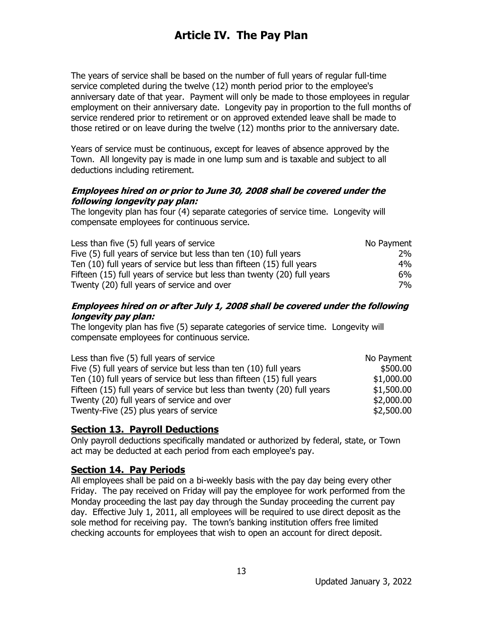The years of service shall be based on the number of full years of regular full-time service completed during the twelve (12) month period prior to the employee's anniversary date of that year. Payment will only be made to those employees in regular employment on their anniversary date. Longevity pay in proportion to the full months of service rendered prior to retirement or on approved extended leave shall be made to those retired or on leave during the twelve (12) months prior to the anniversary date.

Years of service must be continuous, except for leaves of absence approved by the Town. All longevity pay is made in one lump sum and is taxable and subject to all deductions including retirement.

#### **Employees hired on or prior to June 30, 2008 shall be covered under the following longevity pay plan:**

The longevity plan has four (4) separate categories of service time.Longevity will compensate employees for continuous service.

| Less than five (5) full years of service                                | No Payment |
|-------------------------------------------------------------------------|------------|
| Five (5) full years of service but less than ten (10) full years        | 2%         |
| Ten (10) full years of service but less than fifteen (15) full years    | 4%         |
| Fifteen (15) full years of service but less than twenty (20) full years | 6%         |
| Twenty (20) full years of service and over                              | 7%         |

#### **Employees hired on or after July 1, 2008 shall be covered under the following longevity pay plan:**

The longevity plan has five (5) separate categories of service time. Longevity will compensate employees for continuous service.

| Less than five (5) full years of service                                | No Payment |
|-------------------------------------------------------------------------|------------|
| Five (5) full years of service but less than ten (10) full years        | \$500.00   |
| Ten (10) full years of service but less than fifteen (15) full years    | \$1,000.00 |
| Fifteen (15) full years of service but less than twenty (20) full years | \$1,500.00 |
| Twenty (20) full years of service and over                              | \$2,000.00 |
| Twenty-Five (25) plus years of service                                  | \$2,500.00 |

#### **Section 13. Payroll Deductions**

Only payroll deductions specifically mandated or authorized by federal, state, or Town act may be deducted at each period from each employee's pay.

### **Section 14. Pay Periods**

All employees shall be paid on a bi-weekly basis with the pay day being every other Friday. The pay received on Friday will pay the employee for work performed from the Monday proceeding the last pay day through the Sunday proceeding the current pay day. Effective July 1, 2011, all employees will be required to use direct deposit as the sole method for receiving pay. The town's banking institution offers free limited checking accounts for employees that wish to open an account for direct deposit.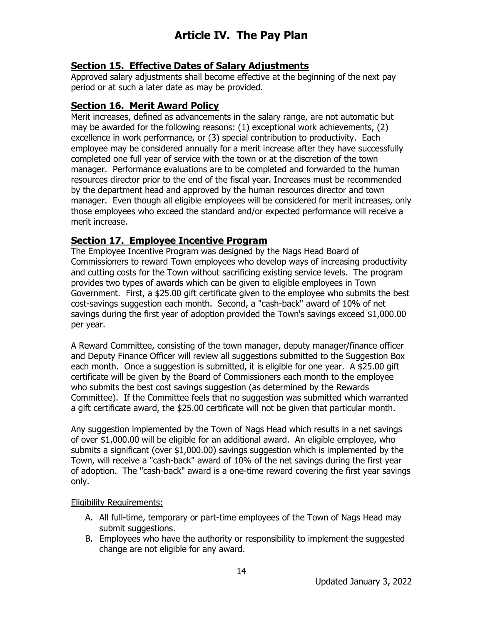### **Section 15. Effective Dates of Salary Adjustments**

Approved salary adjustments shall become effective at the beginning of the next pay period or at such a later date as may be provided.

#### **Section 16. Merit Award Policy**

Merit increases, defined as advancements in the salary range, are not automatic but may be awarded for the following reasons: (1) exceptional work achievements, (2) excellence in work performance, or (3) special contribution to productivity. Each employee may be considered annually for a merit increase after they have successfully completed one full year of service with the town or at the discretion of the town manager. Performance evaluations are to be completed and forwarded to the human resources director prior to the end of the fiscal year. Increases must be recommended by the department head and approved by the human resources director and town manager. Even though all eligible employees will be considered for merit increases, only those employees who exceed the standard and/or expected performance will receive a merit increase.

#### **Section 17. Employee Incentive Program**

The Employee Incentive Program was designed by the Nags Head Board of Commissioners to reward Town employees who develop ways of increasing productivity and cutting costs for the Town without sacrificing existing service levels. The program provides two types of awards which can be given to eligible employees in Town Government. First, a \$25.00 gift certificate given to the employee who submits the best cost-savings suggestion each month. Second, a "cash-back" award of 10% of net savings during the first year of adoption provided the Town's savings exceed \$1,000.00 per year.

A Reward Committee, consisting of the town manager, deputy manager/finance officer and Deputy Finance Officer will review all suggestions submitted to the Suggestion Box each month. Once a suggestion is submitted, it is eligible for one year. A \$25.00 gift certificate will be given by the Board of Commissioners each month to the employee who submits the best cost savings suggestion (as determined by the Rewards Committee). If the Committee feels that no suggestion was submitted which warranted a gift certificate award, the \$25.00 certificate will not be given that particular month.

Any suggestion implemented by the Town of Nags Head which results in a net savings of over \$1,000.00 will be eligible for an additional award. An eligible employee, who submits a significant (over \$1,000.00) savings suggestion which is implemented by the Town, will receive a "cash-back" award of 10% of the net savings during the first year of adoption. The "cash-back" award is a one-time reward covering the first year savings only.

#### Eligibility Requirements:

- A. All full-time, temporary or part-time employees of the Town of Nags Head may submit suggestions.
- B. Employees who have the authority or responsibility to implement the suggested change are not eligible for any award.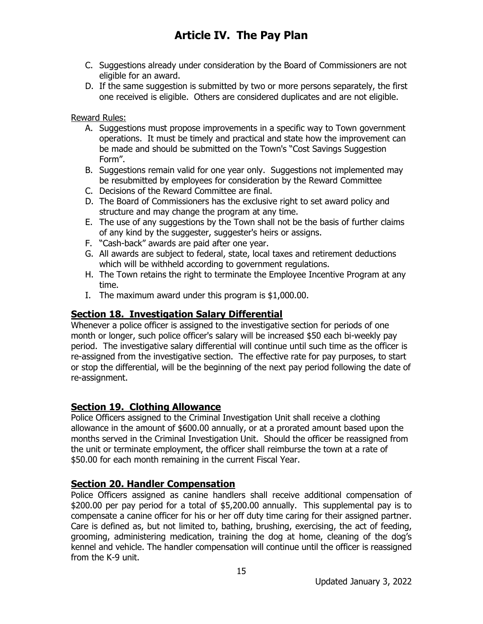- C. Suggestions already under consideration by the Board of Commissioners are not eligible for an award.
- D. If the same suggestion is submitted by two or more persons separately, the first one received is eligible. Others are considered duplicates and are not eligible.

Reward Rules:

- A. Suggestions must propose improvements in a specific way to Town government operations. It must be timely and practical and state how the improvement can be made and should be submitted on the Town's "Cost Savings Suggestion Form".
- B. Suggestions remain valid for one year only. Suggestions not implemented may be resubmitted by employees for consideration by the Reward Committee
- C. Decisions of the Reward Committee are final.
- D. The Board of Commissioners has the exclusive right to set award policy and structure and may change the program at any time.
- E. The use of any suggestions by the Town shall not be the basis of further claims of any kind by the suggester, suggester's heirs or assigns.
- F. "Cash-back" awards are paid after one year.
- G. All awards are subject to federal, state, local taxes and retirement deductions which will be withheld according to government regulations.
- H. The Town retains the right to terminate the Employee Incentive Program at any time.
- I. The maximum award under this program is \$1,000.00.

### **Section 18. Investigation Salary Differential**

Whenever a police officer is assigned to the investigative section for periods of one month or longer, such police officer's salary will be increased \$50 each bi-weekly pay period. The investigative salary differential will continue until such time as the officer is re-assigned from the investigative section. The effective rate for pay purposes, to start or stop the differential, will be the beginning of the next pay period following the date of re-assignment.

### **Section 19. Clothing Allowance**

Police Officers assigned to the Criminal Investigation Unit shall receive a clothing allowance in the amount of \$600.00 annually, or at a prorated amount based upon the months served in the Criminal Investigation Unit. Should the officer be reassigned from the unit or terminate employment, the officer shall reimburse the town at a rate of \$50.00 for each month remaining in the current Fiscal Year.

### **Section 20. Handler Compensation**

Police Officers assigned as canine handlers shall receive additional compensation of \$200.00 per pay period for a total of \$5,200.00 annually. This supplemental pay is to compensate a canine officer for his or her off duty time caring for their assigned partner. Care is defined as, but not limited to, bathing, brushing, exercising, the act of feeding, grooming, administering medication, training the dog at home, cleaning of the dog's kennel and vehicle. The handler compensation will continue until the officer is reassigned from the K-9 unit.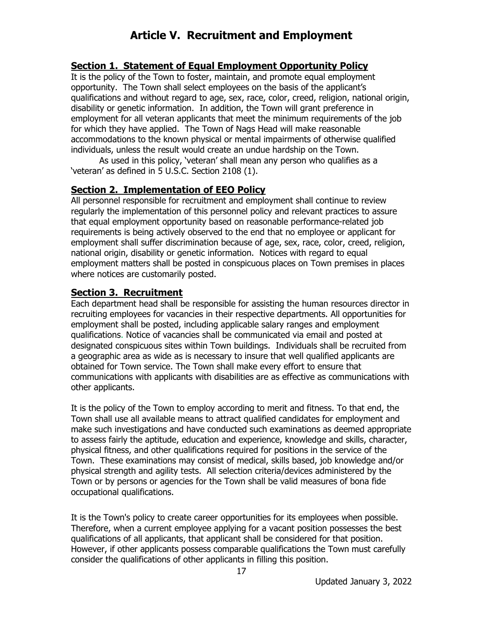#### **Section 1. Statement of Equal Employment Opportunity Policy**

It is the policy of the Town to foster, maintain, and promote equal employment opportunity. The Town shall select employees on the basis of the applicant's qualifications and without regard to age, sex, race, color, creed, religion, national origin, disability or genetic information. In addition, the Town will grant preference in employment for all veteran applicants that meet the minimum requirements of the job for which they have applied. The Town of Nags Head will make reasonable accommodations to the known physical or mental impairments of otherwise qualified individuals, unless the result would create an undue hardship on the Town.

As used in this policy, 'veteran' shall mean any person who qualifies as a 'veteran' as defined in 5 U.S.C. Section 2108 (1).

#### **Section 2. Implementation of EEO Policy**

All personnel responsible for recruitment and employment shall continue to review regularly the implementation of this personnel policy and relevant practices to assure that equal employment opportunity based on reasonable performance-related job requirements is being actively observed to the end that no employee or applicant for employment shall suffer discrimination because of age, sex, race, color, creed, religion, national origin, disability or genetic information. Notices with regard to equal employment matters shall be posted in conspicuous places on Town premises in places where notices are customarily posted.

#### **Section 3. Recruitment**

Each department head shall be responsible for assisting the human resources director in recruiting employees for vacancies in their respective departments. All opportunities for employment shall be posted, including applicable salary ranges and employment qualifications. Notice of vacancies shall be communicated via email and posted at designated conspicuous sites within Town buildings. Individuals shall be recruited from a geographic area as wide as is necessary to insure that well qualified applicants are obtained for Town service. The Town shall make every effort to ensure that communications with applicants with disabilities are as effective as communications with other applicants.

It is the policy of the Town to employ according to merit and fitness. To that end, the Town shall use all available means to attract qualified candidates for employment and make such investigations and have conducted such examinations as deemed appropriate to assess fairly the aptitude, education and experience, knowledge and skills, character, physical fitness, and other qualifications required for positions in the service of the Town. These examinations may consist of medical, skills based, job knowledge and/or physical strength and agility tests. All selection criteria/devices administered by the Town or by persons or agencies for the Town shall be valid measures of bona fide occupational qualifications.

It is the Town's policy to create career opportunities for its employees when possible. Therefore, when a current employee applying for a vacant position possesses the best qualifications of all applicants, that applicant shall be considered for that position. However, if other applicants possess comparable qualifications the Town must carefully consider the qualifications of other applicants in filling this position.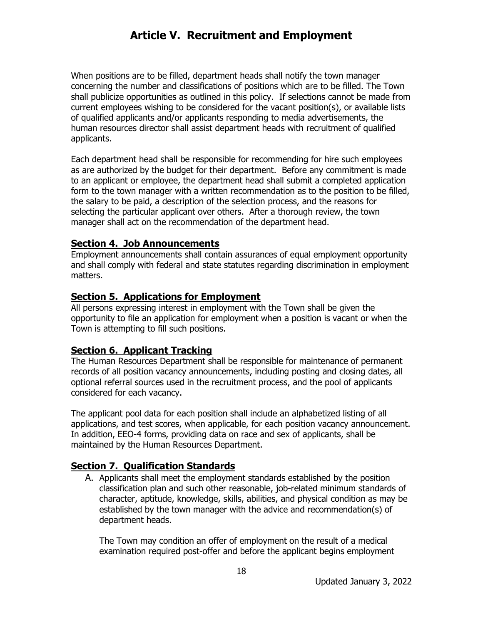When positions are to be filled, department heads shall notify the town manager concerning the number and classifications of positions which are to be filled. The Town shall publicize opportunities as outlined in this policy. If selections cannot be made from current employees wishing to be considered for the vacant position(s), or available lists of qualified applicants and/or applicants responding to media advertisements, the human resources director shall assist department heads with recruitment of qualified applicants.

Each department head shall be responsible for recommending for hire such employees as are authorized by the budget for their department. Before any commitment is made to an applicant or employee, the department head shall submit a completed application form to the town manager with a written recommendation as to the position to be filled, the salary to be paid, a description of the selection process, and the reasons for selecting the particular applicant over others. After a thorough review, the town manager shall act on the recommendation of the department head.

#### **Section 4. Job Announcements**

Employment announcements shall contain assurances of equal employment opportunity and shall comply with federal and state statutes regarding discrimination in employment matters.

#### **Section 5. Applications for Employment**

All persons expressing interest in employment with the Town shall be given the opportunity to file an application for employment when a position is vacant or when the Town is attempting to fill such positions.

#### **Section 6. Applicant Tracking**

The Human Resources Department shall be responsible for maintenance of permanent records of all position vacancy announcements, including posting and closing dates, all optional referral sources used in the recruitment process, and the pool of applicants considered for each vacancy.

The applicant pool data for each position shall include an alphabetized listing of all applications, and test scores, when applicable, for each position vacancy announcement. In addition, EEO-4 forms, providing data on race and sex of applicants, shall be maintained by the Human Resources Department.

#### **Section 7. Qualification Standards**

A. Applicants shall meet the employment standards established by the position classification plan and such other reasonable, job-related minimum standards of character, aptitude, knowledge, skills, abilities, and physical condition as may be established by the town manager with the advice and recommendation(s) of department heads.

The Town may condition an offer of employment on the result of a medical examination required post-offer and before the applicant begins employment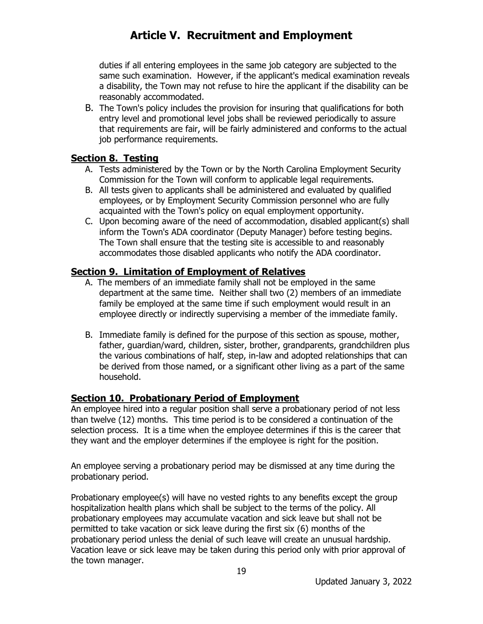duties if all entering employees in the same job category are subjected to the same such examination. However, if the applicant's medical examination reveals a disability, the Town may not refuse to hire the applicant if the disability can be reasonably accommodated.

B. The Town's policy includes the provision for insuring that qualifications for both entry level and promotional level jobs shall be reviewed periodically to assure that requirements are fair, will be fairly administered and conforms to the actual job performance requirements.

#### **Section 8. Testing**

- A. Tests administered by the Town or by the North Carolina Employment Security Commission for the Town will conform to applicable legal requirements.
- B. All tests given to applicants shall be administered and evaluated by qualified employees, or by Employment Security Commission personnel who are fully acquainted with the Town's policy on equal employment opportunity.
- C. Upon becoming aware of the need of accommodation, disabled applicant(s) shall inform the Town's ADA coordinator (Deputy Manager) before testing begins. The Town shall ensure that the testing site is accessible to and reasonably accommodates those disabled applicants who notify the ADA coordinator.

### **Section 9. Limitation of Employment of Relatives**

- A. The members of an immediate family shall not be employed in the same department at the same time. Neither shall two (2) members of an immediate family be employed at the same time if such employment would result in an employee directly or indirectly supervising a member of the immediate family.
- B. Immediate family is defined for the purpose of this section as spouse, mother, father, guardian/ward, children, sister, brother, grandparents, grandchildren plus the various combinations of half, step, in-law and adopted relationships that can be derived from those named, or a significant other living as a part of the same household.

### **Section 10. Probationary Period of Employment**

An employee hired into a regular position shall serve a probationary period of not less than twelve (12) months. This time period is to be considered a continuation of the selection process. It is a time when the employee determines if this is the career that they want and the employer determines if the employee is right for the position.

An employee serving a probationary period may be dismissed at any time during the probationary period.

Probationary employee(s) will have no vested rights to any benefits except the group hospitalization health plans which shall be subject to the terms of the policy. All probationary employees may accumulate vacation and sick leave but shall not be permitted to take vacation or sick leave during the first six (6) months of the probationary period unless the denial of such leave will create an unusual hardship. Vacation leave or sick leave may be taken during this period only with prior approval of the town manager.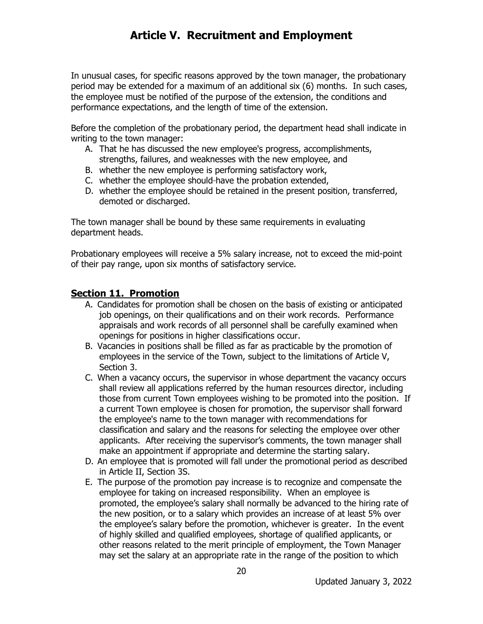In unusual cases, for specific reasons approved by the town manager, the probationary period may be extended for a maximum of an additional six (6) months. In such cases, the employee must be notified of the purpose of the extension, the conditions and performance expectations, and the length of time of the extension.

Before the completion of the probationary period, the department head shall indicate in writing to the town manager:

- A. That he has discussed the new employee's progress, accomplishments, strengths, failures, and weaknesses with the new employee, and
- B. whether the new employee is performing satisfactory work,
- C. whether the employee should have the probation extended,
- D. whether the employee should be retained in the present position, transferred, demoted or discharged.

The town manager shall be bound by these same requirements in evaluating department heads.

Probationary employees will receive a 5% salary increase, not to exceed the mid-point of their pay range, upon six months of satisfactory service.

#### **Section 11. Promotion**

- A. Candidates for promotion shall be chosen on the basis of existing or anticipated job openings, on their qualifications and on their work records. Performance appraisals and work records of all personnel shall be carefully examined when openings for positions in higher classifications occur.
- B. Vacancies in positions shall be filled as far as practicable by the promotion of employees in the service of the Town, subject to the limitations of Article V, Section 3.
- C. When a vacancy occurs, the supervisor in whose department the vacancy occurs shall review all applications referred by the human resources director, including those from current Town employees wishing to be promoted into the position. If a current Town employee is chosen for promotion, the supervisor shall forward the employee's name to the town manager with recommendations for classification and salary and the reasons for selecting the employee over other applicants. After receiving the supervisor's comments, the town manager shall make an appointment if appropriate and determine the starting salary.
- D. An employee that is promoted will fall under the promotional period as described in Article II, Section 3S.
- E. The purpose of the promotion pay increase is to recognize and compensate the employee for taking on increased responsibility. When an employee is promoted, the employee's salary shall normally be advanced to the hiring rate of the new position, or to a salary which provides an increase of at least 5% over the employee's salary before the promotion, whichever is greater. In the event of highly skilled and qualified employees, shortage of qualified applicants, or other reasons related to the merit principle of employment, the Town Manager may set the salary at an appropriate rate in the range of the position to which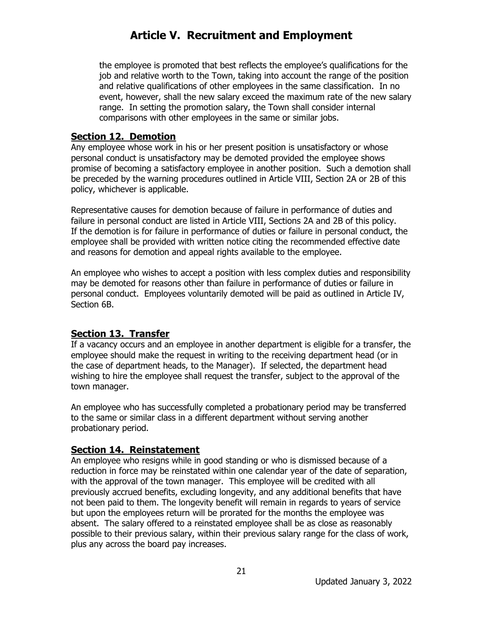the employee is promoted that best reflects the employee's qualifications for the job and relative worth to the Town, taking into account the range of the position and relative qualifications of other employees in the same classification. In no event, however, shall the new salary exceed the maximum rate of the new salary range. In setting the promotion salary, the Town shall consider internal comparisons with other employees in the same or similar jobs.

#### **Section 12. Demotion**

Any employee whose work in his or her present position is unsatisfactory or whose personal conduct is unsatisfactory may be demoted provided the employee shows promise of becoming a satisfactory employee in another position. Such a demotion shall be preceded by the warning procedures outlined in Article VIII, Section 2A or 2B of this policy, whichever is applicable.

Representative causes for demotion because of failure in performance of duties and failure in personal conduct are listed in Article VIII, Sections 2A and 2B of this policy. If the demotion is for failure in performance of duties or failure in personal conduct, the employee shall be provided with written notice citing the recommended effective date and reasons for demotion and appeal rights available to the employee.

An employee who wishes to accept a position with less complex duties and responsibility may be demoted for reasons other than failure in performance of duties or failure in personal conduct. Employees voluntarily demoted will be paid as outlined in Article IV, Section 6B.

### **Section 13. Transfer**

If a vacancy occurs and an employee in another department is eligible for a transfer, the employee should make the request in writing to the receiving department head (or in the case of department heads, to the Manager). If selected, the department head wishing to hire the employee shall request the transfer, subject to the approval of the town manager.

An employee who has successfully completed a probationary period may be transferred to the same or similar class in a different department without serving another probationary period.

### **Section 14. Reinstatement**

An employee who resigns while in good standing or who is dismissed because of a reduction in force may be reinstated within one calendar year of the date of separation, with the approval of the town manager. This employee will be credited with all previously accrued benefits, excluding longevity, and any additional benefits that have not been paid to them. The longevity benefit will remain in regards to years of service but upon the employees return will be prorated for the months the employee was absent. The salary offered to a reinstated employee shall be as close as reasonably possible to their previous salary, within their previous salary range for the class of work, plus any across the board pay increases.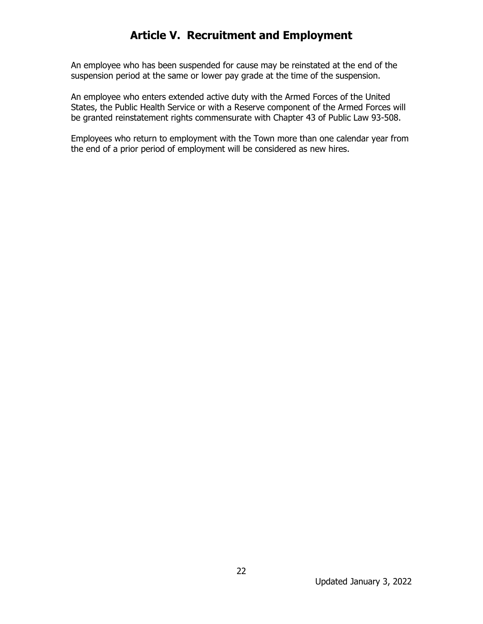An employee who has been suspended for cause may be reinstated at the end of the suspension period at the same or lower pay grade at the time of the suspension.

An employee who enters extended active duty with the Armed Forces of the United States, the Public Health Service or with a Reserve component of the Armed Forces will be granted reinstatement rights commensurate with Chapter 43 of Public Law 93-508.

Employees who return to employment with the Town more than one calendar year from the end of a prior period of employment will be considered as new hires.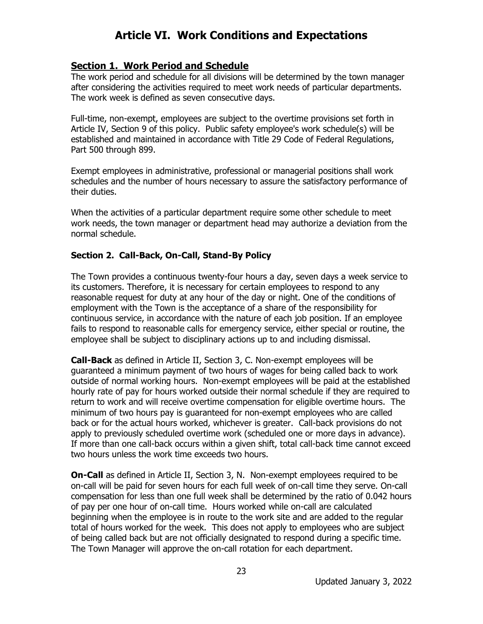#### **Section 1. Work Period and Schedule**

The work period and schedule for all divisions will be determined by the town manager after considering the activities required to meet work needs of particular departments. The work week is defined as seven consecutive days.

Full-time, non-exempt, employees are subject to the overtime provisions set forth in Article IV, Section 9 of this policy. Public safety employee's work schedule(s) will be established and maintained in accordance with Title 29 Code of Federal Regulations, Part 500 through 899.

Exempt employees in administrative, professional or managerial positions shall work schedules and the number of hours necessary to assure the satisfactory performance of their duties.

When the activities of a particular department require some other schedule to meet work needs, the town manager or department head may authorize a deviation from the normal schedule.

#### **Section 2. Call-Back, On-Call, Stand-By Policy**

The Town provides a continuous twenty-four hours a day, seven days a week service to its customers. Therefore, it is necessary for certain employees to respond to any reasonable request for duty at any hour of the day or night. One of the conditions of employment with the Town is the acceptance of a share of the responsibility for continuous service, in accordance with the nature of each job position. If an employee fails to respond to reasonable calls for emergency service, either special or routine, the employee shall be subject to disciplinary actions up to and including dismissal.

**Call-Back** as defined in Article II, Section 3, C. Non-exempt employees will be guaranteed a minimum payment of two hours of wages for being called back to work outside of normal working hours. Non-exempt employees will be paid at the established hourly rate of pay for hours worked outside their normal schedule if they are required to return to work and will receive overtime compensation for eligible overtime hours. The minimum of two hours pay is guaranteed for non-exempt employees who are called back or for the actual hours worked, whichever is greater. Call-back provisions do not apply to previously scheduled overtime work (scheduled one or more days in advance). If more than one call-back occurs within a given shift, total call-back time cannot exceed two hours unless the work time exceeds two hours.

**On-Call** as defined in Article II, Section 3, N. Non-exempt employees required to be on-call will be paid for seven hours for each full week of on-call time they serve. On-call compensation for less than one full week shall be determined by the ratio of 0.042 hours of pay per one hour of on-call time. Hours worked while on-call are calculated beginning when the employee is in route to the work site and are added to the regular total of hours worked for the week. This does not apply to employees who are subject of being called back but are not officially designated to respond during a specific time. The Town Manager will approve the on-call rotation for each department.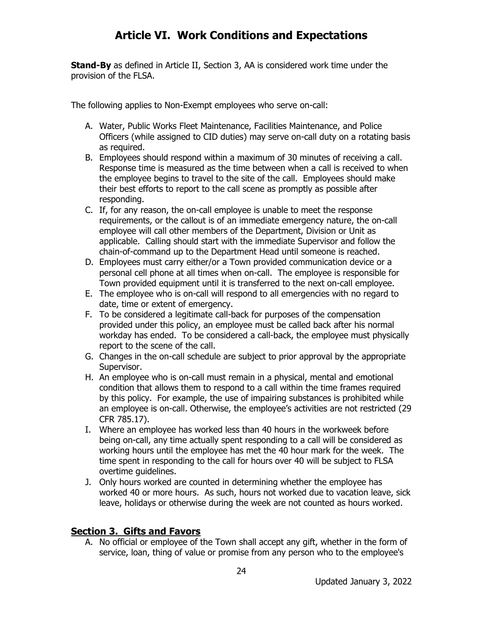**Stand-By** as defined in Article II, Section 3, AA is considered work time under the provision of the FLSA.

The following applies to Non-Exempt employees who serve on-call:

- A. Water, Public Works Fleet Maintenance, Facilities Maintenance, and Police Officers (while assigned to CID duties) may serve on-call duty on a rotating basis as required.
- B. Employees should respond within a maximum of 30 minutes of receiving a call. Response time is measured as the time between when a call is received to when the employee begins to travel to the site of the call. Employees should make their best efforts to report to the call scene as promptly as possible after responding.
- C. If, for any reason, the on-call employee is unable to meet the response requirements, or the callout is of an immediate emergency nature, the on-call employee will call other members of the Department, Division or Unit as applicable. Calling should start with the immediate Supervisor and follow the chain-of-command up to the Department Head until someone is reached.
- D. Employees must carry either/or a Town provided communication device or a personal cell phone at all times when on-call. The employee is responsible for Town provided equipment until it is transferred to the next on-call employee.
- E. The employee who is on-call will respond to all emergencies with no regard to date, time or extent of emergency.
- F. To be considered a legitimate call-back for purposes of the compensation provided under this policy, an employee must be called back after his normal workday has ended. To be considered a call-back, the employee must physically report to the scene of the call.
- G. Changes in the on-call schedule are subject to prior approval by the appropriate Supervisor.
- H. An employee who is on-call must remain in a physical, mental and emotional condition that allows them to respond to a call within the time frames required by this policy. For example, the use of impairing substances is prohibited while an employee is on-call. Otherwise, the employee's activities are not restricted (29 CFR 785.17).
- I. Where an employee has worked less than 40 hours in the workweek before being on-call, any time actually spent responding to a call will be considered as working hours until the employee has met the 40 hour mark for the week. The time spent in responding to the call for hours over 40 will be subject to FLSA overtime guidelines.
- J. Only hours worked are counted in determining whether the employee has worked 40 or more hours. As such, hours not worked due to vacation leave, sick leave, holidays or otherwise during the week are not counted as hours worked.

### **Section 3. Gifts and Favors**

A. No official or employee of the Town shall accept any gift, whether in the form of service, loan, thing of value or promise from any person who to the employee's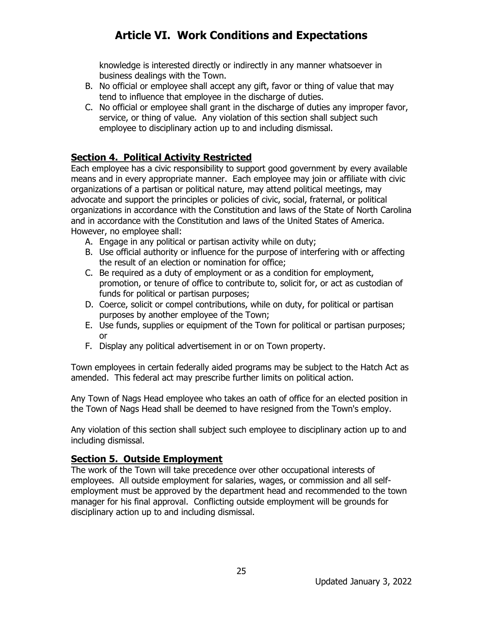knowledge is interested directly or indirectly in any manner whatsoever in business dealings with the Town.

- B. No official or employee shall accept any gift, favor or thing of value that may tend to influence that employee in the discharge of duties.
- C. No official or employee shall grant in the discharge of duties any improper favor, service, or thing of value. Any violation of this section shall subject such employee to disciplinary action up to and including dismissal.

### **Section 4. Political Activity Restricted**

Each employee has a civic responsibility to support good government by every available means and in every appropriate manner. Each employee may join or affiliate with civic organizations of a partisan or political nature, may attend political meetings, may advocate and support the principles or policies of civic, social, fraternal, or political organizations in accordance with the Constitution and laws of the State of North Carolina and in accordance with the Constitution and laws of the United States of America. However, no employee shall:

- A. Engage in any political or partisan activity while on duty;
- B. Use official authority or influence for the purpose of interfering with or affecting the result of an election or nomination for office;
- C. Be required as a duty of employment or as a condition for employment, promotion, or tenure of office to contribute to, solicit for, or act as custodian of funds for political or partisan purposes;
- D. Coerce, solicit or compel contributions, while on duty, for political or partisan purposes by another employee of the Town;
- E. Use funds, supplies or equipment of the Town for political or partisan purposes; or
- F. Display any political advertisement in or on Town property.

Town employees in certain federally aided programs may be subject to the Hatch Act as amended. This federal act may prescribe further limits on political action.

Any Town of Nags Head employee who takes an oath of office for an elected position in the Town of Nags Head shall be deemed to have resigned from the Town's employ.

Any violation of this section shall subject such employee to disciplinary action up to and including dismissal.

### **Section 5. Outside Employment**

The work of the Town will take precedence over other occupational interests of employees. All outside employment for salaries, wages, or commission and all selfemployment must be approved by the department head and recommended to the town manager for his final approval. Conflicting outside employment will be grounds for disciplinary action up to and including dismissal.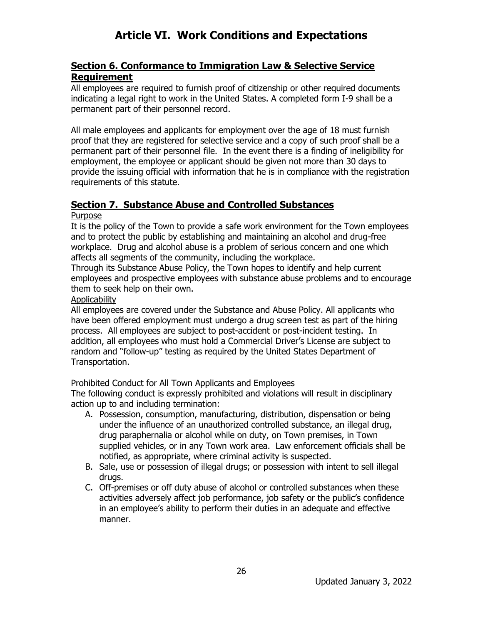### **Section 6. Conformance to Immigration Law & Selective Service Requirement**

All employees are required to furnish proof of citizenship or other required documents indicating a legal right to work in the United States. A completed form I-9 shall be a permanent part of their personnel record.

All male employees and applicants for employment over the age of 18 must furnish proof that they are registered for selective service and a copy of such proof shall be a permanent part of their personnel file. In the event there is a finding of ineligibility for employment, the employee or applicant should be given not more than 30 days to provide the issuing official with information that he is in compliance with the registration requirements of this statute.

### **Section 7. Substance Abuse and Controlled Substances**

#### Purpose

It is the policy of the Town to provide a safe work environment for the Town employees and to protect the public by establishing and maintaining an alcohol and drug-free workplace. Drug and alcohol abuse is a problem of serious concern and one which affects all segments of the community, including the workplace.

Through its Substance Abuse Policy, the Town hopes to identify and help current employees and prospective employees with substance abuse problems and to encourage them to seek help on their own.

#### **Applicability**

All employees are covered under the Substance and Abuse Policy. All applicants who have been offered employment must undergo a drug screen test as part of the hiring process. All employees are subject to post-accident or post-incident testing. In addition, all employees who must hold a Commercial Driver's License are subject to random and "follow-up" testing as required by the United States Department of Transportation.

### Prohibited Conduct for All Town Applicants and Employees

The following conduct is expressly prohibited and violations will result in disciplinary action up to and including termination:

- A. Possession, consumption, manufacturing, distribution, dispensation or being under the influence of an unauthorized controlled substance, an illegal drug, drug paraphernalia or alcohol while on duty, on Town premises, in Town supplied vehicles, or in any Town work area. Law enforcement officials shall be notified, as appropriate, where criminal activity is suspected.
- B. Sale, use or possession of illegal drugs; or possession with intent to sell illegal drugs.
- C. Off-premises or off duty abuse of alcohol or controlled substances when these activities adversely affect job performance, job safety or the public's confidence in an employee's ability to perform their duties in an adequate and effective manner.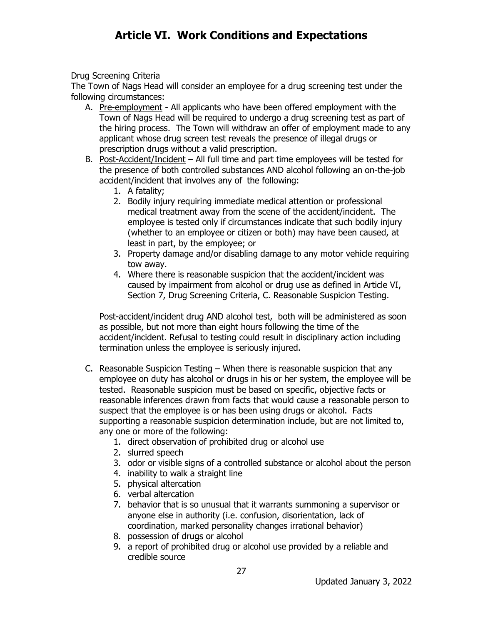#### Drug Screening Criteria

The Town of Nags Head will consider an employee for a drug screening test under the following circumstances:

- A. Pre-employment All applicants who have been offered employment with the Town of Nags Head will be required to undergo a drug screening test as part of the hiring process. The Town will withdraw an offer of employment made to any applicant whose drug screen test reveals the presence of illegal drugs or prescription drugs without a valid prescription.
- B. Post-Accident/Incident All full time and part time employees will be tested for the presence of both controlled substances AND alcohol following an on-the-job accident/incident that involves any of the following:
	- 1. A fatality;
	- 2. Bodily injury requiring immediate medical attention or professional medical treatment away from the scene of the accident/incident. The employee is tested only if circumstances indicate that such bodily injury (whether to an employee or citizen or both) may have been caused, at least in part, by the employee; or
	- 3. Property damage and/or disabling damage to any motor vehicle requiring tow away.
	- 4. Where there is reasonable suspicion that the accident/incident was caused by impairment from alcohol or drug use as defined in Article VI, Section 7, Drug Screening Criteria, C. Reasonable Suspicion Testing.

Post-accident/incident drug AND alcohol test, both will be administered as soon as possible, but not more than eight hours following the time of the accident/incident. Refusal to testing could result in disciplinary action including termination unless the employee is seriously injured.

- C. Reasonable Suspicion Testing When there is reasonable suspicion that any employee on duty has alcohol or drugs in his or her system, the employee will be tested. Reasonable suspicion must be based on specific, objective facts or reasonable inferences drawn from facts that would cause a reasonable person to suspect that the employee is or has been using drugs or alcohol. Facts supporting a reasonable suspicion determination include, but are not limited to, any one or more of the following:
	- 1. direct observation of prohibited drug or alcohol use
	- 2. slurred speech
	- 3. odor or visible signs of a controlled substance or alcohol about the person
	- 4. inability to walk a straight line
	- 5. physical altercation
	- 6. verbal altercation
	- 7. behavior that is so unusual that it warrants summoning a supervisor or anyone else in authority (i.e. confusion, disorientation, lack of coordination, marked personality changes irrational behavior)
	- 8. possession of drugs or alcohol
	- 9. a report of prohibited drug or alcohol use provided by a reliable and credible source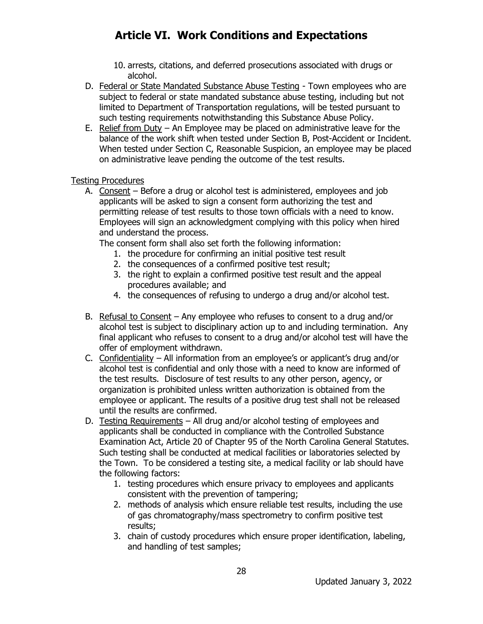- 10. arrests, citations, and deferred prosecutions associated with drugs or alcohol.
- D. Federal or State Mandated Substance Abuse Testing Town employees who are subject to federal or state mandated substance abuse testing, including but not limited to Department of Transportation regulations, will be tested pursuant to such testing requirements notwithstanding this Substance Abuse Policy.
- E. Relief from Duty An Employee may be placed on administrative leave for the balance of the work shift when tested under Section B, Post-Accident or Incident. When tested under Section C, Reasonable Suspicion, an employee may be placed on administrative leave pending the outcome of the test results.

#### Testing Procedures

A. Consent – Before a drug or alcohol test is administered, employees and iob applicants will be asked to sign a consent form authorizing the test and permitting release of test results to those town officials with a need to know. Employees will sign an acknowledgment complying with this policy when hired and understand the process.

The consent form shall also set forth the following information:

- 1. the procedure for confirming an initial positive test result
- 2. the consequences of a confirmed positive test result;
- 3. the right to explain a confirmed positive test result and the appeal procedures available; and
- 4. the consequences of refusing to undergo a drug and/or alcohol test.
- B. Refusal to Consent Any employee who refuses to consent to a drug and/or alcohol test is subject to disciplinary action up to and including termination. Any final applicant who refuses to consent to a drug and/or alcohol test will have the offer of employment withdrawn.
- C. Confidentiality All information from an employee's or applicant's drug and/or alcohol test is confidential and only those with a need to know are informed of the test results. Disclosure of test results to any other person, agency, or organization is prohibited unless written authorization is obtained from the employee or applicant. The results of a positive drug test shall not be released until the results are confirmed.
- D. Testing Requirements All drug and/or alcohol testing of employees and applicants shall be conducted in compliance with the Controlled Substance Examination Act, Article 20 of Chapter 95 of the North Carolina General Statutes. Such testing shall be conducted at medical facilities or laboratories selected by the Town. To be considered a testing site, a medical facility or lab should have the following factors:
	- 1. testing procedures which ensure privacy to employees and applicants consistent with the prevention of tampering;
	- 2. methods of analysis which ensure reliable test results, including the use of gas chromatography/mass spectrometry to confirm positive test results;
	- 3. chain of custody procedures which ensure proper identification, labeling, and handling of test samples;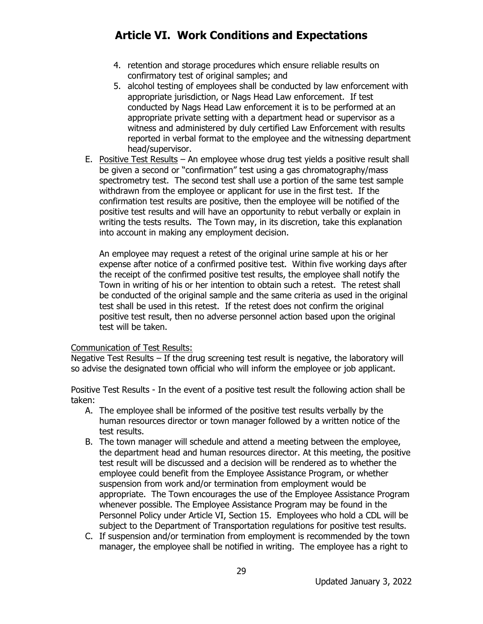- 4. retention and storage procedures which ensure reliable results on confirmatory test of original samples; and
- 5. alcohol testing of employees shall be conducted by law enforcement with appropriate jurisdiction, or Nags Head Law enforcement. If test conducted by Nags Head Law enforcement it is to be performed at an appropriate private setting with a department head or supervisor as a witness and administered by duly certified Law Enforcement with results reported in verbal format to the employee and the witnessing department head/supervisor.
- E. Positive Test Results An employee whose drug test yields a positive result shall be given a second or "confirmation" test using a gas chromatography/mass spectrometry test. The second test shall use a portion of the same test sample withdrawn from the employee or applicant for use in the first test. If the confirmation test results are positive, then the employee will be notified of the positive test results and will have an opportunity to rebut verbally or explain in writing the tests results. The Town may, in its discretion, take this explanation into account in making any employment decision.

An employee may request a retest of the original urine sample at his or her expense after notice of a confirmed positive test. Within five working days after the receipt of the confirmed positive test results, the employee shall notify the Town in writing of his or her intention to obtain such a retest. The retest shall be conducted of the original sample and the same criteria as used in the original test shall be used in this retest. If the retest does not confirm the original positive test result, then no adverse personnel action based upon the original test will be taken.

#### Communication of Test Results:

Negative Test Results – If the drug screening test result is negative, the laboratory will so advise the designated town official who will inform the employee or job applicant.

Positive Test Results - In the event of a positive test result the following action shall be taken:

- A. The employee shall be informed of the positive test results verbally by the human resources director or town manager followed by a written notice of the test results.
- B. The town manager will schedule and attend a meeting between the employee, the department head and human resources director. At this meeting, the positive test result will be discussed and a decision will be rendered as to whether the employee could benefit from the Employee Assistance Program, or whether suspension from work and/or termination from employment would be appropriate. The Town encourages the use of the Employee Assistance Program whenever possible. The Employee Assistance Program may be found in the Personnel Policy under Article VI, Section 15. Employees who hold a CDL will be subject to the Department of Transportation regulations for positive test results.
- C. If suspension and/or termination from employment is recommended by the town manager, the employee shall be notified in writing. The employee has a right to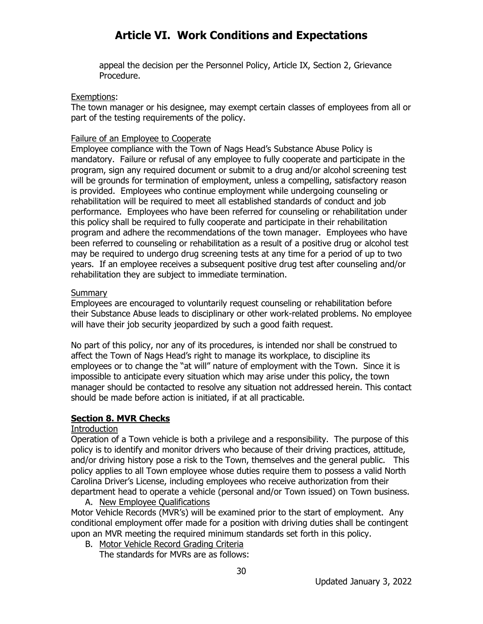appeal the decision per the Personnel Policy, Article IX, Section 2, Grievance Procedure.

#### Exemptions:

The town manager or his designee, may exempt certain classes of employees from all or part of the testing requirements of the policy.

#### Failure of an Employee to Cooperate

Employee compliance with the Town of Nags Head's Substance Abuse Policy is mandatory. Failure or refusal of any employee to fully cooperate and participate in the program, sign any required document or submit to a drug and/or alcohol screening test will be grounds for termination of employment, unless a compelling, satisfactory reason is provided. Employees who continue employment while undergoing counseling or rehabilitation will be required to meet all established standards of conduct and job performance. Employees who have been referred for counseling or rehabilitation under this policy shall be required to fully cooperate and participate in their rehabilitation program and adhere the recommendations of the town manager. Employees who have been referred to counseling or rehabilitation as a result of a positive drug or alcohol test may be required to undergo drug screening tests at any time for a period of up to two years. If an employee receives a subsequent positive drug test after counseling and/or rehabilitation they are subject to immediate termination.

#### **Summary**

Employees are encouraged to voluntarily request counseling or rehabilitation before their Substance Abuse leads to disciplinary or other work-related problems. No employee will have their job security jeopardized by such a good faith request.

No part of this policy, nor any of its procedures, is intended nor shall be construed to affect the Town of Nags Head's right to manage its workplace, to discipline its employees or to change the "at will" nature of employment with the Town. Since it is impossible to anticipate every situation which may arise under this policy, the town manager should be contacted to resolve any situation not addressed herein. This contact should be made before action is initiated, if at all practicable.

#### **Section 8. MVR Checks**

#### Introduction

Operation of a Town vehicle is both a privilege and a responsibility. The purpose of this policy is to identify and monitor drivers who because of their driving practices, attitude, and/or driving history pose a risk to the Town, themselves and the general public. This policy applies to all Town employee whose duties require them to possess a valid North Carolina Driver's License, including employees who receive authorization from their department head to operate a vehicle (personal and/or Town issued) on Town business.

- A. New Employee Qualifications Motor Vehicle Records (MVR's) will be examined prior to the start of employment. Any conditional employment offer made for a position with driving duties shall be contingent
	- upon an MVR meeting the required minimum standards set forth in this policy. B. Motor Vehicle Record Grading Criteria

The standards for MVRs are as follows: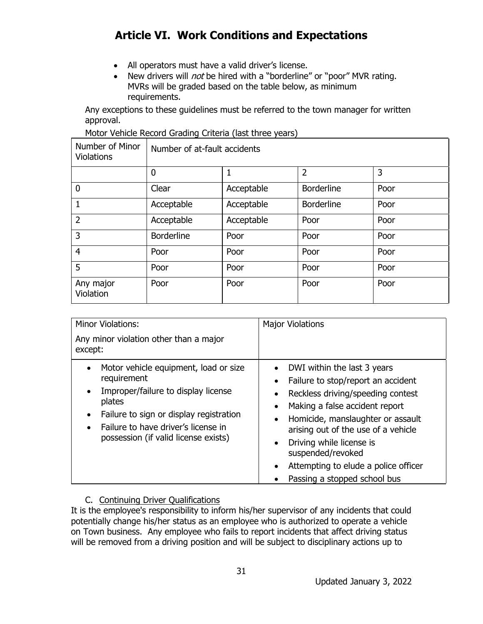- All operators must have a valid driver's license.
- New drivers will *not* be hired with a "borderline" or "poor" MVR rating. MVRs will be graded based on the table below, as minimum requirements.

Any exceptions to these guidelines must be referred to the town manager for written approval.

Motor Vehicle Record Grading Criteria (last three years)

| Number of Minor<br><b>Violations</b> | Number of at-fault accidents |            |                   |      |
|--------------------------------------|------------------------------|------------|-------------------|------|
|                                      | $\mathbf 0$                  |            | $\overline{2}$    | 3    |
| $\overline{0}$                       | Clear                        | Acceptable | <b>Borderline</b> | Poor |
| 1                                    | Acceptable                   | Acceptable | <b>Borderline</b> | Poor |
| $\overline{2}$                       | Acceptable                   | Acceptable | Poor              | Poor |
| 3                                    | <b>Borderline</b>            | Poor       | Poor              | Poor |
| $\overline{4}$                       | Poor                         | Poor       | Poor              | Poor |
| 5                                    | Poor                         | Poor       | Poor              | Poor |
| Any major<br>Violation               | Poor                         | Poor       | Poor              | Poor |

| <b>Minor Violations:</b><br>Any minor violation other than a major<br>except:                                                                                                                                                                                          | <b>Major Violations</b>                                                                                                                                                                                                                                                                                                                                                 |
|------------------------------------------------------------------------------------------------------------------------------------------------------------------------------------------------------------------------------------------------------------------------|-------------------------------------------------------------------------------------------------------------------------------------------------------------------------------------------------------------------------------------------------------------------------------------------------------------------------------------------------------------------------|
| Motor vehicle equipment, load or size<br>$\bullet$<br>requirement<br>Improper/failure to display license<br>$\bullet$<br>plates<br>Failure to sign or display registration<br>$\bullet$<br>Failure to have driver's license in<br>possession (if valid license exists) | DWI within the last 3 years<br>$\bullet$<br>Failure to stop/report an accident<br>Reckless driving/speeding contest<br>Making a false accident report<br>Homicide, manslaughter or assault<br>arising out of the use of a vehicle<br>Driving while license is<br>suspended/revoked<br>Attempting to elude a police officer<br>$\bullet$<br>Passing a stopped school bus |

#### C. Continuing Driver Qualifications

It is the employee's responsibility to inform his/her supervisor of any incidents that could potentially change his/her status as an employee who is authorized to operate a vehicle on Town business. Any employee who fails to report incidents that affect driving status will be removed from a driving position and will be subject to disciplinary actions up to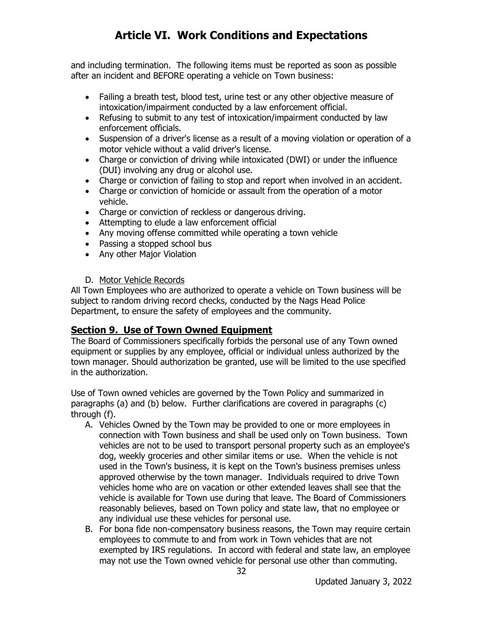and including termination. The following items must be reported as soon as possible after an incident and BEFORE operating a vehicle on Town business:

- Failing a breath test, blood test, urine test or any other objective measure of intoxication/impairment conducted by a law enforcement official.
- Refusing to submit to any test of intoxication/impairment conducted by law enforcement officials.
- Suspension of a driver's license as a result of a moving violation or operation of a motor vehicle without a valid driver's license.
- Charge or conviction of driving while intoxicated (DWI) or under the influence (DUI) involving any drug or alcohol use.
- Charge or conviction of failing to stop and report when involved in an accident.
- Charge or conviction of homicide or assault from the operation of a motor vehicle.
- Charge or conviction of reckless or dangerous driving.
- Attempting to elude a law enforcement official
- Any moving offense committed while operating a town vehicle
- Passing a stopped school bus
- Any other Major Violation

#### D. Motor Vehicle Records

All Town Employees who are authorized to operate a vehicle on Town business will be subject to random driving record checks, conducted by the Nags Head Police Department, to ensure the safety of employees and the community.

### **Section 9. Use of Town Owned Equipment**

The Board of Commissioners specifically forbids the personal use of any Town owned equipment or supplies by any employee, official or individual unless authorized by the town manager. Should authorization be granted, use will be limited to the use specified in the authorization.

Use of Town owned vehicles are governed by the Town Policy and summarized in paragraphs (a) and (b) below. Further clarifications are covered in paragraphs (c) through (f).

- A. Vehicles Owned by the Town may be provided to one or more employees in connection with Town business and shall be used only on Town business. Town vehicles are not to be used to transport personal property such as an employee's dog, weekly groceries and other similar items or use. When the vehicle is not used in the Town's business, it is kept on the Town's business premises unless approved otherwise by the town manager. Individuals required to drive Town vehicles home who are on vacation or other extended leaves shall see that the vehicle is available for Town use during that leave. The Board of Commissioners reasonably believes, based on Town policy and state law, that no employee or any individual use these vehicles for personal use.
- B. For bona fide non-compensatory business reasons, the Town may require certain employees to commute to and from work in Town vehicles that are not exempted by IRS regulations. In accord with federal and state law, an employee may not use the Town owned vehicle for personal use other than commuting.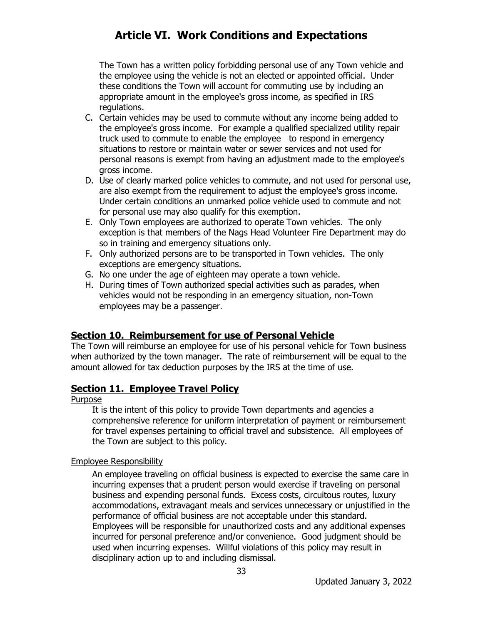The Town has a written policy forbidding personal use of any Town vehicle and the employee using the vehicle is not an elected or appointed official. Under these conditions the Town will account for commuting use by including an appropriate amount in the employee's gross income, as specified in IRS regulations.

- C. Certain vehicles may be used to commute without any income being added to the employee's gross income. For example a qualified specialized utility repair truck used to commute to enable the employee to respond in emergency situations to restore or maintain water or sewer services and not used for personal reasons is exempt from having an adjustment made to the employee's gross income.
- D. Use of clearly marked police vehicles to commute, and not used for personal use, are also exempt from the requirement to adjust the employee's gross income. Under certain conditions an unmarked police vehicle used to commute and not for personal use may also qualify for this exemption.
- E. Only Town employees are authorized to operate Town vehicles. The only exception is that members of the Nags Head Volunteer Fire Department may do so in training and emergency situations only.
- F. Only authorized persons are to be transported in Town vehicles. The only exceptions are emergency situations.
- G. No one under the age of eighteen may operate a town vehicle.
- H. During times of Town authorized special activities such as parades, when vehicles would not be responding in an emergency situation, non-Town employees may be a passenger.

#### **Section 10. Reimbursement for use of Personal Vehicle**

The Town will reimburse an employee for use of his personal vehicle for Town business when authorized by the town manager. The rate of reimbursement will be equal to the amount allowed for tax deduction purposes by the IRS at the time of use.

#### **Section 11. Employee Travel Policy**

Purpose

It is the intent of this policy to provide Town departments and agencies a comprehensive reference for uniform interpretation of payment or reimbursement for travel expenses pertaining to official travel and subsistence. All employees of the Town are subject to this policy.

#### Employee Responsibility

An employee traveling on official business is expected to exercise the same care in incurring expenses that a prudent person would exercise if traveling on personal business and expending personal funds. Excess costs, circuitous routes, luxury accommodations, extravagant meals and services unnecessary or unjustified in the performance of official business are not acceptable under this standard. Employees will be responsible for unauthorized costs and any additional expenses incurred for personal preference and/or convenience. Good judgment should be used when incurring expenses. Willful violations of this policy may result in disciplinary action up to and including dismissal.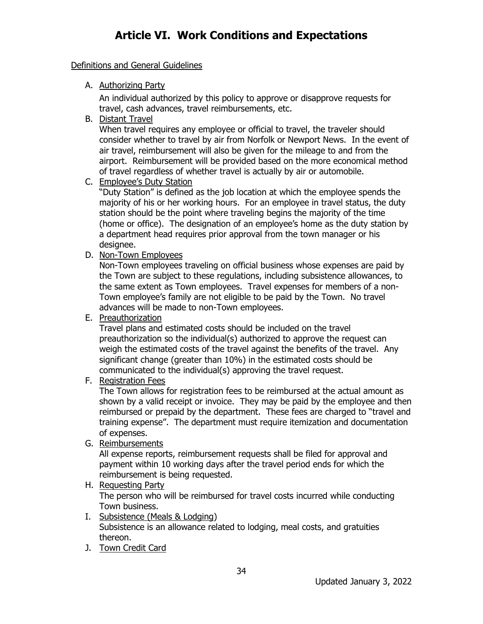Definitions and General Guidelines

A. Authorizing Party

An individual authorized by this policy to approve or disapprove requests for travel, cash advances, travel reimbursements, etc.

B. Distant Travel

When travel requires any employee or official to travel, the traveler should consider whether to travel by air from Norfolk or Newport News. In the event of air travel, reimbursement will also be given for the mileage to and from the airport. Reimbursement will be provided based on the more economical method of travel regardless of whether travel is actually by air or automobile.

#### C. Employee's Duty Station

"Duty Station" is defined as the job location at which the employee spends the majority of his or her working hours. For an employee in travel status, the duty station should be the point where traveling begins the majority of the time (home or office). The designation of an employee's home as the duty station by a department head requires prior approval from the town manager or his designee.

D. Non-Town Employees

Non-Town employees traveling on official business whose expenses are paid by the Town are subject to these regulations, including subsistence allowances, to the same extent as Town employees. Travel expenses for members of a non-Town employee's family are not eligible to be paid by the Town. No travel advances will be made to non-Town employees.

E. Preauthorization

Travel plans and estimated costs should be included on the travel preauthorization so the individual(s) authorized to approve the request can weigh the estimated costs of the travel against the benefits of the travel. Any significant change (greater than 10%) in the estimated costs should be communicated to the individual(s) approving the travel request.

#### F. Registration Fees

The Town allows for registration fees to be reimbursed at the actual amount as shown by a valid receipt or invoice. They may be paid by the employee and then reimbursed or prepaid by the department. These fees are charged to "travel and training expense". The department must require itemization and documentation of expenses.

G. Reimbursements

All expense reports, reimbursement requests shall be filed for approval and payment within 10 working days after the travel period ends for which the reimbursement is being requested.

#### H. Requesting Party

The person who will be reimbursed for travel costs incurred while conducting Town business.

- I. Subsistence (Meals & Lodging) Subsistence is an allowance related to lodging, meal costs, and gratuities thereon.
- J. Town Credit Card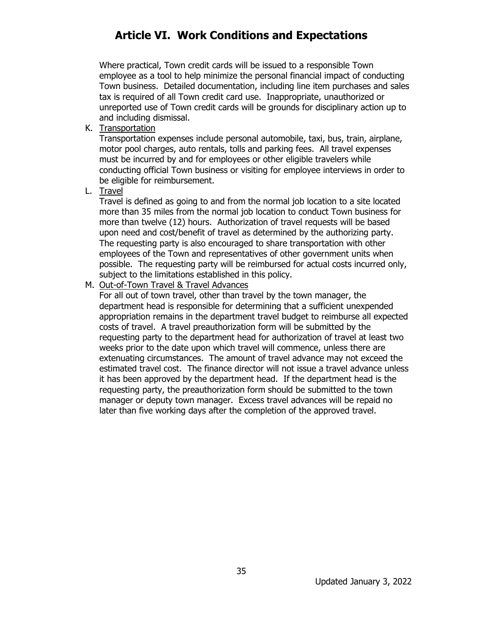Where practical, Town credit cards will be issued to a responsible Town employee as a tool to help minimize the personal financial impact of conducting Town business. Detailed documentation, including line item purchases and sales tax is required of all Town credit card use. Inappropriate, unauthorized or unreported use of Town credit cards will be grounds for disciplinary action up to and including dismissal.

K. Transportation

Transportation expenses include personal automobile, taxi, bus, train, airplane, motor pool charges, auto rentals, tolls and parking fees. All travel expenses must be incurred by and for employees or other eligible travelers while conducting official Town business or visiting for employee interviews in order to be eligible for reimbursement.

L. Travel

Travel is defined as going to and from the normal job location to a site located more than 35 miles from the normal job location to conduct Town business for more than twelve (12) hours. Authorization of travel requests will be based upon need and cost/benefit of travel as determined by the authorizing party. The requesting party is also encouraged to share transportation with other employees of the Town and representatives of other government units when possible. The requesting party will be reimbursed for actual costs incurred only, subject to the limitations established in this policy.

#### M. Out-of-Town Travel & Travel Advances

For all out of town travel, other than travel by the town manager, the department head is responsible for determining that a sufficient unexpended appropriation remains in the department travel budget to reimburse all expected costs of travel. A travel preauthorization form will be submitted by the requesting party to the department head for authorization of travel at least two weeks prior to the date upon which travel will commence, unless there are extenuating circumstances. The amount of travel advance may not exceed the estimated travel cost. The finance director will not issue a travel advance unless it has been approved by the department head. If the department head is the requesting party, the preauthorization form should be submitted to the town manager or deputy town manager. Excess travel advances will be repaid no later than five working days after the completion of the approved travel.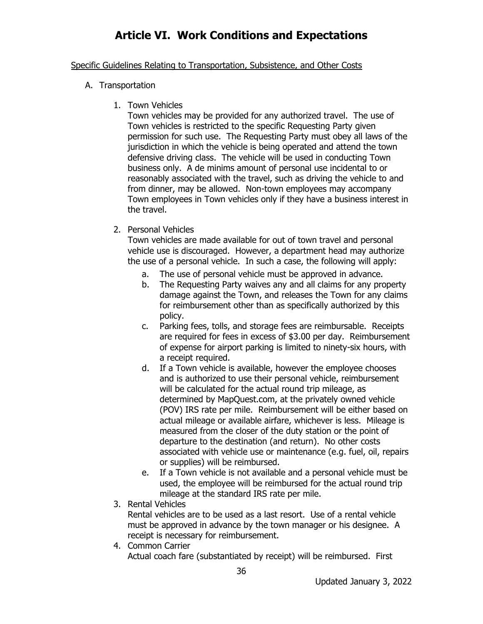#### Specific Guidelines Relating to Transportation, Subsistence, and Other Costs

- A. Transportation
	- 1. Town Vehicles

Town vehicles may be provided for any authorized travel. The use of Town vehicles is restricted to the specific Requesting Party given permission for such use. The Requesting Party must obey all laws of the jurisdiction in which the vehicle is being operated and attend the town defensive driving class. The vehicle will be used in conducting Town business only. A de minims amount of personal use incidental to or reasonably associated with the travel, such as driving the vehicle to and from dinner, may be allowed. Non-town employees may accompany Town employees in Town vehicles only if they have a business interest in the travel.

2. Personal Vehicles

Town vehicles are made available for out of town travel and personal vehicle use is discouraged. However, a department head may authorize the use of a personal vehicle. In such a case, the following will apply:

- a. The use of personal vehicle must be approved in advance.
- b. The Requesting Party waives any and all claims for any property damage against the Town, and releases the Town for any claims for reimbursement other than as specifically authorized by this policy.
- c. Parking fees, tolls, and storage fees are reimbursable. Receipts are required for fees in excess of \$3.00 per day. Reimbursement of expense for airport parking is limited to ninety-six hours, with a receipt required.
- d. If a Town vehicle is available, however the employee chooses and is authorized to use their personal vehicle, reimbursement will be calculated for the actual round trip mileage, as determined by MapQuest.com, at the privately owned vehicle (POV) IRS rate per mile. Reimbursement will be either based on actual mileage or available airfare, whichever is less. Mileage is measured from the closer of the duty station or the point of departure to the destination (and return). No other costs associated with vehicle use or maintenance (e.g. fuel, oil, repairs or supplies) will be reimbursed.
- e. If a Town vehicle is not available and a personal vehicle must be used, the employee will be reimbursed for the actual round trip mileage at the standard IRS rate per mile.
- 3. Rental Vehicles

Rental vehicles are to be used as a last resort. Use of a rental vehicle must be approved in advance by the town manager or his designee. A receipt is necessary for reimbursement.

4. Common Carrier Actual coach fare (substantiated by receipt) will be reimbursed. First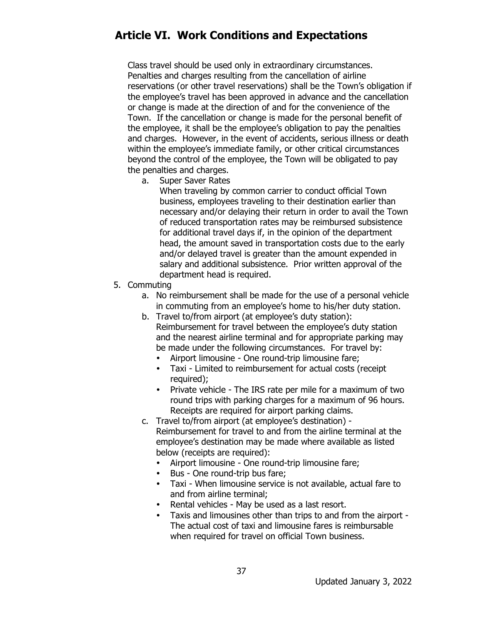Class travel should be used only in extraordinary circumstances. Penalties and charges resulting from the cancellation of airline reservations (or other travel reservations) shall be the Town's obligation if the employee's travel has been approved in advance and the cancellation or change is made at the direction of and for the convenience of the Town. If the cancellation or change is made for the personal benefit of the employee, it shall be the employee's obligation to pay the penalties and charges. However, in the event of accidents, serious illness or death within the employee's immediate family, or other critical circumstances beyond the control of the employee, the Town will be obligated to pay the penalties and charges.

a. Super Saver Rates

When traveling by common carrier to conduct official Town business, employees traveling to their destination earlier than necessary and/or delaying their return in order to avail the Town of reduced transportation rates may be reimbursed subsistence for additional travel days if, in the opinion of the department head, the amount saved in transportation costs due to the early and/or delayed travel is greater than the amount expended in salary and additional subsistence. Prior written approval of the department head is required.

- 5. Commuting
	- a. No reimbursement shall be made for the use of a personal vehicle in commuting from an employee's home to his/her duty station.
	- b. Travel to/from airport (at employee's duty station): Reimbursement for travel between the employee's duty station and the nearest airline terminal and for appropriate parking may be made under the following circumstances. For travel by:
		- Airport limousine One round-trip limousine fare;
		- Taxi Limited to reimbursement for actual costs (receipt required);
		- Private vehicle The IRS rate per mile for a maximum of two round trips with parking charges for a maximum of 96 hours. Receipts are required for airport parking claims.
	- c. Travel to/from airport (at employee's destination) Reimbursement for travel to and from the airline terminal at the employee's destination may be made where available as listed below (receipts are required):
		- Airport limousine One round-trip limousine fare;
		- Bus One round-trip bus fare;
		- Taxi When limousine service is not available, actual fare to and from airline terminal;
		- Rental vehicles May be used as a last resort.
		- Taxis and limousines other than trips to and from the airport The actual cost of taxi and limousine fares is reimbursable when required for travel on official Town business.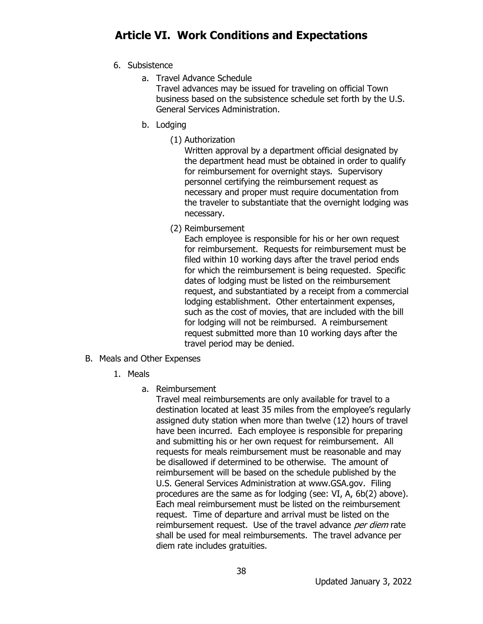- 6. Subsistence
	- a. Travel Advance Schedule Travel advances may be issued for traveling on official Town business based on the subsistence schedule set forth by the U.S. General Services Administration.
	- b. Lodging
		- (1) Authorization

Written approval by a department official designated by the department head must be obtained in order to qualify for reimbursement for overnight stays. Supervisory personnel certifying the reimbursement request as necessary and proper must require documentation from the traveler to substantiate that the overnight lodging was necessary.

(2) Reimbursement

Each employee is responsible for his or her own request for reimbursement. Requests for reimbursement must be filed within 10 working days after the travel period ends for which the reimbursement is being requested. Specific dates of lodging must be listed on the reimbursement request, and substantiated by a receipt from a commercial lodging establishment. Other entertainment expenses, such as the cost of movies, that are included with the bill for lodging will not be reimbursed. A reimbursement request submitted more than 10 working days after the travel period may be denied.

- B. Meals and Other Expenses
	- 1. Meals
		- a. Reimbursement

Travel meal reimbursements are only available for travel to a destination located at least 35 miles from the employee's regularly assigned duty station when more than twelve (12) hours of travel have been incurred. Each employee is responsible for preparing and submitting his or her own request for reimbursement. All requests for meals reimbursement must be reasonable and may be disallowed if determined to be otherwise. The amount of reimbursement will be based on the schedule published by the U.S. General Services Administration at [www.GSA.gov.](http://www.gsa.gov/) Filing procedures are the same as for lodging (see: VI, A, 6b(2) above). Each meal reimbursement must be listed on the reimbursement request. Time of departure and arrival must be listed on the reimbursement request. Use of the travel advance per diem rate shall be used for meal reimbursements. The travel advance per diem rate includes gratuities.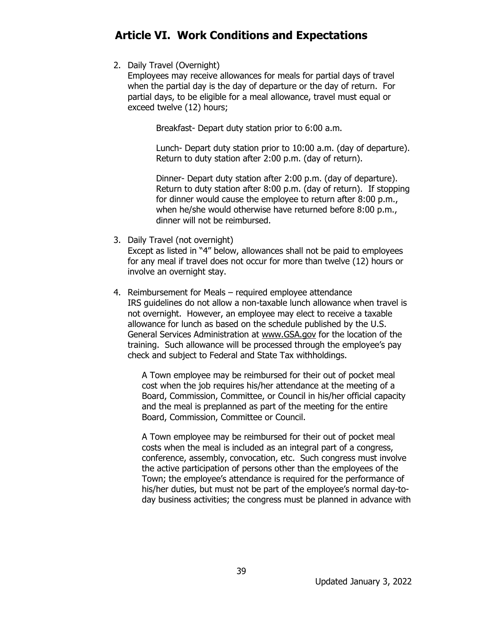2. Daily Travel (Overnight)

Employees may receive allowances for meals for partial days of travel when the partial day is the day of departure or the day of return. For partial days, to be eligible for a meal allowance, travel must equal or exceed twelve (12) hours;

Breakfast- Depart duty station prior to 6:00 a.m.

Lunch- Depart duty station prior to 10:00 a.m. (day of departure). Return to duty station after 2:00 p.m. (day of return).

Dinner- Depart duty station after 2:00 p.m. (day of departure). Return to duty station after 8:00 p.m. (day of return). If stopping for dinner would cause the employee to return after 8:00 p.m., when he/she would otherwise have returned before 8:00 p.m., dinner will not be reimbursed.

3. Daily Travel (not overnight)

Except as listed in "4" below, allowances shall not be paid to employees for any meal if travel does not occur for more than twelve (12) hours or involve an overnight stay.

4. Reimbursement for Meals – required employee attendance IRS guidelines do not allow a non-taxable lunch allowance when travel is not overnight. However, an employee may elect to receive a taxable allowance for lunch as based on the schedule published by the U.S. General Services Administration at [www.GSA.gov](http://www.gsa.gov/) for the location of the training. Such allowance will be processed through the employee's pay check and subject to Federal and State Tax withholdings.

A Town employee may be reimbursed for their out of pocket meal cost when the job requires his/her attendance at the meeting of a Board, Commission, Committee, or Council in his/her official capacity and the meal is preplanned as part of the meeting for the entire Board, Commission, Committee or Council.

A Town employee may be reimbursed for their out of pocket meal costs when the meal is included as an integral part of a congress, conference, assembly, convocation, etc. Such congress must involve the active participation of persons other than the employees of the Town; the employee's attendance is required for the performance of his/her duties, but must not be part of the employee's normal day-today business activities; the congress must be planned in advance with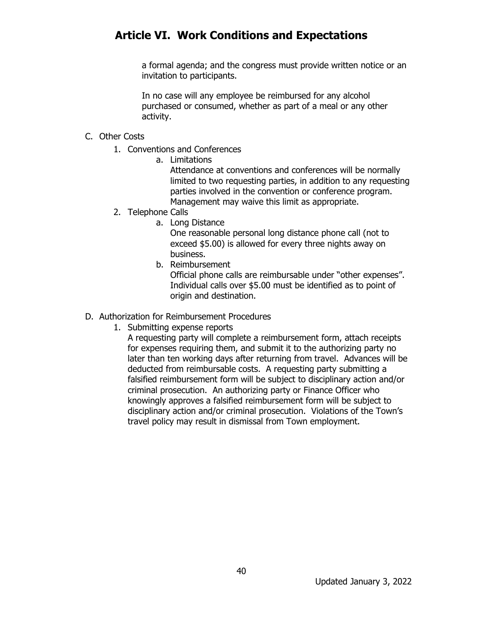a formal agenda; and the congress must provide written notice or an invitation to participants.

In no case will any employee be reimbursed for any alcohol purchased or consumed, whether as part of a meal or any other activity.

#### C. Other Costs

- 1. Conventions and Conferences
	- a. Limitations

Attendance at conventions and conferences will be normally limited to two requesting parties, in addition to any requesting parties involved in the convention or conference program. Management may waive this limit as appropriate.

- 2. Telephone Calls
	- a. Long Distance

One reasonable personal long distance phone call (not to exceed \$5.00) is allowed for every three nights away on business.

b. Reimbursement

Official phone calls are reimbursable under "other expenses". Individual calls over \$5.00 must be identified as to point of origin and destination.

- D. Authorization for Reimbursement Procedures
	- 1. Submitting expense reports

A requesting party will complete a reimbursement form, attach receipts for expenses requiring them, and submit it to the authorizing party no later than ten working days after returning from travel. Advances will be deducted from reimbursable costs. A requesting party submitting a falsified reimbursement form will be subject to disciplinary action and/or criminal prosecution. An authorizing party or Finance Officer who knowingly approves a falsified reimbursement form will be subject to disciplinary action and/or criminal prosecution. Violations of the Town's travel policy may result in dismissal from Town employment.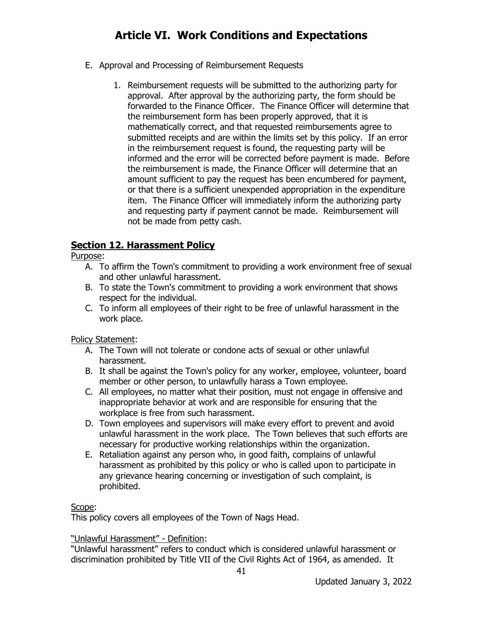- E. Approval and Processing of Reimbursement Requests
	- 1. Reimbursement requests will be submitted to the authorizing party for approval. After approval by the authorizing party, the form should be forwarded to the Finance Officer. The Finance Officer will determine that the reimbursement form has been properly approved, that it is mathematically correct, and that requested reimbursements agree to submitted receipts and are within the limits set by this policy. If an error in the reimbursement request is found, the requesting party will be informed and the error will be corrected before payment is made. Before the reimbursement is made, the Finance Officer will determine that an amount sufficient to pay the request has been encumbered for payment, or that there is a sufficient unexpended appropriation in the expenditure item. The Finance Officer will immediately inform the authorizing party and requesting party if payment cannot be made. Reimbursement will not be made from petty cash.

### **Section 12. Harassment Policy**

Purpose:

- A. To affirm the Town's commitment to providing a work environment free of sexual and other unlawful harassment.
- B. To state the Town's commitment to providing a work environment that shows respect for the individual.
- C. To inform all employees of their right to be free of unlawful harassment in the work place.

Policy Statement:

- A. The Town will not tolerate or condone acts of sexual or other unlawful harassment.
- B. It shall be against the Town's policy for any worker, employee, volunteer, board member or other person, to unlawfully harass a Town employee.
- C. All employees, no matter what their position, must not engage in offensive and inappropriate behavior at work and are responsible for ensuring that the workplace is free from such harassment.
- D. Town employees and supervisors will make every effort to prevent and avoid unlawful harassment in the work place. The Town believes that such efforts are necessary for productive working relationships within the organization.
- E. Retaliation against any person who, in good faith, complains of unlawful harassment as prohibited by this policy or who is called upon to participate in any grievance hearing concerning or investigation of such complaint, is prohibited.

#### Scope:

This policy covers all employees of the Town of Nags Head.

#### "Unlawful Harassment" - Definition:

"Unlawful harassment" refers to conduct which is considered unlawful harassment or discrimination prohibited by Title VII of the Civil Rights Act of 1964, as amended. It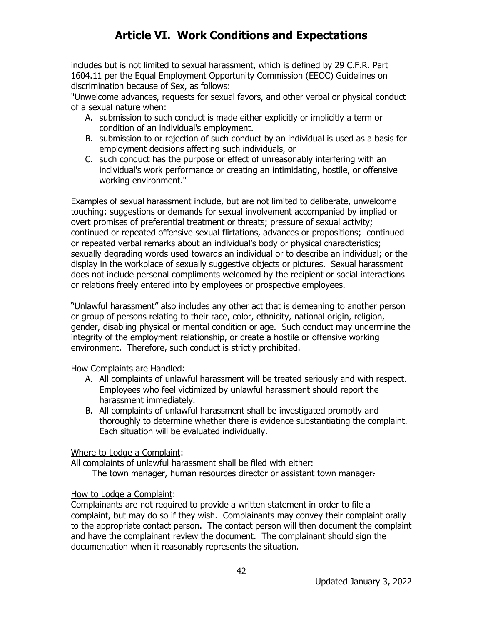includes but is not limited to sexual harassment, which is defined by 29 C.F.R. Part 1604.11 per the Equal Employment Opportunity Commission (EEOC) Guidelines on discrimination because of Sex, as follows:

"Unwelcome advances, requests for sexual favors, and other verbal or physical conduct of a sexual nature when:

- A. submission to such conduct is made either explicitly or implicitly a term or condition of an individual's employment.
- B. submission to or rejection of such conduct by an individual is used as a basis for employment decisions affecting such individuals, or
- C. such conduct has the purpose or effect of unreasonably interfering with an individual's work performance or creating an intimidating, hostile, or offensive working environment."

Examples of sexual harassment include, but are not limited to deliberate, unwelcome touching; suggestions or demands for sexual involvement accompanied by implied or overt promises of preferential treatment or threats; pressure of sexual activity; continued or repeated offensive sexual flirtations, advances or propositions; continued or repeated verbal remarks about an individual's body or physical characteristics; sexually degrading words used towards an individual or to describe an individual; or the display in the workplace of sexually suggestive objects or pictures. Sexual harassment does not include personal compliments welcomed by the recipient or social interactions or relations freely entered into by employees or prospective employees.

"Unlawful harassment" also includes any other act that is demeaning to another person or group of persons relating to their race, color, ethnicity, national origin, religion, gender, disabling physical or mental condition or age. Such conduct may undermine the integrity of the employment relationship, or create a hostile or offensive working environment. Therefore, such conduct is strictly prohibited.

How Complaints are Handled:

- A. All complaints of unlawful harassment will be treated seriously and with respect. Employees who feel victimized by unlawful harassment should report the harassment immediately.
- B. All complaints of unlawful harassment shall be investigated promptly and thoroughly to determine whether there is evidence substantiating the complaint. Each situation will be evaluated individually.

Where to Lodge a Complaint:

All complaints of unlawful harassment shall be filed with either:

The town manager, human resources director or assistant town manager.

#### How to Lodge a Complaint:

Complainants are not required to provide a written statement in order to file a complaint, but may do so if they wish. Complainants may convey their complaint orally to the appropriate contact person. The contact person will then document the complaint and have the complainant review the document. The complainant should sign the documentation when it reasonably represents the situation.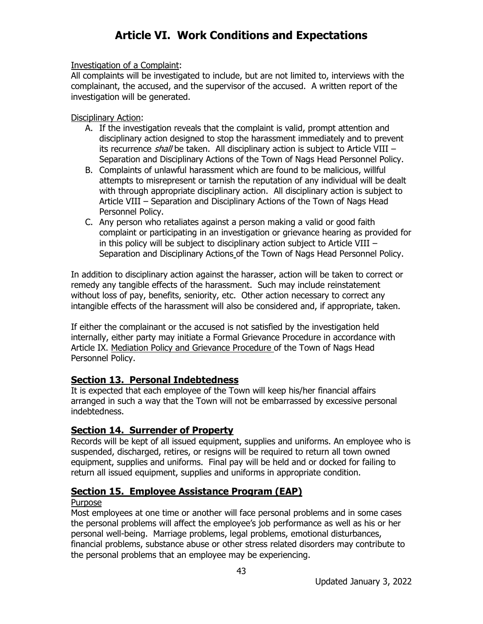#### Investigation of a Complaint:

All complaints will be investigated to include, but are not limited to, interviews with the complainant, the accused, and the supervisor of the accused. A written report of the investigation will be generated.

#### Disciplinary Action:

- A. If the investigation reveals that the complaint is valid, prompt attention and disciplinary action designed to stop the harassment immediately and to prevent its recurrence shall be taken. All disciplinary action is subject to Article VIII – Separation and Disciplinary Actions of the Town of Nags Head Personnel Policy.
- B. Complaints of unlawful harassment which are found to be malicious, willful attempts to misrepresent or tarnish the reputation of any individual will be dealt with through appropriate disciplinary action. All disciplinary action is subject to Article VIII – Separation and Disciplinary Actions of the Town of Nags Head Personnel Policy.
- C. Any person who retaliates against a person making a valid or good faith complaint or participating in an investigation or grievance hearing as provided for in this policy will be subject to disciplinary action subject to Article VIII – Separation and Disciplinary Actions of the Town of Nags Head Personnel Policy.

In addition to disciplinary action against the harasser, action will be taken to correct or remedy any tangible effects of the harassment. Such may include reinstatement without loss of pay, benefits, seniority, etc. Other action necessary to correct any intangible effects of the harassment will also be considered and, if appropriate, taken.

If either the complainant or the accused is not satisfied by the investigation held internally, either party may initiate a Formal Grievance Procedure in accordance with Article IX. Mediation Policy and Grievance Procedure of the Town of Nags Head Personnel Policy.

### **Section 13. Personal Indebtedness**

It is expected that each employee of the Town will keep his/her financial affairs arranged in such a way that the Town will not be embarrassed by excessive personal indebtedness.

### **Section 14. Surrender of Property**

Records will be kept of all issued equipment, supplies and uniforms. An employee who is suspended, discharged, retires, or resigns will be required to return all town owned equipment, supplies and uniforms. Final pay will be held and or docked for failing to return all issued equipment, supplies and uniforms in appropriate condition.

### **Section 15. Employee Assistance Program (EAP)**

#### Purpose

Most employees at one time or another will face personal problems and in some cases the personal problems will affect the employee's job performance as well as his or her personal well-being. Marriage problems, legal problems, emotional disturbances, financial problems, substance abuse or other stress related disorders may contribute to the personal problems that an employee may be experiencing.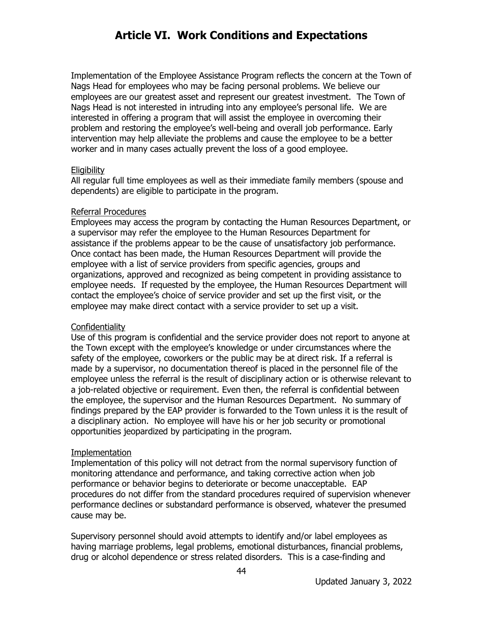Implementation of the Employee Assistance Program reflects the concern at the Town of Nags Head for employees who may be facing personal problems. We believe our employees are our greatest asset and represent our greatest investment. The Town of Nags Head is not interested in intruding into any employee's personal life. We are interested in offering a program that will assist the employee in overcoming their problem and restoring the employee's well-being and overall job performance. Early intervention may help alleviate the problems and cause the employee to be a better worker and in many cases actually prevent the loss of a good employee.

#### **Eligibility**

All regular full time employees as well as their immediate family members (spouse and dependents) are eligible to participate in the program.

#### Referral Procedures

Employees may access the program by contacting the Human Resources Department, or a supervisor may refer the employee to the Human Resources Department for assistance if the problems appear to be the cause of unsatisfactory job performance. Once contact has been made, the Human Resources Department will provide the employee with a list of service providers from specific agencies, groups and organizations, approved and recognized as being competent in providing assistance to employee needs. If requested by the employee, the Human Resources Department will contact the employee's choice of service provider and set up the first visit, or the employee may make direct contact with a service provider to set up a visit.

#### **Confidentiality**

Use of this program is confidential and the service provider does not report to anyone at the Town except with the employee's knowledge or under circumstances where the safety of the employee, coworkers or the public may be at direct risk. If a referral is made by a supervisor, no documentation thereof is placed in the personnel file of the employee unless the referral is the result of disciplinary action or is otherwise relevant to a job-related objective or requirement. Even then, the referral is confidential between the employee, the supervisor and the Human Resources Department. No summary of findings prepared by the EAP provider is forwarded to the Town unless it is the result of a disciplinary action. No employee will have his or her job security or promotional opportunities jeopardized by participating in the program.

#### Implementation

Implementation of this policy will not detract from the normal supervisory function of monitoring attendance and performance, and taking corrective action when job performance or behavior begins to deteriorate or become unacceptable. EAP procedures do not differ from the standard procedures required of supervision whenever performance declines or substandard performance is observed, whatever the presumed cause may be.

Supervisory personnel should avoid attempts to identify and/or label employees as having marriage problems, legal problems, emotional disturbances, financial problems, drug or alcohol dependence or stress related disorders. This is a case-finding and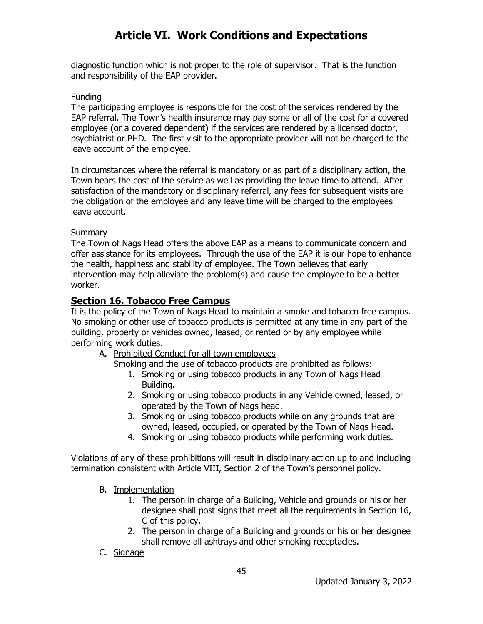diagnostic function which is not proper to the role of supervisor. That is the function and responsibility of the EAP provider.

#### Funding

The participating employee is responsible for the cost of the services rendered by the EAP referral. The Town's health insurance may pay some or all of the cost for a covered employee (or a covered dependent) if the services are rendered by a licensed doctor, psychiatrist or PHD. The first visit to the appropriate provider will not be charged to the leave account of the employee.

In circumstances where the referral is mandatory or as part of a disciplinary action, the Town bears the cost of the service as well as providing the leave time to attend. After satisfaction of the mandatory or disciplinary referral, any fees for subsequent visits are the obligation of the employee and any leave time will be charged to the employees leave account.

#### Summary

The Town of Nags Head offers the above EAP as a means to communicate concern and offer assistance for its employees. Through the use of the EAP it is our hope to enhance the health, happiness and stability of employee. The Town believes that early intervention may help alleviate the problem(s) and cause the employee to be a better worker.

### **Section 16. Tobacco Free Campus**

It is the policy of the Town of Nags Head to maintain a smoke and tobacco free campus. No smoking or other use of tobacco products is permitted at any time in any part of the building, property or vehicles owned, leased, or rented or by any employee while performing work duties.

A. Prohibited Conduct for all town employees

Smoking and the use of tobacco products are prohibited as follows:

- 1. Smoking or using tobacco products in any Town of Nags Head Building.
- 2. Smoking or using tobacco products in any Vehicle owned, leased, or operated by the Town of Nags head.
- 3. Smoking or using tobacco products while on any grounds that are owned, leased, occupied, or operated by the Town of Nags Head.
- 4. Smoking or using tobacco products while performing work duties.

Violations of any of these prohibitions will result in disciplinary action up to and including termination consistent with Article VIII, Section 2 of the Town's personnel policy.

- B. Implementation
	- 1. The person in charge of a Building, Vehicle and grounds or his or her designee shall post signs that meet all the requirements in Section 16, C of this policy.
	- 2. The person in charge of a Building and grounds or his or her designee shall remove all ashtrays and other smoking receptacles.
- C. Signage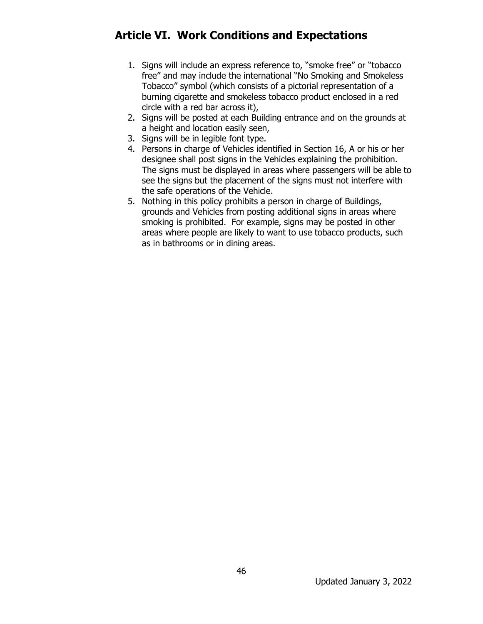- 1. Signs will include an express reference to, "smoke free" or "tobacco free" and may include the international "No Smoking and Smokeless Tobacco" symbol (which consists of a pictorial representation of a burning cigarette and smokeless tobacco product enclosed in a red circle with a red bar across it),
- 2. Signs will be posted at each Building entrance and on the grounds at a height and location easily seen,
- 3. Signs will be in legible font type.
- 4. Persons in charge of Vehicles identified in Section 16, A or his or her designee shall post signs in the Vehicles explaining the prohibition. The signs must be displayed in areas where passengers will be able to see the signs but the placement of the signs must not interfere with the safe operations of the Vehicle.
- 5. Nothing in this policy prohibits a person in charge of Buildings, grounds and Vehicles from posting additional signs in areas where smoking is prohibited. For example, signs may be posted in other areas where people are likely to want to use tobacco products, such as in bathrooms or in dining areas.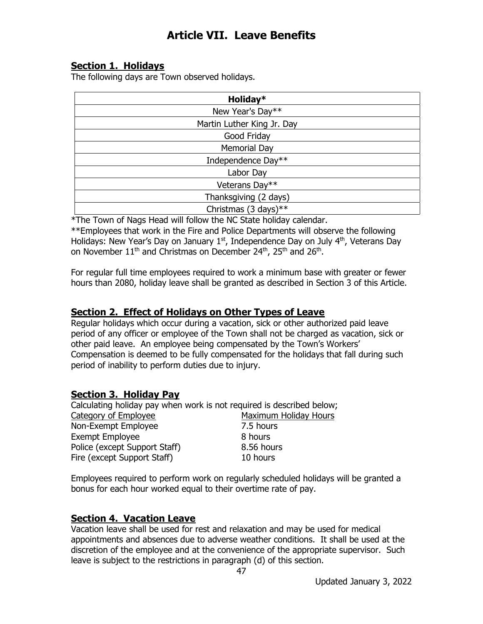### **Section 1. Holidays**

The following days are Town observed holidays.

| Holiday*                   |
|----------------------------|
| New Year's Day**           |
| Martin Luther King Jr. Day |
| Good Friday                |
| <b>Memorial Day</b>        |
| Independence Day**         |
| Labor Day                  |
| Veterans Day**             |
| Thanksgiving (2 days)      |
| Christmas (3 days)**       |

\*The Town of Nags Head will follow the NC State holiday calendar.

\*\*Employees that work in the Fire and Police Departments will observe the following Holidays: New Year's Day on January  $1<sup>st</sup>$ , Independence Day on July  $4<sup>th</sup>$ , Veterans Day on November 11<sup>th</sup> and Christmas on December 24<sup>th</sup>, 25<sup>th</sup> and 26<sup>th</sup>.

For regular full time employees required to work a minimum base with greater or fewer hours than 2080, holiday leave shall be granted as described in Section 3 of this Article.

### **Section 2. Effect of Holidays on Other Types of Leave**

Regular holidays which occur during a vacation, sick or other authorized paid leave period of any officer or employee of the Town shall not be charged as vacation, sick or other paid leave. An employee being compensated by the Town's Workers' Compensation is deemed to be fully compensated for the holidays that fall during such period of inability to perform duties due to injury.

#### **Section 3. Holiday Pay**

Calculating holiday pay when work is not required is described below; Category of Employee Maximum Holiday Hours Non-Exempt Employee 7.5 hours Exempt Employee 8 hours Police (except Support Staff) 8.56 hours Fire (except Support Staff) 10 hours

Employees required to perform work on regularly scheduled holidays will be granted a bonus for each hour worked equal to their overtime rate of pay.

#### **Section 4. Vacation Leave**

Vacation leave shall be used for rest and relaxation and may be used for medical appointments and absences due to adverse weather conditions. It shall be used at the discretion of the employee and at the convenience of the appropriate supervisor. Such leave is subject to the restrictions in paragraph (d) of this section.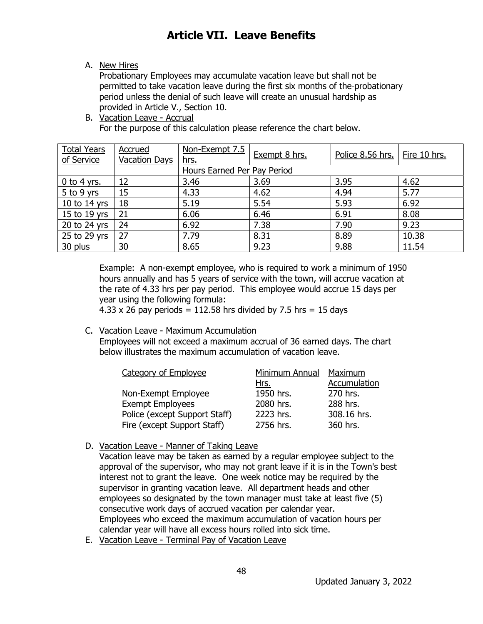A. New Hires

Probationary Employees may accumulate vacation leave but shall not be permitted to take vacation leave during the first six months of the probationary period unless the denial of such leave will create an unusual hardship as provided in Article V., Section 10.

B. Vacation Leave - Accrual For the purpose of this calculation please reference the chart below.

| <b>Total Years</b> | Accrued              | Non-Exempt 7.5              | Exempt 8 hrs. | Police 8.56 hrs. | Fire 10 hrs. |  |
|--------------------|----------------------|-----------------------------|---------------|------------------|--------------|--|
| of Service         | <b>Vacation Days</b> | hrs.                        |               |                  |              |  |
|                    |                      | Hours Earned Per Pay Period |               |                  |              |  |
| 0 to 4 yrs.        | 12                   | 3.46                        | 3.69          | 3.95             | 4.62         |  |
| 5 to 9 yrs         | 15                   | 4.33                        | 4.62          | 4.94             | 5.77         |  |
| 10 to 14 yrs       | 18                   | 5.19                        | 5.54          | 5.93             | 6.92         |  |
| 15 to 19 yrs       | 21                   | 6.06                        | 6.46          | 6.91             | 8.08         |  |
| 20 to 24 yrs       | 24                   | 6.92                        | 7.38          | 7.90             | 9.23         |  |
| 25 to 29 yrs       | 27                   | 7.79                        | 8.31          | 8.89             | 10.38        |  |
| 30 plus            | 30                   | 8.65                        | 9.23          | 9.88             | 11.54        |  |

Example: A non-exempt employee, who is required to work a minimum of 1950 hours annually and has 5 years of service with the town, will accrue vacation at the rate of 4.33 hrs per pay period. This employee would accrue 15 days per year using the following formula:

4.33 x 26 pay periods =  $112.58$  hrs divided by 7.5 hrs = 15 days

#### C. Vacation Leave - Maximum Accumulation

Employees will not exceed a maximum accrual of 36 earned days. The chart below illustrates the maximum accumulation of vacation leave.

| <b>Category of Employee</b>   | Minimum Annual | Maximum      |
|-------------------------------|----------------|--------------|
|                               | Hrs.           | Accumulation |
| Non-Exempt Employee           | 1950 hrs.      | 270 hrs.     |
| <b>Exempt Employees</b>       | 2080 hrs.      | 288 hrs.     |
| Police (except Support Staff) | 2223 hrs.      | 308.16 hrs.  |
| Fire (except Support Staff)   | 2756 hrs.      | 360 hrs.     |

D. Vacation Leave - Manner of Taking Leave

Vacation leave may be taken as earned by a regular employee subject to the approval of the supervisor, who may not grant leave if it is in the Town's best interest not to grant the leave. One week notice may be required by the supervisor in granting vacation leave. All department heads and other employees so designated by the town manager must take at least five (5) consecutive work days of accrued vacation per calendar year. Employees who exceed the maximum accumulation of vacation hours per calendar year will have all excess hours rolled into sick time.

E. Vacation Leave - Terminal Pay of Vacation Leave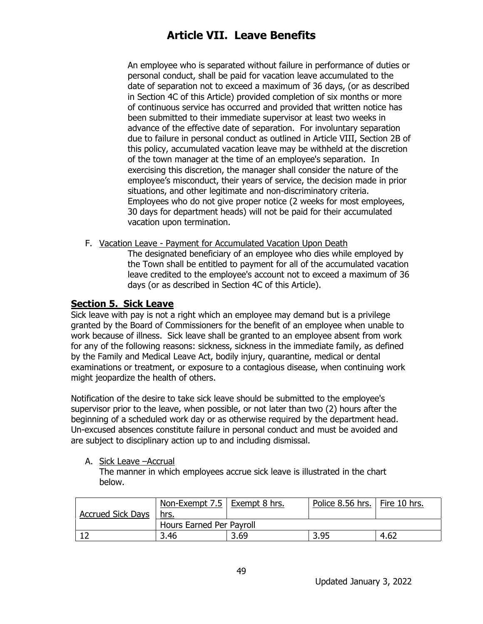An employee who is separated without failure in performance of duties or personal conduct, shall be paid for vacation leave accumulated to the date of separation not to exceed a maximum of 36 days, (or as described in Section 4C of this Article) provided completion of six months or more of continuous service has occurred and provided that written notice has been submitted to their immediate supervisor at least two weeks in advance of the effective date of separation. For involuntary separation due to failure in personal conduct as outlined in Article VIII, Section 2B of this policy, accumulated vacation leave may be withheld at the discretion of the town manager at the time of an employee's separation. In exercising this discretion, the manager shall consider the nature of the employee's misconduct, their years of service, the decision made in prior situations, and other legitimate and non-discriminatory criteria. Employees who do not give proper notice (2 weeks for most employees, 30 days for department heads) will not be paid for their accumulated vacation upon termination.

F. Vacation Leave - Payment for Accumulated Vacation Upon Death

The designated beneficiary of an employee who dies while employed by the Town shall be entitled to payment for all of the accumulated vacation leave credited to the employee's account not to exceed a maximum of 36 days (or as described in Section 4C of this Article).

#### **Section 5. Sick Leave**

Sick leave with pay is not a right which an employee may demand but is a privilege granted by the Board of Commissioners for the benefit of an employee when unable to work because of illness. Sick leave shall be granted to an employee absent from work for any of the following reasons: sickness, sickness in the immediate family, as defined by the Family and Medical Leave Act, bodily injury, quarantine, medical or dental examinations or treatment, or exposure to a contagious disease, when continuing work might jeopardize the health of others.

Notification of the desire to take sick leave should be submitted to the employee's supervisor prior to the leave, when possible, or not later than two (2) hours after the beginning of a scheduled work day or as otherwise required by the department head. Un-excused absences constitute failure in personal conduct and must be avoided and are subject to disciplinary action up to and including dismissal.

A. Sick Leave –Accrual

The manner in which employees accrue sick leave is illustrated in the chart below.

|                          | <u>Non-Exempt 7.5   Exempt 8 hrs.</u> |      | Police 8.56 hrs.   Fire 10 hrs. |      |  |  |
|--------------------------|---------------------------------------|------|---------------------------------|------|--|--|
| <b>Accrued Sick Days</b> | hrs.                                  |      |                                 |      |  |  |
|                          | Hours Earned Per Payroll              |      |                                 |      |  |  |
|                          | 3.46                                  | 3.69 | 3.95                            | 4.62 |  |  |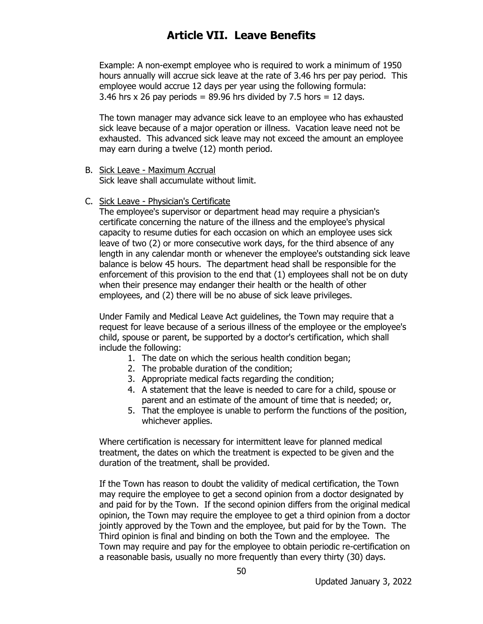Example: A non-exempt employee who is required to work a minimum of 1950 hours annually will accrue sick leave at the rate of 3.46 hrs per pay period. This employee would accrue 12 days per year using the following formula: 3.46 hrs  $x$  26 pay periods = 89.96 hrs divided by 7.5 hors = 12 days.

The town manager may advance sick leave to an employee who has exhausted sick leave because of a major operation or illness. Vacation leave need not be exhausted. This advanced sick leave may not exceed the amount an employee may earn during a twelve (12) month period.

- B. Sick Leave Maximum Accrual Sick leave shall accumulate without limit.
- C. Sick Leave Physician's Certificate

The employee's supervisor or department head may require a physician's certificate concerning the nature of the illness and the employee's physical capacity to resume duties for each occasion on which an employee uses sick leave of two (2) or more consecutive work days, for the third absence of any length in any calendar month or whenever the employee's outstanding sick leave balance is below 45 hours. The department head shall be responsible for the enforcement of this provision to the end that (1) employees shall not be on duty when their presence may endanger their health or the health of other employees, and (2) there will be no abuse of sick leave privileges.

Under Family and Medical Leave Act guidelines, the Town may require that a request for leave because of a serious illness of the employee or the employee's child, spouse or parent, be supported by a doctor's certification, which shall include the following:

- 1. The date on which the serious health condition began;
- 2. The probable duration of the condition;
- 3. Appropriate medical facts regarding the condition;
- 4. A statement that the leave is needed to care for a child, spouse or parent and an estimate of the amount of time that is needed; or,
- 5. That the employee is unable to perform the functions of the position, whichever applies.

Where certification is necessary for intermittent leave for planned medical treatment, the dates on which the treatment is expected to be given and the duration of the treatment, shall be provided.

If the Town has reason to doubt the validity of medical certification, the Town may require the employee to get a second opinion from a doctor designated by and paid for by the Town. If the second opinion differs from the original medical opinion, the Town may require the employee to get a third opinion from a doctor jointly approved by the Town and the employee, but paid for by the Town. The Third opinion is final and binding on both the Town and the employee. The Town may require and pay for the employee to obtain periodic re-certification on a reasonable basis, usually no more frequently than every thirty (30) days.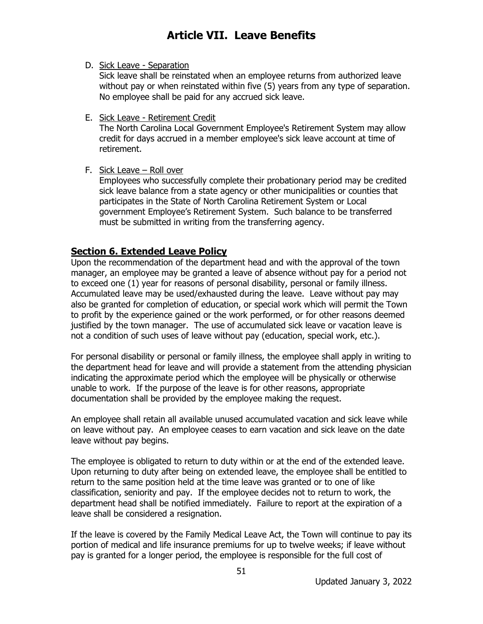D. Sick Leave - Separation

Sick leave shall be reinstated when an employee returns from authorized leave without pay or when reinstated within five (5) years from any type of separation. No employee shall be paid for any accrued sick leave.

E. Sick Leave - Retirement Credit

The North Carolina Local Government Employee's Retirement System may allow credit for days accrued in a member employee's sick leave account at time of retirement.

F. Sick Leave – Roll over

Employees who successfully complete their probationary period may be credited sick leave balance from a state agency or other municipalities or counties that participates in the State of North Carolina Retirement System or Local government Employee's Retirement System. Such balance to be transferred must be submitted in writing from the transferring agency.

### **Section 6. Extended Leave Policy**

Upon the recommendation of the department head and with the approval of the town manager, an employee may be granted a leave of absence without pay for a period not to exceed one (1) year for reasons of personal disability, personal or family illness. Accumulated leave may be used/exhausted during the leave. Leave without pay may also be granted for completion of education, or special work which will permit the Town to profit by the experience gained or the work performed, or for other reasons deemed justified by the town manager. The use of accumulated sick leave or vacation leave is not a condition of such uses of leave without pay (education, special work, etc.).

For personal disability or personal or family illness, the employee shall apply in writing to the department head for leave and will provide a statement from the attending physician indicating the approximate period which the employee will be physically or otherwise unable to work. If the purpose of the leave is for other reasons, appropriate documentation shall be provided by the employee making the request.

An employee shall retain all available unused accumulated vacation and sick leave while on leave without pay. An employee ceases to earn vacation and sick leave on the date leave without pay begins.

The employee is obligated to return to duty within or at the end of the extended leave. Upon returning to duty after being on extended leave, the employee shall be entitled to return to the same position held at the time leave was granted or to one of like classification, seniority and pay. If the employee decides not to return to work, the department head shall be notified immediately. Failure to report at the expiration of a leave shall be considered a resignation.

If the leave is covered by the Family Medical Leave Act, the Town will continue to pay its portion of medical and life insurance premiums for up to twelve weeks; if leave without pay is granted for a longer period, the employee is responsible for the full cost of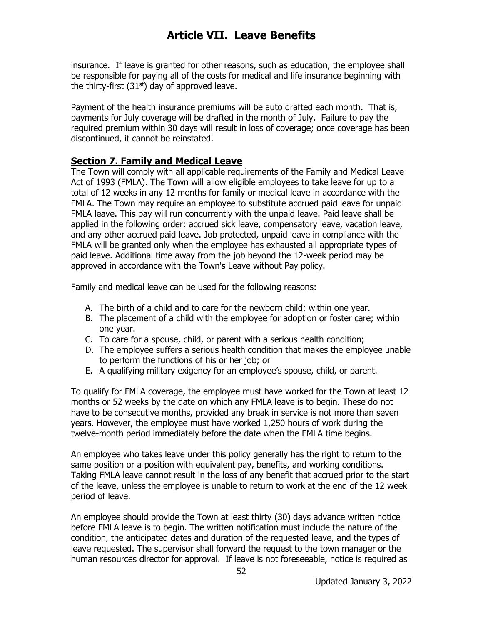insurance. If leave is granted for other reasons, such as education, the employee shall be responsible for paying all of the costs for medical and life insurance beginning with the thirty-first  $(31<sup>st</sup>)$  day of approved leave.

Payment of the health insurance premiums will be auto drafted each month. That is, payments for July coverage will be drafted in the month of July. Failure to pay the required premium within 30 days will result in loss of coverage; once coverage has been discontinued, it cannot be reinstated.

#### **Section 7. Family and Medical Leave**

The Town will comply with all applicable requirements of the Family and Medical Leave Act of 1993 (FMLA). The Town will allow eligible employees to take leave for up to a total of 12 weeks in any 12 months for family or medical leave in accordance with the FMLA. The Town may require an employee to substitute accrued paid leave for unpaid FMLA leave. This pay will run concurrently with the unpaid leave. Paid leave shall be applied in the following order: accrued sick leave, compensatory leave, vacation leave, and any other accrued paid leave. Job protected, unpaid leave in compliance with the FMLA will be granted only when the employee has exhausted all appropriate types of paid leave. Additional time away from the job beyond the 12-week period may be approved in accordance with the Town's Leave without Pay policy.

Family and medical leave can be used for the following reasons:

- A. The birth of a child and to care for the newborn child; within one year.
- B. The placement of a child with the employee for adoption or foster care; within one year.
- C. To care for a spouse, child, or parent with a serious health condition;
- D. The employee suffers a serious health condition that makes the employee unable to perform the functions of his or her job; or
- E. A qualifying military exigency for an employee's spouse, child, or parent.

To qualify for FMLA coverage, the employee must have worked for the Town at least 12 months or 52 weeks by the date on which any FMLA leave is to begin. These do not have to be consecutive months, provided any break in service is not more than seven years. However, the employee must have worked 1,250 hours of work during the twelve-month period immediately before the date when the FMLA time begins.

An employee who takes leave under this policy generally has the right to return to the same position or a position with equivalent pay, benefits, and working conditions. Taking FMLA leave cannot result in the loss of any benefit that accrued prior to the start of the leave, unless the employee is unable to return to work at the end of the 12 week period of leave.

An employee should provide the Town at least thirty (30) days advance written notice before FMLA leave is to begin. The written notification must include the nature of the condition, the anticipated dates and duration of the requested leave, and the types of leave requested. The supervisor shall forward the request to the town manager or the human resources director for approval. If leave is not foreseeable, notice is required as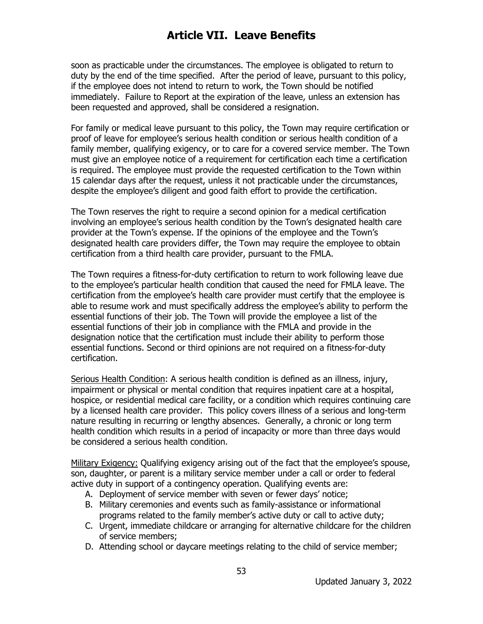soon as practicable under the circumstances. The employee is obligated to return to duty by the end of the time specified. After the period of leave, pursuant to this policy, if the employee does not intend to return to work, the Town should be notified immediately. Failure to Report at the expiration of the leave, unless an extension has been requested and approved, shall be considered a resignation.

For family or medical leave pursuant to this policy, the Town may require certification or proof of leave for employee's serious health condition or serious health condition of a family member, qualifying exigency, or to care for a covered service member. The Town must give an employee notice of a requirement for certification each time a certification is required. The employee must provide the requested certification to the Town within 15 calendar days after the request, unless it not practicable under the circumstances, despite the employee's diligent and good faith effort to provide the certification.

The Town reserves the right to require a second opinion for a medical certification involving an employee's serious health condition by the Town's designated health care provider at the Town's expense. If the opinions of the employee and the Town's designated health care providers differ, the Town may require the employee to obtain certification from a third health care provider, pursuant to the FMLA.

The Town requires a fitness-for-duty certification to return to work following leave due to the employee's particular health condition that caused the need for FMLA leave. The certification from the employee's health care provider must certify that the employee is able to resume work and must specifically address the employee's ability to perform the essential functions of their job. The Town will provide the employee a list of the essential functions of their job in compliance with the FMLA and provide in the designation notice that the certification must include their ability to perform those essential functions. Second or third opinions are not required on a fitness-for-duty certification.

Serious Health Condition: A serious health condition is defined as an illness, injury, impairment or physical or mental condition that requires inpatient care at a hospital, hospice, or residential medical care facility, or a condition which requires continuing care by a licensed health care provider. This policy covers illness of a serious and long-term nature resulting in recurring or lengthy absences. Generally, a chronic or long term health condition which results in a period of incapacity or more than three days would be considered a serious health condition.

Military Exigency: Qualifying exigency arising out of the fact that the employee's spouse, son, daughter, or parent is a military service member under a call or order to federal active duty in support of a contingency operation. Qualifying events are:

- A. Deployment of service member with seven or fewer days' notice;
- B. Military ceremonies and events such as family-assistance or informational programs related to the family member's active duty or call to active duty;
- C. Urgent, immediate childcare or arranging for alternative childcare for the children of service members;
- D. Attending school or daycare meetings relating to the child of service member;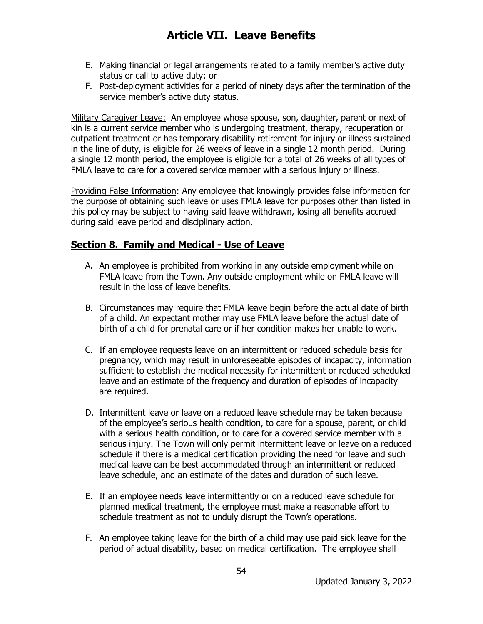- E. Making financial or legal arrangements related to a family member's active duty status or call to active duty; or
- F. Post-deployment activities for a period of ninety days after the termination of the service member's active duty status.

Military Caregiver Leave: An employee whose spouse, son, daughter, parent or next of kin is a current service member who is undergoing treatment, therapy, recuperation or outpatient treatment or has temporary disability retirement for injury or illness sustained in the line of duty, is eligible for 26 weeks of leave in a single 12 month period. During a single 12 month period, the employee is eligible for a total of 26 weeks of all types of FMLA leave to care for a covered service member with a serious injury or illness.

Providing False Information: Any employee that knowingly provides false information for the purpose of obtaining such leave or uses FMLA leave for purposes other than listed in this policy may be subject to having said leave withdrawn, losing all benefits accrued during said leave period and disciplinary action.

#### **Section 8. Family and Medical - Use of Leave**

- A. An employee is prohibited from working in any outside employment while on FMLA leave from the Town. Any outside employment while on FMLA leave will result in the loss of leave benefits.
- B. Circumstances may require that FMLA leave begin before the actual date of birth of a child. An expectant mother may use FMLA leave before the actual date of birth of a child for prenatal care or if her condition makes her unable to work.
- C. If an employee requests leave on an intermittent or reduced schedule basis for pregnancy, which may result in unforeseeable episodes of incapacity, information sufficient to establish the medical necessity for intermittent or reduced scheduled leave and an estimate of the frequency and duration of episodes of incapacity are required.
- D. Intermittent leave or leave on a reduced leave schedule may be taken because of the employee's serious health condition, to care for a spouse, parent, or child with a serious health condition, or to care for a covered service member with a serious injury. The Town will only permit intermittent leave or leave on a reduced schedule if there is a medical certification providing the need for leave and such medical leave can be best accommodated through an intermittent or reduced leave schedule, and an estimate of the dates and duration of such leave.
- E. If an employee needs leave intermittently or on a reduced leave schedule for planned medical treatment, the employee must make a reasonable effort to schedule treatment as not to unduly disrupt the Town's operations.
- F. An employee taking leave for the birth of a child may use paid sick leave for the period of actual disability, based on medical certification. The employee shall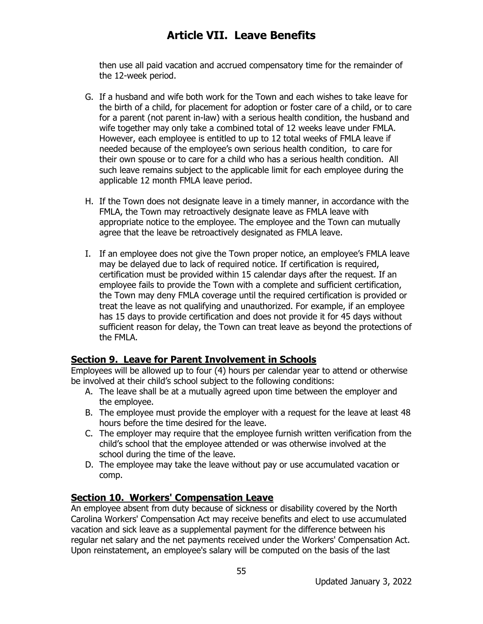then use all paid vacation and accrued compensatory time for the remainder of the 12-week period.

- G. If a husband and wife both work for the Town and each wishes to take leave for the birth of a child, for placement for adoption or foster care of a child, or to care for a parent (not parent in-law) with a serious health condition, the husband and wife together may only take a combined total of 12 weeks leave under FMLA. However, each employee is entitled to up to 12 total weeks of FMLA leave if needed because of the employee's own serious health condition, to care for their own spouse or to care for a child who has a serious health condition. All such leave remains subject to the applicable limit for each employee during the applicable 12 month FMLA leave period.
- H. If the Town does not designate leave in a timely manner, in accordance with the FMLA, the Town may retroactively designate leave as FMLA leave with appropriate notice to the employee. The employee and the Town can mutually agree that the leave be retroactively designated as FMLA leave.
- I. If an employee does not give the Town proper notice, an employee's FMLA leave may be delayed due to lack of required notice. If certification is required, certification must be provided within 15 calendar days after the request. If an employee fails to provide the Town with a complete and sufficient certification, the Town may deny FMLA coverage until the required certification is provided or treat the leave as not qualifying and unauthorized. For example, if an employee has 15 days to provide certification and does not provide it for 45 days without sufficient reason for delay, the Town can treat leave as beyond the protections of the FMLA.

#### **Section 9. Leave for Parent Involvement in Schools**

Employees will be allowed up to four (4) hours per calendar year to attend or otherwise be involved at their child's school subject to the following conditions:

- A. The leave shall be at a mutually agreed upon time between the employer and the employee.
- B. The employee must provide the employer with a request for the leave at least 48 hours before the time desired for the leave.
- C. The employer may require that the employee furnish written verification from the child's school that the employee attended or was otherwise involved at the school during the time of the leave.
- D. The employee may take the leave without pay or use accumulated vacation or comp.

#### **Section 10. Workers' Compensation Leave**

An employee absent from duty because of sickness or disability covered by the North Carolina Workers' Compensation Act may receive benefits and elect to use accumulated vacation and sick leave as a supplemental payment for the difference between his regular net salary and the net payments received under the Workers' Compensation Act. Upon reinstatement, an employee's salary will be computed on the basis of the last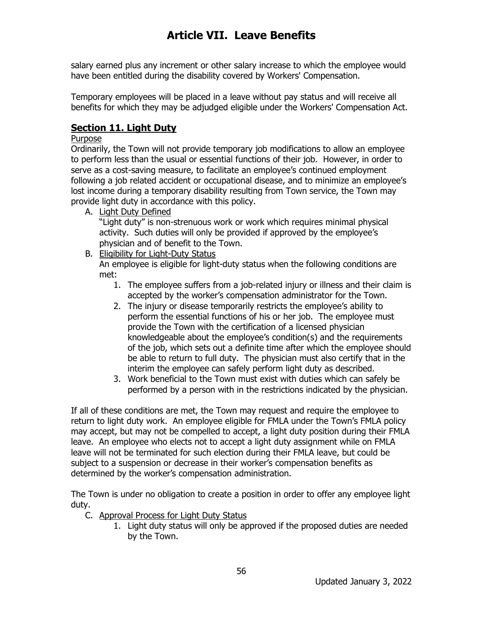salary earned plus any increment or other salary increase to which the employee would have been entitled during the disability covered by Workers' Compensation.

Temporary employees will be placed in a leave without pay status and will receive all benefits for which they may be adjudged eligible under the Workers' Compensation Act.

### **Section 11. Light Duty**

#### Purpose

Ordinarily, the Town will not provide temporary job modifications to allow an employee to perform less than the usual or essential functions of their job. However, in order to serve as a cost-saving measure, to facilitate an employee's continued employment following a job related accident or occupational disease, and to minimize an employee's lost income during a temporary disability resulting from Town service, the Town may provide light duty in accordance with this policy.

A. Light Duty Defined

"Light duty" is non-strenuous work or work which requires minimal physical activity. Such duties will only be provided if approved by the employee's physician and of benefit to the Town.

B. Eligibility for Light-Duty Status

An employee is eligible for light-duty status when the following conditions are met:

- 1. The employee suffers from a job-related injury or illness and their claim is accepted by the worker's compensation administrator for the Town.
- 2. The injury or disease temporarily restricts the employee's ability to perform the essential functions of his or her job. The employee must provide the Town with the certification of a licensed physician knowledgeable about the employee's condition(s) and the requirements of the job, which sets out a definite time after which the employee should be able to return to full duty. The physician must also certify that in the interim the employee can safely perform light duty as described.
- 3. Work beneficial to the Town must exist with duties which can safely be performed by a person with in the restrictions indicated by the physician.

If all of these conditions are met, the Town may request and require the employee to return to light duty work. An employee eligible for FMLA under the Town's FMLA policy may accept, but may not be compelled to accept, a light duty position during their FMLA leave. An employee who elects not to accept a light duty assignment while on FMLA leave will not be terminated for such election during their FMLA leave, but could be subject to a suspension or decrease in their worker's compensation benefits as determined by the worker's compensation administration.

The Town is under no obligation to create a position in order to offer any employee light duty.

- C. Approval Process for Light Duty Status
	- 1. Light duty status will only be approved if the proposed duties are needed by the Town.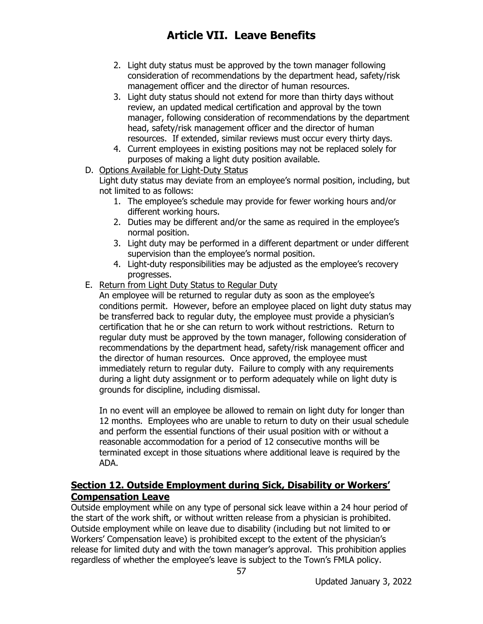- 2. Light duty status must be approved by the town manager following consideration of recommendations by the department head, safety/risk management officer and the director of human resources.
- 3. Light duty status should not extend for more than thirty days without review, an updated medical certification and approval by the town manager, following consideration of recommendations by the department head, safety/risk management officer and the director of human resources. If extended, similar reviews must occur every thirty days.
- 4. Current employees in existing positions may not be replaced solely for purposes of making a light duty position available.

#### D. Options Available for Light-Duty Status

Light duty status may deviate from an employee's normal position, including, but not limited to as follows:

- 1. The employee's schedule may provide for fewer working hours and/or different working hours.
- 2. Duties may be different and/or the same as required in the employee's normal position.
- 3. Light duty may be performed in a different department or under different supervision than the employee's normal position.
- 4. Light-duty responsibilities may be adjusted as the employee's recovery progresses.
- E. Return from Light Duty Status to Regular Duty

An employee will be returned to regular duty as soon as the employee's conditions permit. However, before an employee placed on light duty status may be transferred back to regular duty, the employee must provide a physician's certification that he or she can return to work without restrictions. Return to regular duty must be approved by the town manager, following consideration of recommendations by the department head, safety/risk management officer and the director of human resources. Once approved, the employee must immediately return to regular duty. Failure to comply with any requirements during a light duty assignment or to perform adequately while on light duty is grounds for discipline, including dismissal.

In no event will an employee be allowed to remain on light duty for longer than 12 months. Employees who are unable to return to duty on their usual schedule and perform the essential functions of their usual position with or without a reasonable accommodation for a period of 12 consecutive months will be terminated except in those situations where additional leave is required by the ADA.

### **Section 12. Outside Employment during Sick, Disability or Workers' Compensation Leave**

Outside employment while on any type of personal sick leave within a 24 hour period of the start of the work shift, or without written release from a physician is prohibited. Outside employment while on leave due to disability (including but not limited to or Workers' Compensation leave) is prohibited except to the extent of the physician's release for limited duty and with the town manager's approval. This prohibition applies regardless of whether the employee's leave is subject to the Town's FMLA policy.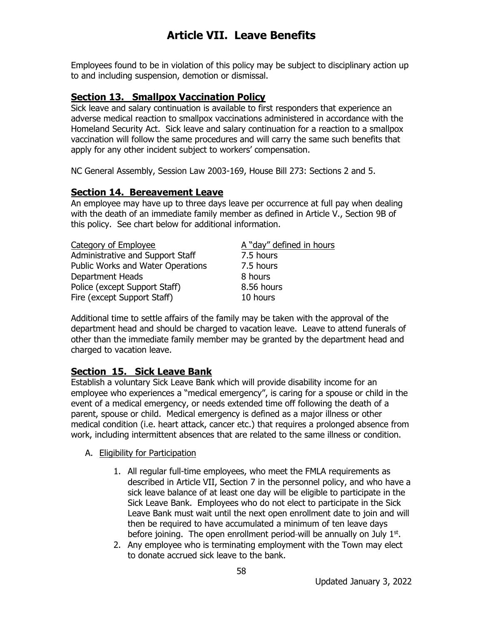Employees found to be in violation of this policy may be subject to disciplinary action up to and including suspension, demotion or dismissal.

### **Section 13. Smallpox Vaccination Policy**

Sick leave and salary continuation is available to first responders that experience an adverse medical reaction to smallpox vaccinations administered in accordance with the Homeland Security Act. Sick leave and salary continuation for a reaction to a smallpox vaccination will follow the same procedures and will carry the same such benefits that apply for any other incident subject to workers' compensation.

NC General Assembly, Session Law 2003-169, House Bill 273: Sections 2 and 5.

#### **Section 14. Bereavement Leave**

An employee may have up to three days leave per occurrence at full pay when dealing with the death of an immediate family member as defined in Article V., Section 9B of this policy. See chart below for additional information.

| Category of Employee                     |  |
|------------------------------------------|--|
| Administrative and Support Staff         |  |
| <b>Public Works and Water Operations</b> |  |
| <b>Department Heads</b>                  |  |
| Police (except Support Staff)            |  |
| Fire (except Support Staff)              |  |

A "day" defined in hours 7.5 hours **7.5 hours** 8 hours  $8.56$  hours 10 hours

Additional time to settle affairs of the family may be taken with the approval of the department head and should be charged to vacation leave. Leave to attend funerals of other than the immediate family member may be granted by the department head and charged to vacation leave.

#### **Section 15. Sick Leave Bank**

Establish a voluntary Sick Leave Bank which will provide disability income for an employee who experiences a "medical emergency", is caring for a spouse or child in the event of a medical emergency, or needs extended time off following the death of a parent, spouse or child. Medical emergency is defined as a major illness or other medical condition (i.e. heart attack, cancer etc.) that requires a prolonged absence from work, including intermittent absences that are related to the same illness or condition.

- A. Eligibility for Participation
	- 1. All regular full-time employees, who meet the FMLA requirements as described in Article VII, Section 7 in the personnel policy, and who have a sick leave balance of at least one day will be eligible to participate in the Sick Leave Bank. Employees who do not elect to participate in the Sick Leave Bank must wait until the next open enrollment date to join and will then be required to have accumulated a minimum of ten leave days before joining. The open enrollment period-will be annually on July  $1<sup>st</sup>$ .
	- 2. Any employee who is terminating employment with the Town may elect to donate accrued sick leave to the bank.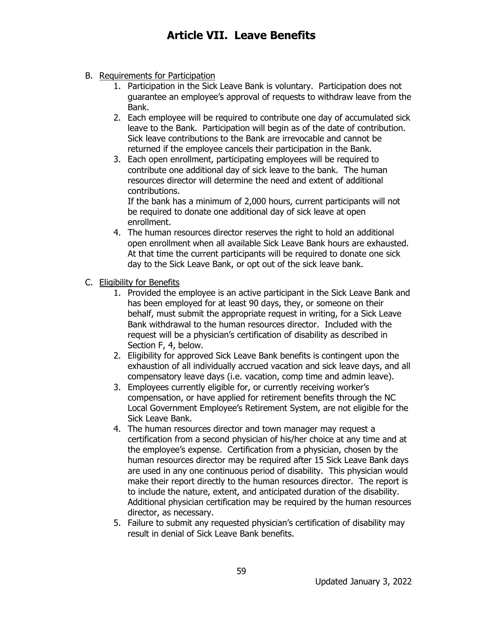- B. Requirements for Participation
	- 1. Participation in the Sick Leave Bank is voluntary. Participation does not guarantee an employee's approval of requests to withdraw leave from the Bank.
	- 2. Each employee will be required to contribute one day of accumulated sick leave to the Bank. Participation will begin as of the date of contribution. Sick leave contributions to the Bank are irrevocable and cannot be returned if the employee cancels their participation in the Bank.
	- 3. Each open enrollment, participating employees will be required to contribute one additional day of sick leave to the bank. The human resources director will determine the need and extent of additional contributions.

If the bank has a minimum of 2,000 hours, current participants will not be required to donate one additional day of sick leave at open enrollment.

- 4. The human resources director reserves the right to hold an additional open enrollment when all available Sick Leave Bank hours are exhausted. At that time the current participants will be required to donate one sick day to the Sick Leave Bank, or opt out of the sick leave bank.
- C. Eligibility for Benefits
	- 1. Provided the employee is an active participant in the Sick Leave Bank and has been employed for at least 90 days, they, or someone on their behalf, must submit the appropriate request in writing, for a Sick Leave Bank withdrawal to the human resources director. Included with the request will be a physician's certification of disability as described in Section F, 4, below.
	- 2. Eligibility for approved Sick Leave Bank benefits is contingent upon the exhaustion of all individually accrued vacation and sick leave days, and all compensatory leave days (i.e. vacation, comp time and admin leave).
	- 3. Employees currently eligible for, or currently receiving worker's compensation, or have applied for retirement benefits through the NC Local Government Employee's Retirement System, are not eligible for the Sick Leave Bank.
	- 4. The human resources director and town manager may request a certification from a second physician of his/her choice at any time and at the employee's expense. Certification from a physician, chosen by the human resources director may be required after 15 Sick Leave Bank days are used in any one continuous period of disability. This physician would make their report directly to the human resources director. The report is to include the nature, extent, and anticipated duration of the disability. Additional physician certification may be required by the human resources director, as necessary.
	- 5. Failure to submit any requested physician's certification of disability may result in denial of Sick Leave Bank benefits.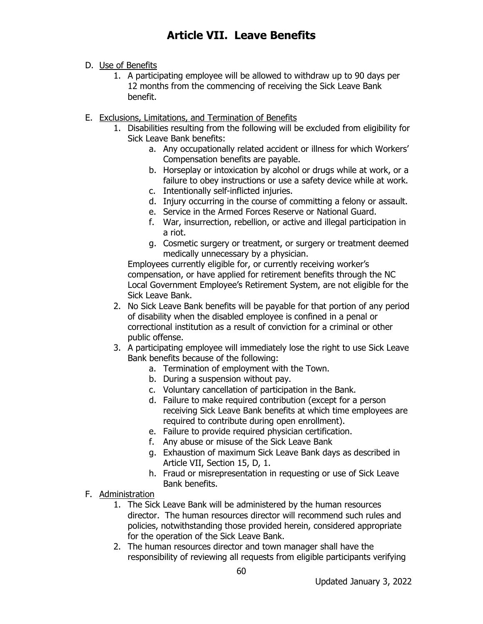- D. Use of Benefits
	- 1. A participating employee will be allowed to withdraw up to 90 days per 12 months from the commencing of receiving the Sick Leave Bank benefit.
- E. Exclusions, Limitations, and Termination of Benefits
	- 1. Disabilities resulting from the following will be excluded from eligibility for Sick Leave Bank benefits:
		- a. Any occupationally related accident or illness for which Workers' Compensation benefits are payable.
		- b. Horseplay or intoxication by alcohol or drugs while at work, or a failure to obey instructions or use a safety device while at work. c. Intentionally self-inflicted injuries.
		- d. Injury occurring in the course of committing a felony or assault.
		- e. Service in the Armed Forces Reserve or National Guard.
		- f. War, insurrection, rebellion, or active and illegal participation in a riot.
		- g. Cosmetic surgery or treatment, or surgery or treatment deemed medically unnecessary by a physician.

Employees currently eligible for, or currently receiving worker's compensation, or have applied for retirement benefits through the NC Local Government Employee's Retirement System, are not eligible for the Sick Leave Bank.

- 2. No Sick Leave Bank benefits will be payable for that portion of any period of disability when the disabled employee is confined in a penal or correctional institution as a result of conviction for a criminal or other public offense.
- 3. A participating employee will immediately lose the right to use Sick Leave Bank benefits because of the following:
	- a. Termination of employment with the Town.
	- b. During a suspension without pay.
	- c. Voluntary cancellation of participation in the Bank.
	- d. Failure to make required contribution (except for a person receiving Sick Leave Bank benefits at which time employees are required to contribute during open enrollment).
	- e. Failure to provide required physician certification.
	- f. Any abuse or misuse of the Sick Leave Bank
	- g. Exhaustion of maximum Sick Leave Bank days as described in Article VII, Section 15, D, 1.
	- h. Fraud or misrepresentation in requesting or use of Sick Leave Bank benefits.
- F. Administration
	- 1. The Sick Leave Bank will be administered by the human resources director. The human resources director will recommend such rules and policies, notwithstanding those provided herein, considered appropriate for the operation of the Sick Leave Bank.
	- 2. The human resources director and town manager shall have the responsibility of reviewing all requests from eligible participants verifying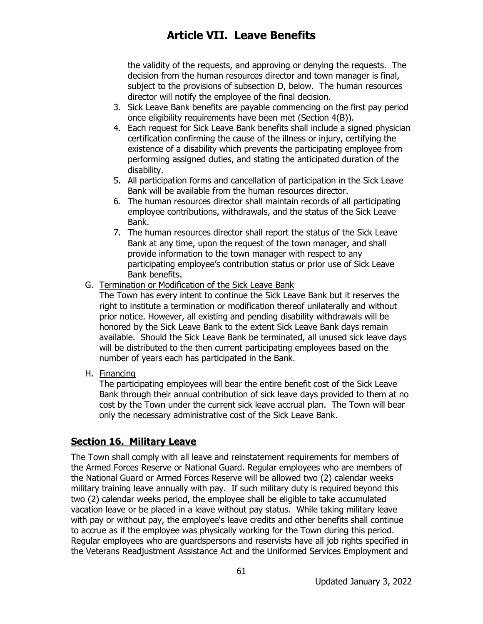the validity of the requests, and approving or denying the requests. The decision from the human resources director and town manager is final, subject to the provisions of subsection D, below. The human resources director will notify the employee of the final decision.

- 3. Sick Leave Bank benefits are payable commencing on the first pay period once eligibility requirements have been met (Section 4(B)).
- 4. Each request for Sick Leave Bank benefits shall include a signed physician certification confirming the cause of the illness or injury, certifying the existence of a disability which prevents the participating employee from performing assigned duties, and stating the anticipated duration of the disability.
- 5. All participation forms and cancellation of participation in the Sick Leave Bank will be available from the human resources director.
- 6. The human resources director shall maintain records of all participating employee contributions, withdrawals, and the status of the Sick Leave Bank.
- 7. The human resources director shall report the status of the Sick Leave Bank at any time, upon the request of the town manager, and shall provide information to the town manager with respect to any participating employee's contribution status or prior use of Sick Leave Bank benefits.
- G. Termination or Modification of the Sick Leave Bank

The Town has every intent to continue the Sick Leave Bank but it reserves the right to institute a termination or modification thereof unilaterally and without prior notice. However, all existing and pending disability withdrawals will be honored by the Sick Leave Bank to the extent Sick Leave Bank days remain available. Should the Sick Leave Bank be terminated, all unused sick leave days will be distributed to the then current participating employees based on the number of years each has participated in the Bank.

H. Financing

The participating employees will bear the entire benefit cost of the Sick Leave Bank through their annual contribution of sick leave days provided to them at no cost by the Town under the current sick leave accrual plan. The Town will bear only the necessary administrative cost of the Sick Leave Bank.

#### **Section 16. Military Leave**

The Town shall comply with all leave and reinstatement requirements for members of the Armed Forces Reserve or National Guard. Regular employees who are members of the National Guard or Armed Forces Reserve will be allowed two (2) calendar weeks military training leave annually with pay. If such military duty is required beyond this two (2) calendar weeks period, the employee shall be eligible to take accumulated vacation leave or be placed in a leave without pay status. While taking military leave with pay or without pay, the employee's leave credits and other benefits shall continue to accrue as if the employee was physically working for the Town during this period. Regular employees who are guardspersons and reservists have all job rights specified in the Veterans Readjustment Assistance Act and the Uniformed Services Employment and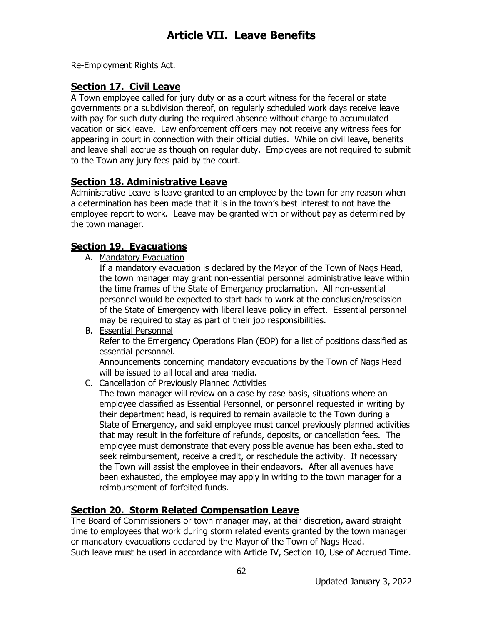Re-Employment Rights Act.

### **Section 17. Civil Leave**

A Town employee called for jury duty or as a court witness for the federal or state governments or a subdivision thereof, on regularly scheduled work days receive leave with pay for such duty during the required absence without charge to accumulated vacation or sick leave. Law enforcement officers may not receive any witness fees for appearing in court in connection with their official duties. While on civil leave, benefits and leave shall accrue as though on regular duty. Employees are not required to submit to the Town any jury fees paid by the court.

### **Section 18. Administrative Leave**

Administrative Leave is leave granted to an employee by the town for any reason when a determination has been made that it is in the town's best interest to not have the employee report to work. Leave may be granted with or without pay as determined by the town manager.

### **Section 19. Evacuations**

A. Mandatory Evacuation

If a mandatory evacuation is declared by the Mayor of the Town of Nags Head, the town manager may grant non-essential personnel administrative leave within the time frames of the State of Emergency proclamation. All non-essential personnel would be expected to start back to work at the conclusion/rescission of the State of Emergency with liberal leave policy in effect. Essential personnel may be required to stay as part of their job responsibilities.

B. Essential Personnel Refer to the Emergency Operations Plan (EOP) for a list of positions classified as essential personnel.

Announcements concerning mandatory evacuations by the Town of Nags Head will be issued to all local and area media.

C. Cancellation of Previously Planned Activities

The town manager will review on a case by case basis, situations where an employee classified as Essential Personnel, or personnel requested in writing by their department head, is required to remain available to the Town during a State of Emergency, and said employee must cancel previously planned activities that may result in the forfeiture of refunds, deposits, or cancellation fees. The employee must demonstrate that every possible avenue has been exhausted to seek reimbursement, receive a credit, or reschedule the activity. If necessary the Town will assist the employee in their endeavors. After all avenues have been exhausted, the employee may apply in writing to the town manager for a reimbursement of forfeited funds.

### **Section 20. Storm Related Compensation Leave**

The Board of Commissioners or town manager may, at their discretion, award straight time to employees that work during storm related events granted by the town manager or mandatory evacuations declared by the Mayor of the Town of Nags Head. Such leave must be used in accordance with Article IV, Section 10, Use of Accrued Time.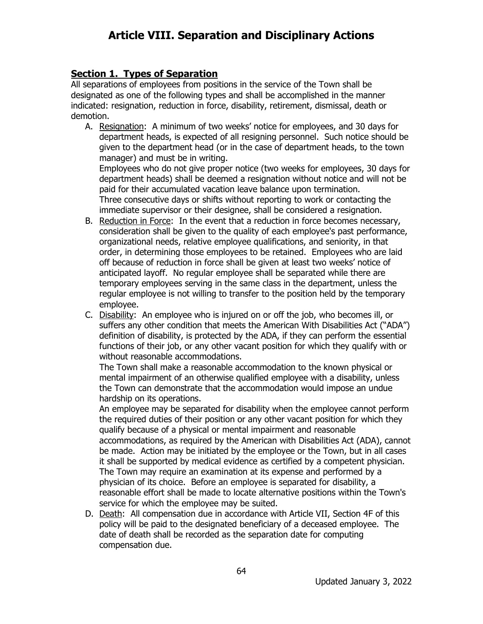### **Section 1. Types of Separation**

All separations of employees from positions in the service of the Town shall be designated as one of the following types and shall be accomplished in the manner indicated: resignation, reduction in force, disability, retirement, dismissal, death or demotion.

A. Resignation: A minimum of two weeks' notice for employees, and 30 days for department heads, is expected of all resigning personnel. Such notice should be given to the department head (or in the case of department heads, to the town manager) and must be in writing.

Employees who do not give proper notice (two weeks for employees, 30 days for department heads) shall be deemed a resignation without notice and will not be paid for their accumulated vacation leave balance upon termination. Three consecutive days or shifts without reporting to work or contacting the immediate supervisor or their designee, shall be considered a resignation.

- B. Reduction in Force: In the event that a reduction in force becomes necessary, consideration shall be given to the quality of each employee's past performance, organizational needs, relative employee qualifications, and seniority, in that order, in determining those employees to be retained. Employees who are laid off because of reduction in force shall be given at least two weeks' notice of anticipated layoff. No regular employee shall be separated while there are temporary employees serving in the same class in the department, unless the regular employee is not willing to transfer to the position held by the temporary employee.
- C. Disability: An employee who is injured on or off the job, who becomes ill, or suffers any other condition that meets the American With Disabilities Act ("ADA") definition of disability, is protected by the ADA, if they can perform the essential functions of their job, or any other vacant position for which they qualify with or without reasonable accommodations.

The Town shall make a reasonable accommodation to the known physical or mental impairment of an otherwise qualified employee with a disability, unless the Town can demonstrate that the accommodation would impose an undue hardship on its operations.

An employee may be separated for disability when the employee cannot perform the required duties of their position or any other vacant position for which they qualify because of a physical or mental impairment and reasonable accommodations, as required by the American with Disabilities Act (ADA), cannot be made. Action may be initiated by the employee or the Town, but in all cases it shall be supported by medical evidence as certified by a competent physician. The Town may require an examination at its expense and performed by a physician of its choice. Before an employee is separated for disability, a reasonable effort shall be made to locate alternative positions within the Town's service for which the employee may be suited.

D. Death: All compensation due in accordance with Article VII, Section 4F of this policy will be paid to the designated beneficiary of a deceased employee. The date of death shall be recorded as the separation date for computing compensation due.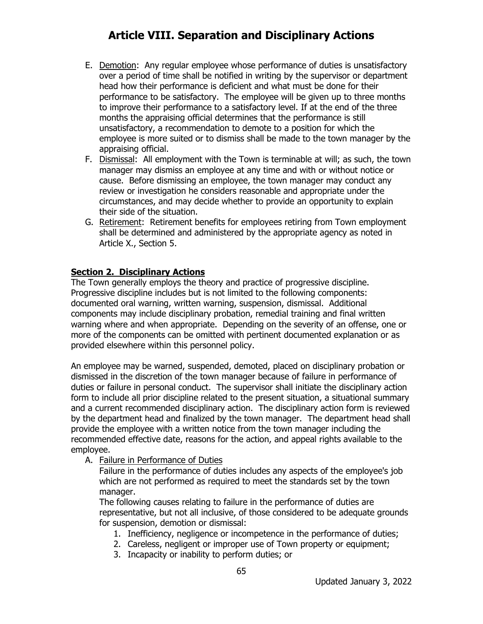- E. Demotion: Any regular employee whose performance of duties is unsatisfactory over a period of time shall be notified in writing by the supervisor or department head how their performance is deficient and what must be done for their performance to be satisfactory. The employee will be given up to three months to improve their performance to a satisfactory level. If at the end of the three months the appraising official determines that the performance is still unsatisfactory, a recommendation to demote to a position for which the employee is more suited or to dismiss shall be made to the town manager by the appraising official.
- F. Dismissal: All employment with the Town is terminable at will; as such, the town manager may dismiss an employee at any time and with or without notice or cause. Before dismissing an employee, the town manager may conduct any review or investigation he considers reasonable and appropriate under the circumstances, and may decide whether to provide an opportunity to explain their side of the situation.
- G. Retirement: Retirement benefits for employees retiring from Town employment shall be determined and administered by the appropriate agency as noted in Article X., Section 5.

#### **Section 2. Disciplinary Actions**

The Town generally employs the theory and practice of progressive discipline. Progressive discipline includes but is not limited to the following components: documented oral warning, written warning, suspension, dismissal. Additional components may include disciplinary probation, remedial training and final written warning where and when appropriate. Depending on the severity of an offense, one or more of the components can be omitted with pertinent documented explanation or as provided elsewhere within this personnel policy.

An employee may be warned, suspended, demoted, placed on disciplinary probation or dismissed in the discretion of the town manager because of failure in performance of duties or failure in personal conduct. The supervisor shall initiate the disciplinary action form to include all prior discipline related to the present situation, a situational summary and a current recommended disciplinary action. The disciplinary action form is reviewed by the department head and finalized by the town manager. The department head shall provide the employee with a written notice from the town manager including the recommended effective date, reasons for the action, and appeal rights available to the employee.

A. Failure in Performance of Duties

Failure in the performance of duties includes any aspects of the employee's job which are not performed as required to meet the standards set by the town manager.

The following causes relating to failure in the performance of duties are representative, but not all inclusive, of those considered to be adequate grounds for suspension, demotion or dismissal:

- 1. Inefficiency, negligence or incompetence in the performance of duties;
- 2. Careless, negligent or improper use of Town property or equipment;
- 3. Incapacity or inability to perform duties; or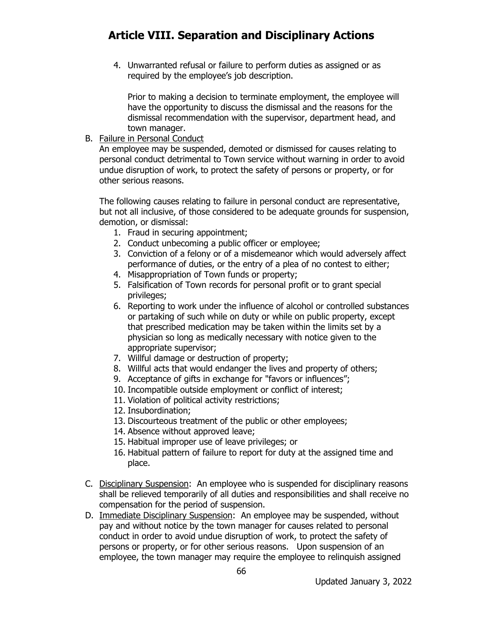4. Unwarranted refusal or failure to perform duties as assigned or as required by the employee's job description.

Prior to making a decision to terminate employment, the employee will have the opportunity to discuss the dismissal and the reasons for the dismissal recommendation with the supervisor, department head, and town manager.

B. Failure in Personal Conduct

An employee may be suspended, demoted or dismissed for causes relating to personal conduct detrimental to Town service without warning in order to avoid undue disruption of work, to protect the safety of persons or property, or for other serious reasons.

The following causes relating to failure in personal conduct are representative, but not all inclusive, of those considered to be adequate grounds for suspension, demotion, or dismissal:

- 1. Fraud in securing appointment;
- 2. Conduct unbecoming a public officer or employee;
- 3. Conviction of a felony or of a misdemeanor which would adversely affect performance of duties, or the entry of a plea of no contest to either;
- 4. Misappropriation of Town funds or property;
- 5. Falsification of Town records for personal profit or to grant special privileges;
- 6. Reporting to work under the influence of alcohol or controlled substances or partaking of such while on duty or while on public property, except that prescribed medication may be taken within the limits set by a physician so long as medically necessary with notice given to the appropriate supervisor;
- 7. Willful damage or destruction of property;
- 8. Willful acts that would endanger the lives and property of others;
- 9. Acceptance of gifts in exchange for "favors or influences";
- 10. Incompatible outside employment or conflict of interest;
- 11. Violation of political activity restrictions;
- 12. Insubordination;
- 13. Discourteous treatment of the public or other employees;
- 14. Absence without approved leave;
- 15. Habitual improper use of leave privileges; or
- 16. Habitual pattern of failure to report for duty at the assigned time and place.
- C. Disciplinary Suspension: An employee who is suspended for disciplinary reasons shall be relieved temporarily of all duties and responsibilities and shall receive no compensation for the period of suspension.
- D. Immediate Disciplinary Suspension: An employee may be suspended, without pay and without notice by the town manager for causes related to personal conduct in order to avoid undue disruption of work, to protect the safety of persons or property, or for other serious reasons. Upon suspension of an employee, the town manager may require the employee to relinquish assigned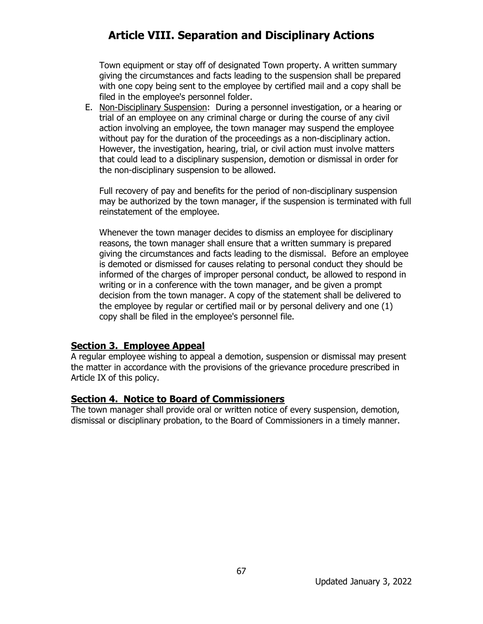Town equipment or stay off of designated Town property. A written summary giving the circumstances and facts leading to the suspension shall be prepared with one copy being sent to the employee by certified mail and a copy shall be filed in the employee's personnel folder.

E. Non-Disciplinary Suspension: During a personnel investigation, or a hearing or trial of an employee on any criminal charge or during the course of any civil action involving an employee, the town manager may suspend the employee without pay for the duration of the proceedings as a non-disciplinary action. However, the investigation, hearing, trial, or civil action must involve matters that could lead to a disciplinary suspension, demotion or dismissal in order for the non-disciplinary suspension to be allowed.

Full recovery of pay and benefits for the period of non-disciplinary suspension may be authorized by the town manager, if the suspension is terminated with full reinstatement of the employee.

Whenever the town manager decides to dismiss an employee for disciplinary reasons, the town manager shall ensure that a written summary is prepared giving the circumstances and facts leading to the dismissal. Before an employee is demoted or dismissed for causes relating to personal conduct they should be informed of the charges of improper personal conduct, be allowed to respond in writing or in a conference with the town manager, and be given a prompt decision from the town manager. A copy of the statement shall be delivered to the employee by regular or certified mail or by personal delivery and one (1) copy shall be filed in the employee's personnel file.

#### **Section 3. Employee Appeal**

A regular employee wishing to appeal a demotion, suspension or dismissal may present the matter in accordance with the provisions of the grievance procedure prescribed in Article IX of this policy.

#### **Section 4. Notice to Board of Commissioners**

The town manager shall provide oral or written notice of every suspension, demotion, dismissal or disciplinary probation, to the Board of Commissioners in a timely manner.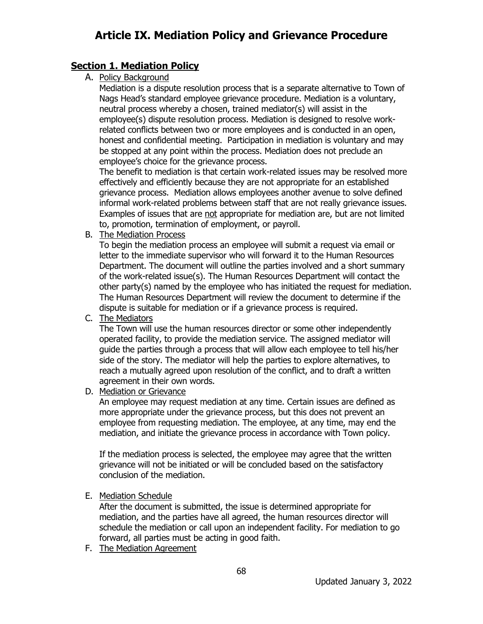### **Section 1. Mediation Policy**

A. Policy Background

Mediation is a dispute resolution process that is a separate alternative to Town of Nags Head's standard employee grievance procedure. Mediation is a voluntary, neutral process whereby a chosen, trained mediator(s) will assist in the employee(s) dispute resolution process. Mediation is designed to resolve workrelated conflicts between two or more employees and is conducted in an open, honest and confidential meeting. Participation in mediation is voluntary and may be stopped at any point within the process. Mediation does not preclude an employee's choice for the grievance process.

The benefit to mediation is that certain work-related issues may be resolved more effectively and efficiently because they are not appropriate for an established grievance process. Mediation allows employees another avenue to solve defined informal work-related problems between staff that are not really grievance issues. Examples of issues that are not appropriate for mediation are, but are not limited to, promotion, termination of employment, or payroll.

B. The Mediation Process

To begin the mediation process an employee will submit a request via email or letter to the immediate supervisor who will forward it to the Human Resources Department. The document will outline the parties involved and a short summary of the work-related issue(s). The Human Resources Department will contact the other party(s) named by the employee who has initiated the request for mediation. The Human Resources Department will review the document to determine if the dispute is suitable for mediation or if a grievance process is required.

C. The Mediators

The Town will use the human resources director or some other independently operated facility, to provide the mediation service. The assigned mediator will guide the parties through a process that will allow each employee to tell his/her side of the story. The mediator will help the parties to explore alternatives, to reach a mutually agreed upon resolution of the conflict, and to draft a written agreement in their own words.

D. Mediation or Grievance

An employee may request mediation at any time. Certain issues are defined as more appropriate under the grievance process, but this does not prevent an employee from requesting mediation. The employee, at any time, may end the mediation, and initiate the grievance process in accordance with Town policy.

If the mediation process is selected, the employee may agree that the written grievance will not be initiated or will be concluded based on the satisfactory conclusion of the mediation.

E. Mediation Schedule

After the document is submitted, the issue is determined appropriate for mediation, and the parties have all agreed, the human resources director will schedule the mediation or call upon an independent facility. For mediation to go forward, all parties must be acting in good faith.

68

F. The Mediation Agreement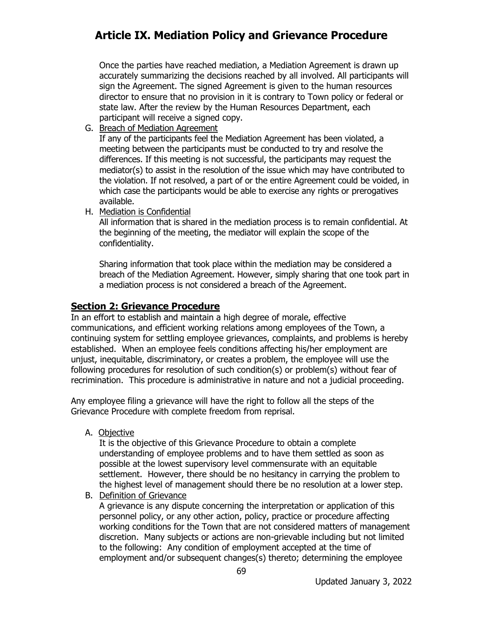Once the parties have reached mediation, a Mediation Agreement is drawn up accurately summarizing the decisions reached by all involved. All participants will sign the Agreement. The signed Agreement is given to the human resources director to ensure that no provision in it is contrary to Town policy or federal or state law. After the review by the Human Resources Department, each participant will receive a signed copy.

G. Breach of Mediation Agreement

If any of the participants feel the Mediation Agreement has been violated, a meeting between the participants must be conducted to try and resolve the differences. If this meeting is not successful, the participants may request the mediator(s) to assist in the resolution of the issue which may have contributed to the violation. If not resolved, a part of or the entire Agreement could be voided, in which case the participants would be able to exercise any rights or prerogatives available.

H. Mediation is Confidential

All information that is shared in the mediation process is to remain confidential. At the beginning of the meeting, the mediator will explain the scope of the confidentiality.

Sharing information that took place within the mediation may be considered a breach of the Mediation Agreement. However, simply sharing that one took part in a mediation process is not considered a breach of the Agreement.

### **Section 2: Grievance Procedure**

In an effort to establish and maintain a high degree of morale, effective communications, and efficient working relations among employees of the Town, a continuing system for settling employee grievances, complaints, and problems is hereby established. When an employee feels conditions affecting his/her employment are unjust, inequitable, discriminatory, or creates a problem, the employee will use the following procedures for resolution of such condition(s) or problem(s) without fear of recrimination. This procedure is administrative in nature and not a judicial proceeding.

Any employee filing a grievance will have the right to follow all the steps of the Grievance Procedure with complete freedom from reprisal.

A. Objective

It is the objective of this Grievance Procedure to obtain a complete understanding of employee problems and to have them settled as soon as possible at the lowest supervisory level commensurate with an equitable settlement. However, there should be no hesitancy in carrying the problem to the highest level of management should there be no resolution at a lower step.

B. Definition of Grievance

A grievance is any dispute concerning the interpretation or application of this personnel policy, or any other action, policy, practice or procedure affecting working conditions for the Town that are not considered matters of management discretion. Many subjects or actions are non-grievable including but not limited to the following: Any condition of employment accepted at the time of employment and/or subsequent changes(s) thereto; determining the employee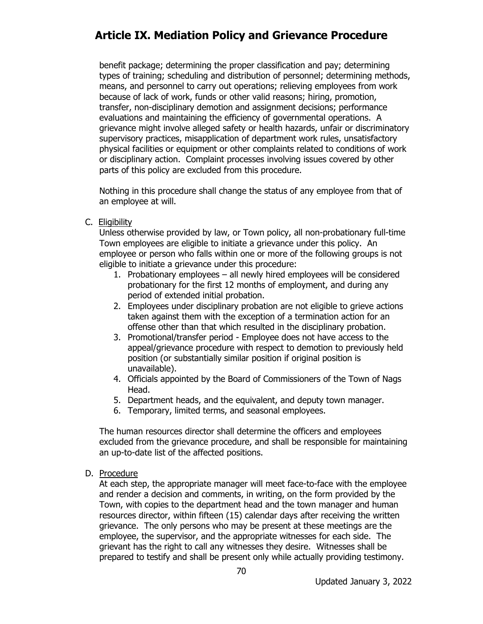benefit package; determining the proper classification and pay; determining types of training; scheduling and distribution of personnel; determining methods, means, and personnel to carry out operations; relieving employees from work because of lack of work, funds or other valid reasons; hiring, promotion, transfer, non-disciplinary demotion and assignment decisions; performance evaluations and maintaining the efficiency of governmental operations. A grievance might involve alleged safety or health hazards, unfair or discriminatory supervisory practices, misapplication of department work rules, unsatisfactory physical facilities or equipment or other complaints related to conditions of work or disciplinary action. Complaint processes involving issues covered by other parts of this policy are excluded from this procedure.

Nothing in this procedure shall change the status of any employee from that of an employee at will.

C. Eligibility

Unless otherwise provided by law, or Town policy, all non-probationary full-time Town employees are eligible to initiate a grievance under this policy. An employee or person who falls within one or more of the following groups is not eligible to initiate a grievance under this procedure:

- 1. Probationary employees all newly hired employees will be considered probationary for the first 12 months of employment, and during any period of extended initial probation.
- 2. Employees under disciplinary probation are not eligible to grieve actions taken against them with the exception of a termination action for an offense other than that which resulted in the disciplinary probation.
- 3. Promotional/transfer period Employee does not have access to the appeal/grievance procedure with respect to demotion to previously held position (or substantially similar position if original position is unavailable).
- 4. Officials appointed by the Board of Commissioners of the Town of Nags Head.
- 5. Department heads, and the equivalent, and deputy town manager.
- 6. Temporary, limited terms, and seasonal employees.

The human resources director shall determine the officers and employees excluded from the grievance procedure, and shall be responsible for maintaining an up-to-date list of the affected positions.

D. Procedure

At each step, the appropriate manager will meet face-to-face with the employee and render a decision and comments, in writing, on the form provided by the Town, with copies to the department head and the town manager and human resources director, within fifteen (15) calendar days after receiving the written grievance. The only persons who may be present at these meetings are the employee, the supervisor, and the appropriate witnesses for each side. The grievant has the right to call any witnesses they desire. Witnesses shall be prepared to testify and shall be present only while actually providing testimony.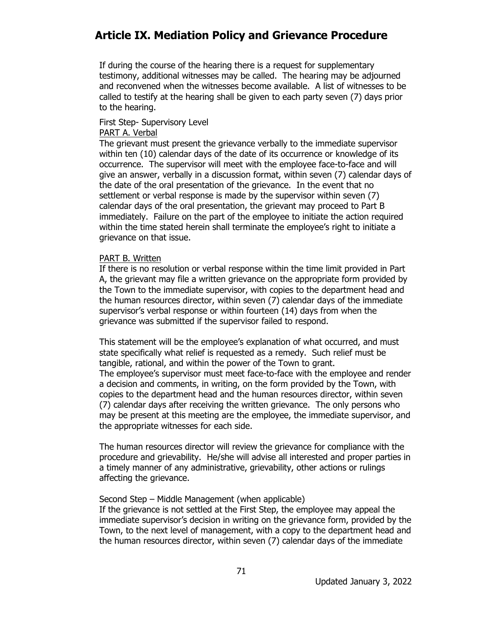If during the course of the hearing there is a request for supplementary testimony, additional witnesses may be called. The hearing may be adjourned and reconvened when the witnesses become available. A list of witnesses to be called to testify at the hearing shall be given to each party seven (7) days prior to the hearing.

#### First Step- Supervisory Level PART A. Verbal

The grievant must present the grievance verbally to the immediate supervisor within ten (10) calendar days of the date of its occurrence or knowledge of its occurrence. The supervisor will meet with the employee face-to-face and will give an answer, verbally in a discussion format, within seven (7) calendar days of the date of the oral presentation of the grievance. In the event that no settlement or verbal response is made by the supervisor within seven (7) calendar days of the oral presentation, the grievant may proceed to Part B immediately. Failure on the part of the employee to initiate the action required within the time stated herein shall terminate the employee's right to initiate a grievance on that issue.

#### PART B. Written

If there is no resolution or verbal response within the time limit provided in Part A, the grievant may file a written grievance on the appropriate form provided by the Town to the immediate supervisor, with copies to the department head and the human resources director, within seven (7) calendar days of the immediate supervisor's verbal response or within fourteen (14) days from when the grievance was submitted if the supervisor failed to respond.

This statement will be the employee's explanation of what occurred, and must state specifically what relief is requested as a remedy. Such relief must be tangible, rational, and within the power of the Town to grant. The employee's supervisor must meet face-to-face with the employee and render a decision and comments, in writing, on the form provided by the Town, with copies to the department head and the human resources director, within seven (7) calendar days after receiving the written grievance. The only persons who may be present at this meeting are the employee, the immediate supervisor, and the appropriate witnesses for each side.

The human resources director will review the grievance for compliance with the procedure and grievability. He/she will advise all interested and proper parties in a timely manner of any administrative, grievability, other actions or rulings affecting the grievance.

#### Second Step – Middle Management (when applicable)

If the grievance is not settled at the First Step, the employee may appeal the immediate supervisor's decision in writing on the grievance form, provided by the Town, to the next level of management, with a copy to the department head and the human resources director, within seven (7) calendar days of the immediate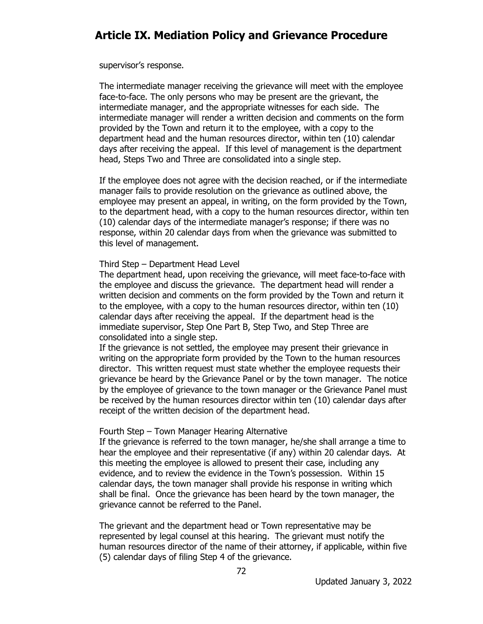supervisor's response.

The intermediate manager receiving the grievance will meet with the employee face-to-face. The only persons who may be present are the grievant, the intermediate manager, and the appropriate witnesses for each side. The intermediate manager will render a written decision and comments on the form provided by the Town and return it to the employee, with a copy to the department head and the human resources director, within ten (10) calendar days after receiving the appeal. If this level of management is the department head, Steps Two and Three are consolidated into a single step.

If the employee does not agree with the decision reached, or if the intermediate manager fails to provide resolution on the grievance as outlined above, the employee may present an appeal, in writing, on the form provided by the Town, to the department head, with a copy to the human resources director, within ten (10) calendar days of the intermediate manager's response; if there was no response, within 20 calendar days from when the grievance was submitted to this level of management.

#### Third Step – Department Head Level

The department head, upon receiving the grievance, will meet face-to-face with the employee and discuss the grievance. The department head will render a written decision and comments on the form provided by the Town and return it to the employee, with a copy to the human resources director, within ten (10) calendar days after receiving the appeal. If the department head is the immediate supervisor, Step One Part B, Step Two, and Step Three are consolidated into a single step.

If the grievance is not settled, the employee may present their grievance in writing on the appropriate form provided by the Town to the human resources director. This written request must state whether the employee requests their grievance be heard by the Grievance Panel or by the town manager. The notice by the employee of grievance to the town manager or the Grievance Panel must be received by the human resources director within ten (10) calendar days after receipt of the written decision of the department head.

#### Fourth Step – Town Manager Hearing Alternative

If the grievance is referred to the town manager, he/she shall arrange a time to hear the employee and their representative (if any) within 20 calendar days. At this meeting the employee is allowed to present their case, including any evidence, and to review the evidence in the Town's possession. Within 15 calendar days, the town manager shall provide his response in writing which shall be final. Once the grievance has been heard by the town manager, the grievance cannot be referred to the Panel.

The grievant and the department head or Town representative may be represented by legal counsel at this hearing. The grievant must notify the human resources director of the name of their attorney, if applicable, within five (5) calendar days of filing Step 4 of the grievance.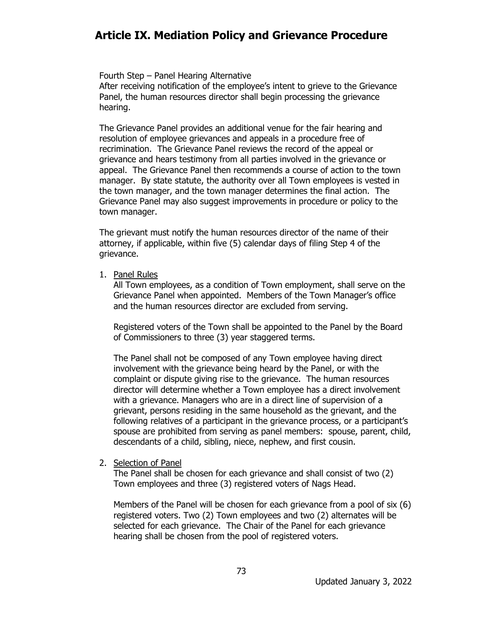#### Fourth Step – Panel Hearing Alternative

After receiving notification of the employee's intent to grieve to the Grievance Panel, the human resources director shall begin processing the grievance hearing.

The Grievance Panel provides an additional venue for the fair hearing and resolution of employee grievances and appeals in a procedure free of recrimination. The Grievance Panel reviews the record of the appeal or grievance and hears testimony from all parties involved in the grievance or appeal. The Grievance Panel then recommends a course of action to the town manager. By state statute, the authority over all Town employees is vested in the town manager, and the town manager determines the final action. The Grievance Panel may also suggest improvements in procedure or policy to the town manager.

The grievant must notify the human resources director of the name of their attorney, if applicable, within five (5) calendar days of filing Step 4 of the grievance.

1. Panel Rules

All Town employees, as a condition of Town employment, shall serve on the Grievance Panel when appointed. Members of the Town Manager's office and the human resources director are excluded from serving.

Registered voters of the Town shall be appointed to the Panel by the Board of Commissioners to three (3) year staggered terms.

The Panel shall not be composed of any Town employee having direct involvement with the grievance being heard by the Panel, or with the complaint or dispute giving rise to the grievance. The human resources director will determine whether a Town employee has a direct involvement with a grievance. Managers who are in a direct line of supervision of a grievant, persons residing in the same household as the grievant, and the following relatives of a participant in the grievance process, or a participant's spouse are prohibited from serving as panel members: spouse, parent, child, descendants of a child, sibling, niece, nephew, and first cousin.

2. Selection of Panel

The Panel shall be chosen for each grievance and shall consist of two (2) Town employees and three (3) registered voters of Nags Head.

Members of the Panel will be chosen for each grievance from a pool of six (6) registered voters. Two (2) Town employees and two (2) alternates will be selected for each grievance. The Chair of the Panel for each grievance hearing shall be chosen from the pool of registered voters.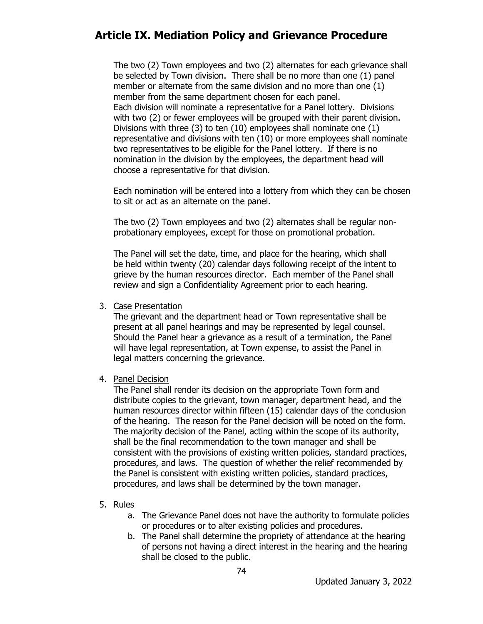The two (2) Town employees and two (2) alternates for each grievance shall be selected by Town division. There shall be no more than one (1) panel member or alternate from the same division and no more than one (1) member from the same department chosen for each panel. Each division will nominate a representative for a Panel lottery. Divisions with two (2) or fewer employees will be grouped with their parent division. Divisions with three (3) to ten (10) employees shall nominate one (1) representative and divisions with ten (10) or more employees shall nominate two representatives to be eligible for the Panel lottery. If there is no nomination in the division by the employees, the department head will choose a representative for that division.

Each nomination will be entered into a lottery from which they can be chosen to sit or act as an alternate on the panel.

The two (2) Town employees and two (2) alternates shall be regular nonprobationary employees, except for those on promotional probation.

The Panel will set the date, time, and place for the hearing, which shall be held within twenty (20) calendar days following receipt of the intent to grieve by the human resources director. Each member of the Panel shall review and sign a Confidentiality Agreement prior to each hearing.

3. Case Presentation

The grievant and the department head or Town representative shall be present at all panel hearings and may be represented by legal counsel. Should the Panel hear a grievance as a result of a termination, the Panel will have legal representation, at Town expense, to assist the Panel in legal matters concerning the grievance.

4. Panel Decision

The Panel shall render its decision on the appropriate Town form and distribute copies to the grievant, town manager, department head, and the human resources director within fifteen (15) calendar days of the conclusion of the hearing. The reason for the Panel decision will be noted on the form. The majority decision of the Panel, acting within the scope of its authority, shall be the final recommendation to the town manager and shall be consistent with the provisions of existing written policies, standard practices, procedures, and laws. The question of whether the relief recommended by the Panel is consistent with existing written policies, standard practices, procedures, and laws shall be determined by the town manager.

- 5. Rules
	- a. The Grievance Panel does not have the authority to formulate policies or procedures or to alter existing policies and procedures.
	- b. The Panel shall determine the propriety of attendance at the hearing of persons not having a direct interest in the hearing and the hearing shall be closed to the public.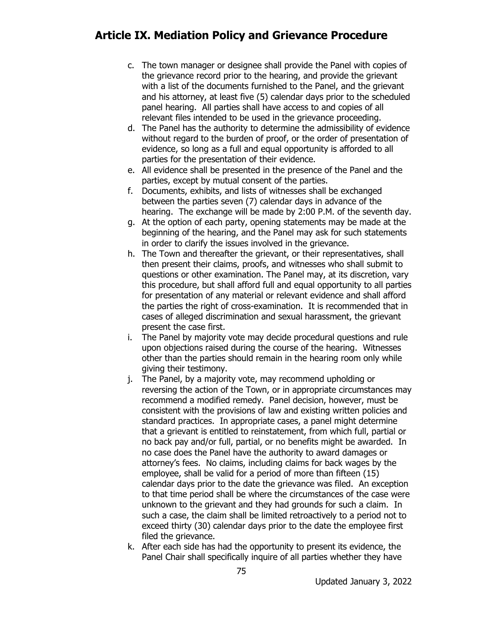- c. The town manager or designee shall provide the Panel with copies of the grievance record prior to the hearing, and provide the grievant with a list of the documents furnished to the Panel, and the grievant and his attorney, at least five (5) calendar days prior to the scheduled panel hearing. All parties shall have access to and copies of all relevant files intended to be used in the grievance proceeding.
- d. The Panel has the authority to determine the admissibility of evidence without regard to the burden of proof, or the order of presentation of evidence, so long as a full and equal opportunity is afforded to all parties for the presentation of their evidence.
- e. All evidence shall be presented in the presence of the Panel and the parties, except by mutual consent of the parties.
- f. Documents, exhibits, and lists of witnesses shall be exchanged between the parties seven (7) calendar days in advance of the hearing. The exchange will be made by 2:00 P.M. of the seventh day.
- g. At the option of each party, opening statements may be made at the beginning of the hearing, and the Panel may ask for such statements in order to clarify the issues involved in the grievance.
- h. The Town and thereafter the grievant, or their representatives, shall then present their claims, proofs, and witnesses who shall submit to questions or other examination. The Panel may, at its discretion, vary this procedure, but shall afford full and equal opportunity to all parties for presentation of any material or relevant evidence and shall afford the parties the right of cross-examination. It is recommended that in cases of alleged discrimination and sexual harassment, the grievant present the case first.
- i. The Panel by majority vote may decide procedural questions and rule upon objections raised during the course of the hearing. Witnesses other than the parties should remain in the hearing room only while giving their testimony.
- j. The Panel, by a majority vote, may recommend upholding or reversing the action of the Town, or in appropriate circumstances may recommend a modified remedy. Panel decision, however, must be consistent with the provisions of law and existing written policies and standard practices. In appropriate cases, a panel might determine that a grievant is entitled to reinstatement, from which full, partial or no back pay and/or full, partial, or no benefits might be awarded. In no case does the Panel have the authority to award damages or attorney's fees. No claims, including claims for back wages by the employee, shall be valid for a period of more than fifteen (15) calendar days prior to the date the grievance was filed. An exception to that time period shall be where the circumstances of the case were unknown to the grievant and they had grounds for such a claim. In such a case, the claim shall be limited retroactively to a period not to exceed thirty (30) calendar days prior to the date the employee first filed the grievance.
- k. After each side has had the opportunity to present its evidence, the Panel Chair shall specifically inquire of all parties whether they have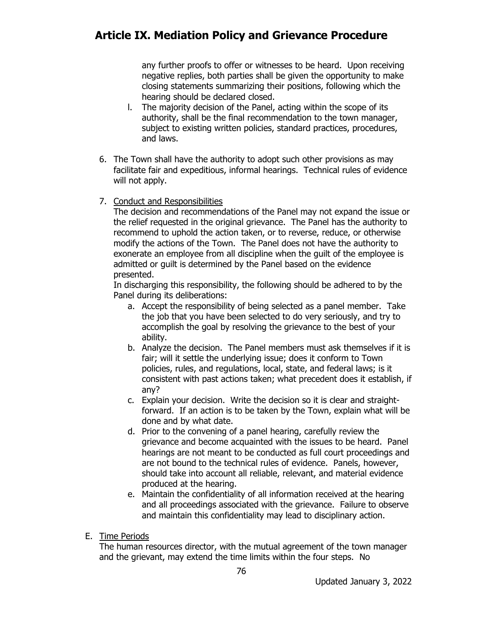any further proofs to offer or witnesses to be heard. Upon receiving negative replies, both parties shall be given the opportunity to make closing statements summarizing their positions, following which the hearing should be declared closed.

- l. The majority decision of the Panel, acting within the scope of its authority, shall be the final recommendation to the town manager, subject to existing written policies, standard practices, procedures, and laws.
- 6. The Town shall have the authority to adopt such other provisions as may facilitate fair and expeditious, informal hearings. Technical rules of evidence will not apply.

#### 7. Conduct and Responsibilities

The decision and recommendations of the Panel may not expand the issue or the relief requested in the original grievance. The Panel has the authority to recommend to uphold the action taken, or to reverse, reduce, or otherwise modify the actions of the Town. The Panel does not have the authority to exonerate an employee from all discipline when the guilt of the employee is admitted or guilt is determined by the Panel based on the evidence presented.

In discharging this responsibility, the following should be adhered to by the Panel during its deliberations:

- a. Accept the responsibility of being selected as a panel member. Take the job that you have been selected to do very seriously, and try to accomplish the goal by resolving the grievance to the best of your ability.
- b. Analyze the decision. The Panel members must ask themselves if it is fair; will it settle the underlying issue; does it conform to Town policies, rules, and regulations, local, state, and federal laws; is it consistent with past actions taken; what precedent does it establish, if any?
- c. Explain your decision. Write the decision so it is clear and straightforward. If an action is to be taken by the Town, explain what will be done and by what date.
- d. Prior to the convening of a panel hearing, carefully review the grievance and become acquainted with the issues to be heard. Panel hearings are not meant to be conducted as full court proceedings and are not bound to the technical rules of evidence. Panels, however, should take into account all reliable, relevant, and material evidence produced at the hearing.
- e. Maintain the confidentiality of all information received at the hearing and all proceedings associated with the grievance. Failure to observe and maintain this confidentiality may lead to disciplinary action.
- E. Time Periods

The human resources director, with the mutual agreement of the town manager and the grievant, may extend the time limits within the four steps. No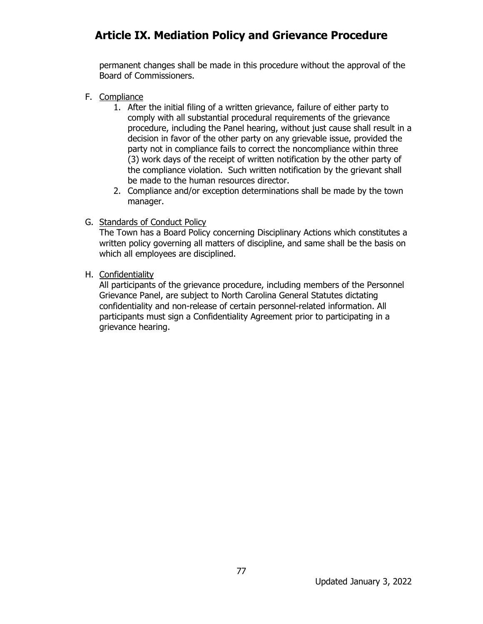permanent changes shall be made in this procedure without the approval of the Board of Commissioners.

- F. Compliance
	- 1. After the initial filing of a written grievance, failure of either party to comply with all substantial procedural requirements of the grievance procedure, including the Panel hearing, without just cause shall result in a decision in favor of the other party on any grievable issue, provided the party not in compliance fails to correct the noncompliance within three (3) work days of the receipt of written notification by the other party of the compliance violation. Such written notification by the grievant shall be made to the human resources director.
	- 2. Compliance and/or exception determinations shall be made by the town manager.
- G. Standards of Conduct Policy

The Town has a Board Policy concerning Disciplinary Actions which constitutes a written policy governing all matters of discipline, and same shall be the basis on which all employees are disciplined.

H. Confidentiality

All participants of the grievance procedure, including members of the Personnel Grievance Panel, are subject to North Carolina General Statutes dictating confidentiality and non-release of certain personnel-related information. All participants must sign a Confidentiality Agreement prior to participating in a grievance hearing.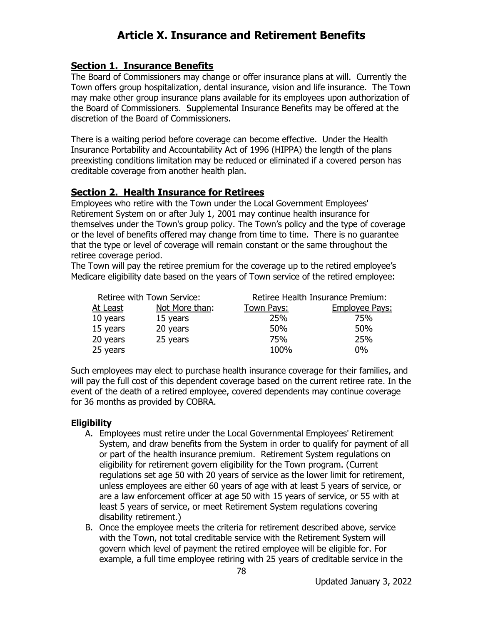#### **Section 1. Insurance Benefits**

The Board of Commissioners may change or offer insurance plans at will. Currently the Town offers group hospitalization, dental insurance, vision and life insurance. The Town may make other group insurance plans available for its employees upon authorization of the Board of Commissioners. Supplemental Insurance Benefits may be offered at the discretion of the Board of Commissioners.

There is a waiting period before coverage can become effective. Under the Health Insurance Portability and Accountability Act of 1996 (HIPPA) the length of the plans preexisting conditions limitation may be reduced or eliminated if a covered person has creditable coverage from another health plan.

#### **Section 2. Health Insurance for Retirees**

Employees who retire with the Town under the Local Government Employees' Retirement System on or after July 1, 2001 may continue health insurance for themselves under the Town's group policy. The Town's policy and the type of coverage or the level of benefits offered may change from time to time. There is no guarantee that the type or level of coverage will remain constant or the same throughout the retiree coverage period.

The Town will pay the retiree premium for the coverage up to the retired employee's Medicare eligibility date based on the years of Town service of the retired employee:

| Retiree with Town Service: |                | Retiree Health Insurance Premium: |                       |
|----------------------------|----------------|-----------------------------------|-----------------------|
| At Least                   | Not More than: | <u>Town Pays:</u>                 | <b>Employee Pays:</b> |
| 10 years                   | 15 years       | 25%                               | 75%                   |
| 15 years                   | 20 years       | 50%                               | 50%                   |
| 20 years                   | 25 years       | 75%                               | 25%                   |
| 25 years                   |                | 100%                              | $0\%$                 |

Such employees may elect to purchase health insurance coverage for their families, and will pay the full cost of this dependent coverage based on the current retiree rate. In the event of the death of a retired employee, covered dependents may continue coverage for 36 months as provided by COBRA.

#### **Eligibility**

- A. Employees must retire under the Local Governmental Employees' Retirement System, and draw benefits from the System in order to qualify for payment of all or part of the health insurance premium. Retirement System regulations on eligibility for retirement govern eligibility for the Town program. (Current regulations set age 50 with 20 years of service as the lower limit for retirement, unless employees are either 60 years of age with at least 5 years of service, or are a law enforcement officer at age 50 with 15 years of service, or 55 with at least 5 years of service, or meet Retirement System regulations covering disability retirement.)
- B. Once the employee meets the criteria for retirement described above, service with the Town, not total creditable service with the Retirement System will govern which level of payment the retired employee will be eligible for. For example, a full time employee retiring with 25 years of creditable service in the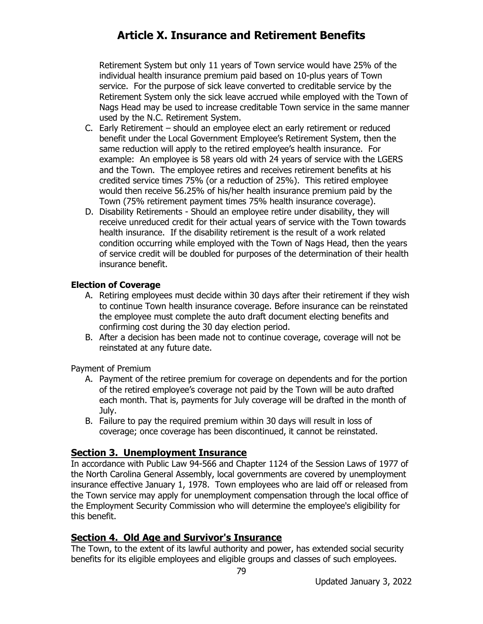Retirement System but only 11 years of Town service would have 25% of the individual health insurance premium paid based on 10-plus years of Town service. For the purpose of sick leave converted to creditable service by the Retirement System only the sick leave accrued while employed with the Town of Nags Head may be used to increase creditable Town service in the same manner used by the N.C. Retirement System.

- C. Early Retirement should an employee elect an early retirement or reduced benefit under the Local Government Employee's Retirement System, then the same reduction will apply to the retired employee's health insurance. For example: An employee is 58 years old with 24 years of service with the LGERS and the Town. The employee retires and receives retirement benefits at his credited service times 75% (or a reduction of 25%). This retired employee would then receive 56.25% of his/her health insurance premium paid by the Town (75% retirement payment times 75% health insurance coverage).
- D. Disability Retirements Should an employee retire under disability, they will receive unreduced credit for their actual years of service with the Town towards health insurance. If the disability retirement is the result of a work related condition occurring while employed with the Town of Nags Head, then the years of service credit will be doubled for purposes of the determination of their health insurance benefit.

#### **Election of Coverage**

- A. Retiring employees must decide within 30 days after their retirement if they wish to continue Town health insurance coverage. Before insurance can be reinstated the employee must complete the auto draft document electing benefits and confirming cost during the 30 day election period.
- B. After a decision has been made not to continue coverage, coverage will not be reinstated at any future date.

Payment of Premium

- A. Payment of the retiree premium for coverage on dependents and for the portion of the retired employee's coverage not paid by the Town will be auto drafted each month. That is, payments for July coverage will be drafted in the month of July.
- B. Failure to pay the required premium within 30 days will result in loss of coverage; once coverage has been discontinued, it cannot be reinstated.

#### **Section 3. Unemployment Insurance**

In accordance with Public Law 94-566 and Chapter 1124 of the Session Laws of 1977 of the North Carolina General Assembly, local governments are covered by unemployment insurance effective January 1, 1978. Town employees who are laid off or released from the Town service may apply for unemployment compensation through the local office of the Employment Security Commission who will determine the employee's eligibility for this benefit.

#### **Section 4. Old Age and Survivor's Insurance**

The Town, to the extent of its lawful authority and power, has extended social security benefits for its eligible employees and eligible groups and classes of such employees.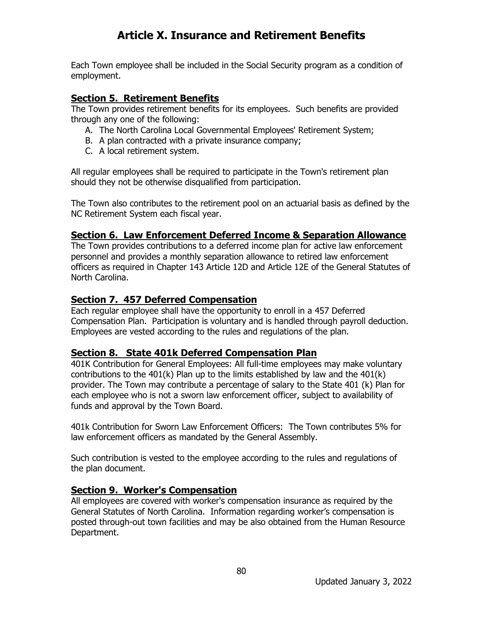Each Town employee shall be included in the Social Security program as a condition of employment.

#### **Section 5. Retirement Benefits**

The Town provides retirement benefits for its employees. Such benefits are provided through any one of the following:

- A. The North Carolina Local Governmental Employees' Retirement System;
- B. A plan contracted with a private insurance company;
- C. A local retirement system.

All regular employees shall be required to participate in the Town's retirement plan should they not be otherwise disqualified from participation.

The Town also contributes to the retirement pool on an actuarial basis as defined by the NC Retirement System each fiscal year.

#### **Section 6. Law Enforcement Deferred Income & Separation Allowance**

The Town provides contributions to a deferred income plan for active law enforcement personnel and provides a monthly separation allowance to retired law enforcement officers as required in Chapter 143 Article 12D and Article 12E of the General Statutes of North Carolina.

#### **Section 7. 457 Deferred Compensation**

Each regular employee shall have the opportunity to enroll in a 457 Deferred Compensation Plan. Participation is voluntary and is handled through payroll deduction. Employees are vested according to the rules and regulations of the plan.

### **Section 8. State 401k Deferred Compensation Plan**

401K Contribution for General Employees: All full-time employees may make voluntary contributions to the  $401(k)$  Plan up to the limits established by law and the  $401(k)$ provider. The Town may contribute a percentage of salary to the State 401 (k) Plan for each employee who is not a sworn law enforcement officer, subject to availability of funds and approval by the Town Board.

401k Contribution for Sworn Law Enforcement Officers: The Town contributes 5% for law enforcement officers as mandated by the General Assembly.

Such contribution is vested to the employee according to the rules and regulations of the plan document.

#### **Section 9. Worker's Compensation**

All employees are covered with worker's compensation insurance as required by the General Statutes of North Carolina. Information regarding worker's compensation is posted through-out town facilities and may be also obtained from the Human Resource Department.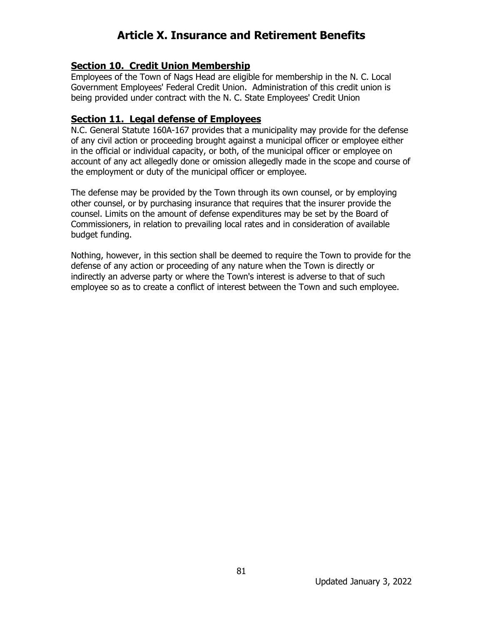#### **Section 10. Credit Union Membership**

Employees of the Town of Nags Head are eligible for membership in the N. C. Local Government Employees' Federal Credit Union. Administration of this credit union is being provided under contract with the N. C. State Employees' Credit Union

#### **Section 11. Legal defense of Employees**

N.C. General Statute 160A-167 provides that a municipality may provide for the defense of any civil action or proceeding brought against a municipal officer or employee either in the official or individual capacity, or both, of the municipal officer or employee on account of any act allegedly done or omission allegedly made in the scope and course of the employment or duty of the municipal officer or employee.

The defense may be provided by the Town through its own counsel, or by employing other counsel, or by purchasing insurance that requires that the insurer provide the counsel. Limits on the amount of defense expenditures may be set by the Board of Commissioners, in relation to prevailing local rates and in consideration of available budget funding.

Nothing, however, in this section shall be deemed to require the Town to provide for the defense of any action or proceeding of any nature when the Town is directly or indirectly an adverse party or where the Town's interest is adverse to that of such employee so as to create a conflict of interest between the Town and such employee.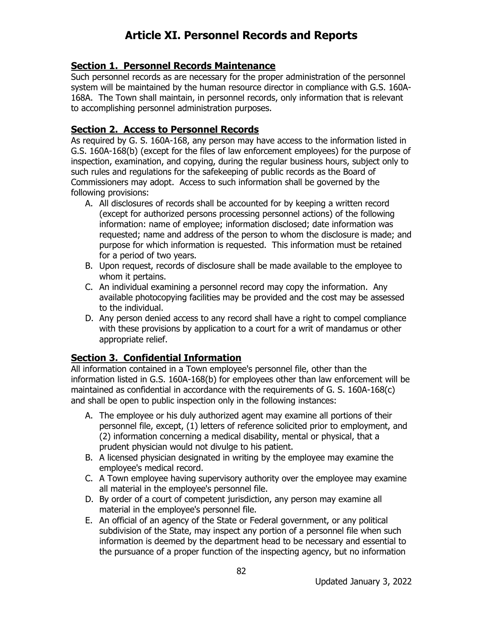# **Article XI. Personnel Records and Reports**

#### **Section 1. Personnel Records Maintenance**

Such personnel records as are necessary for the proper administration of the personnel system will be maintained by the human resource director in compliance with G.S. 160A-168A. The Town shall maintain, in personnel records, only information that is relevant to accomplishing personnel administration purposes.

#### **Section 2. Access to Personnel Records**

As required by G. S. 160A-168, any person may have access to the information listed in G.S. 160A-168(b) (except for the files of law enforcement employees) for the purpose of inspection, examination, and copying, during the regular business hours, subject only to such rules and regulations for the safekeeping of public records as the Board of Commissioners may adopt. Access to such information shall be governed by the following provisions:

- A. All disclosures of records shall be accounted for by keeping a written record (except for authorized persons processing personnel actions) of the following information: name of employee; information disclosed; date information was requested; name and address of the person to whom the disclosure is made; and purpose for which information is requested. This information must be retained for a period of two years.
- B. Upon request, records of disclosure shall be made available to the employee to whom it pertains.
- C. An individual examining a personnel record may copy the information. Any available photocopying facilities may be provided and the cost may be assessed to the individual.
- D. Any person denied access to any record shall have a right to compel compliance with these provisions by application to a court for a writ of mandamus or other appropriate relief.

### **Section 3. Confidential Information**

All information contained in a Town employee's personnel file, other than the information listed in G.S. 160A-168(b) for employees other than law enforcement will be maintained as confidential in accordance with the requirements of G. S. 160A-168(c) and shall be open to public inspection only in the following instances:

- A. The employee or his duly authorized agent may examine all portions of their personnel file, except, (1) letters of reference solicited prior to employment, and (2) information concerning a medical disability, mental or physical, that a prudent physician would not divulge to his patient.
- B. A licensed physician designated in writing by the employee may examine the employee's medical record.
- C. A Town employee having supervisory authority over the employee may examine all material in the employee's personnel file.
- D. By order of a court of competent jurisdiction, any person may examine all material in the employee's personnel file.
- E. An official of an agency of the State or Federal government, or any political subdivision of the State, may inspect any portion of a personnel file when such information is deemed by the department head to be necessary and essential to the pursuance of a proper function of the inspecting agency, but no information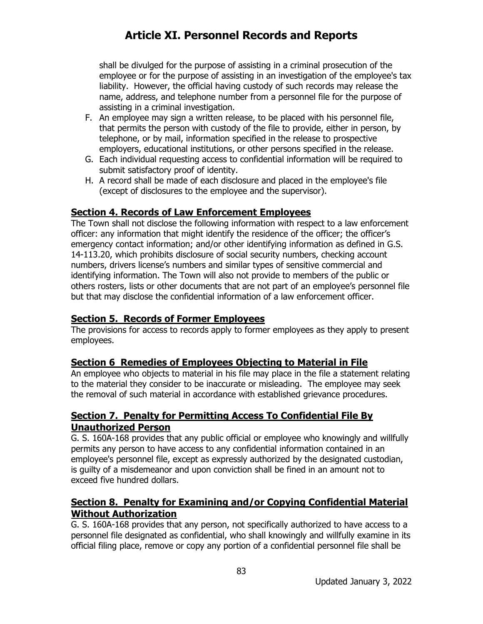# **Article XI. Personnel Records and Reports**

shall be divulged for the purpose of assisting in a criminal prosecution of the employee or for the purpose of assisting in an investigation of the employee's tax liability. However, the official having custody of such records may release the name, address, and telephone number from a personnel file for the purpose of assisting in a criminal investigation.

- F. An employee may sign a written release, to be placed with his personnel file, that permits the person with custody of the file to provide, either in person, by telephone, or by mail, information specified in the release to prospective employers, educational institutions, or other persons specified in the release.
- G. Each individual requesting access to confidential information will be required to submit satisfactory proof of identity.
- H. A record shall be made of each disclosure and placed in the employee's file (except of disclosures to the employee and the supervisor).

#### **Section 4. Records of Law Enforcement Employees**

The Town shall not disclose the following information with respect to a law enforcement officer: any information that might identify the residence of the officer; the officer's emergency contact information; and/or other identifying information as defined in G.S. 14-113.20, which prohibits disclosure of social security numbers, checking account numbers, drivers license's numbers and similar types of sensitive commercial and identifying information. The Town will also not provide to members of the public or others rosters, lists or other documents that are not part of an employee's personnel file but that may disclose the confidential information of a law enforcement officer.

### **Section 5. Records of Former Employees**

The provisions for access to records apply to former employees as they apply to present employees.

#### **Section 6 Remedies of Employees Objecting to Material in File**

An employee who objects to material in his file may place in the file a statement relating to the material they consider to be inaccurate or misleading. The employee may seek the removal of such material in accordance with established grievance procedures.

### **Section 7. Penalty for Permitting Access To Confidential File By Unauthorized Person**

G. S. 160A-168 provides that any public official or employee who knowingly and willfully permits any person to have access to any confidential information contained in an employee's personnel file, except as expressly authorized by the designated custodian, is guilty of a misdemeanor and upon conviction shall be fined in an amount not to exceed five hundred dollars.

### **Section 8. Penalty for Examining and/or Copying Confidential Material Without Authorization**

G. S. 160A-168 provides that any person, not specifically authorized to have access to a personnel file designated as confidential, who shall knowingly and willfully examine in its official filing place, remove or copy any portion of a confidential personnel file shall be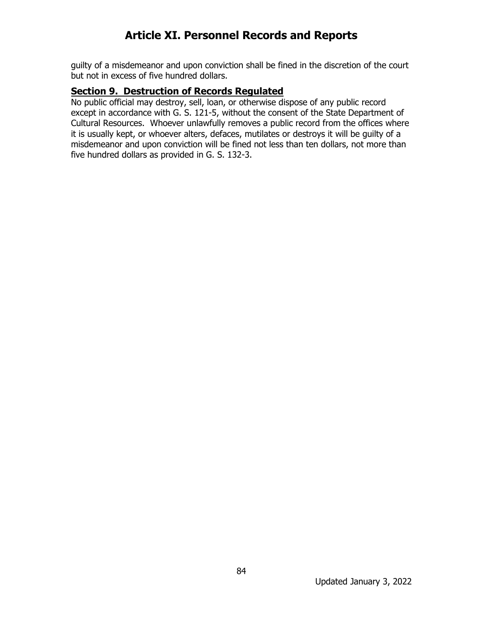# **Article XI. Personnel Records and Reports**

guilty of a misdemeanor and upon conviction shall be fined in the discretion of the court but not in excess of five hundred dollars.

#### **Section 9. Destruction of Records Regulated**

No public official may destroy, sell, loan, or otherwise dispose of any public record except in accordance with G. S. 121-5, without the consent of the State Department of Cultural Resources. Whoever unlawfully removes a public record from the offices where it is usually kept, or whoever alters, defaces, mutilates or destroys it will be guilty of a misdemeanor and upon conviction will be fined not less than ten dollars, not more than five hundred dollars as provided in G. S. 132-3.